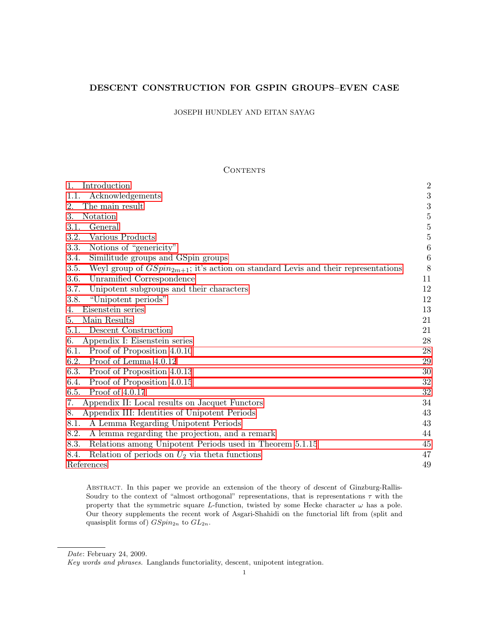# DESCENT CONSTRUCTION FOR GSPIN GROUPS–EVEN CASE

JOSEPH HUNDLEY AND EITAN SAYAG

# **CONTENTS**

| Introduction                                                                                   | $\overline{2}$   |
|------------------------------------------------------------------------------------------------|------------------|
| Acknowledgements<br>1.1.                                                                       | 3                |
| The main result<br>2.                                                                          | 3                |
| Notation<br>3.                                                                                 | $\overline{5}$   |
| General<br>3.1.                                                                                | $\bf 5$          |
| 3.2.<br>Various Products                                                                       | $\overline{5}$   |
| Notions of "genericity"<br>3.3.                                                                | $\boldsymbol{6}$ |
| 3.4.<br>Similitude groups and GSpin groups                                                     | $\boldsymbol{6}$ |
| Weyl group of $GSpin_{2m+1}$ ; it's action on standard Levis and their representations<br>3.5. | 8                |
| Unramified Correspondence<br>3.6.                                                              | 11               |
| 3.7.<br>Unipotent subgroups and their characters                                               | 12               |
| "Unipotent periods"<br>3.8.                                                                    | 12               |
| Eisenstein series<br>4.                                                                        | 13               |
| Main Results<br>5.                                                                             | 21               |
| Descent Construction<br>5.1.                                                                   | 21               |
| Appendix I: Eisenstein series<br>6.                                                            | 28               |
| Proof of Proposition 4.0.10<br>6.1.                                                            | 28               |
| Proof of Lemma 4.0.12<br>6.2.                                                                  | 29               |
| 6.3.<br>Proof of Proposition 4.0.13                                                            | 30               |
| Proof of Proposition 4.0.15<br>6.4.                                                            | 32               |
| Proof of 4.0.17<br>6.5.                                                                        | 32               |
| Appendix II: Local results on Jacquet Functors<br>7.                                           | 34               |
| Appendix III: Identities of Unipotent Periods<br>8.                                            | 43               |
| 8.1.<br>A Lemma Regarding Unipotent Periods                                                    | 43               |
| 8.2.<br>A lemma regarding the projection, and a remark                                         | 44               |
| 8.3.<br>Relations among Unipotent Periods used in Theorem 5.1.15                               | 45               |
| Relation of periods on $U_2$ via theta functions<br>8.4.                                       | 47               |
| References                                                                                     | 49               |

Abstract. In this paper we provide an extension of the theory of descent of Ginzburg-Rallis-Soudry to the context of "almost orthogonal" representations, that is representations  $\tau$  with the property that the symmetric square L-function, twisted by some Hecke character  $\omega$  has a pole. Our theory supplements the recent work of Asgari-Shahidi on the functorial lift from (split and quasisplit forms of)  $GSpin_{2n}$  to  $GL_{2n}$ .

Date: February 24, 2009.

Key words and phrases. Langlands functoriality, descent, unipotent integration.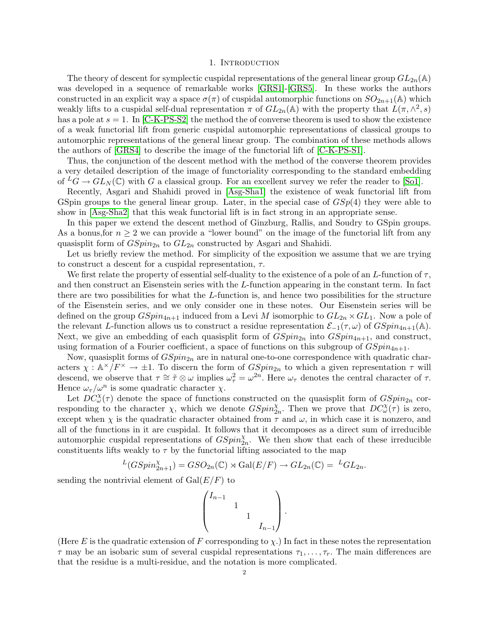#### 1. INTRODUCTION

<span id="page-1-0"></span>The theory of descent for symplectic cuspidal representations of the general linear group  $GL_{2n}(\mathbb{A})$ was developed in a sequence of remarkable works [\[GRS1\]](#page-49-0)-[\[GRS5\]](#page-49-1). In these works the authors constructed in an explicit way a space  $\sigma(\pi)$  of cuspidal automorphic functions on  $SO_{2n+1}(\mathbb{A})$  which weakly lifts to a cuspidal self-dual representation  $\pi$  of  $GL_{2n}(\mathbb{A})$  with the property that  $L(\pi, \wedge^2, s)$ has a pole at  $s = 1$ . In [\[C-K-PS-S2\]](#page-49-2) the method the of converse theorem is used to show the existence of a weak functorial lift from generic cuspidal automorphic representations of classical groups to automorphic representations of the general linear group. The combination of these methods allows the authors of [\[GRS4\]](#page-49-3) to describe the image of the functorial lift of [\[C-K-PS-S1\]](#page-49-4).

Thus, the conjunction of the descent method with the method of the converse theorem provides a very detailed description of the image of functoriality corresponding to the standard embedding of  ${}^L G \to GL_N(\mathbb{C})$  with G a classical group. For an excellent survey we refer the reader to [\[So1\]](#page-50-0).

Recently, Asgari and Shahidi proved in [\[Asg-Sha1\]](#page-48-1) the existence of weak functorial lift from GSpin groups to the general linear group. Later, in the special case of  $GSp(4)$  they were able to show in [\[Asg-Sha2\]](#page-48-2) that this weak functorial lift is in fact strong in an appropriate sense.

In this paper we extend the descent method of Ginzburg, Rallis, and Soudry to GSpin groups. As a bonus, for  $n \geq 2$  we can provide a "lower bound" on the image of the functorial lift from any quasisplit form of  $GSpin_{2n}$  to  $GL_{2n}$  constructed by Asgari and Shahidi.

Let us briefly review the method. For simplicity of the exposition we assume that we are trying to construct a descent for a cuspidal representation,  $\tau$ .

We first relate the property of essential self-duality to the existence of a pole of an L-function of  $\tau$ , and then construct an Eisenstein series with the L-function appearing in the constant term. In fact there are two possibilities for what the L-function is, and hence two possibilities for the structure of the Eisenstein series, and we only consider one in these notes. Our Eisenstein series will be defined on the group  $GSpin_{4n+1}$  induced from a Levi M isomorphic to  $GL_{2n} \times GL_1$ . Now a pole of the relevant L-function allows us to construct a residue representation  $\mathcal{E}_{-1}(\tau,\omega)$  of  $GSpin_{4n+1}(\mathbb{A})$ . Next, we give an embedding of each quasisplit form of  $GSpin_{2n}$  into  $GSpin_{4n+1}$ , and construct, using formation of a Fourier coefficient, a space of functions on this subgroup of  $GSpin_{4n+1}$ .

Now, quasisplit forms of  $GSpin<sub>2n</sub>$  are in natural one-to-one correspondence with quadratic characters  $\chi : \mathbb{A}^\times/F^\times \to \pm 1$ . To discern the form of  $GSpin_{2n}$  to which a given representation  $\tau$  will descend, we observe that  $\tau \cong \tilde{\tau} \otimes \omega$  implies  $\omega_{\tau}^2 = \omega^{2n}$ . Here  $\omega_{\tau}$  denotes the central character of  $\tau$ . Hence  $\omega_{\tau}/\omega^n$  is some quadratic character  $\chi$ .

Let  $DC^{\chi}_{\omega}(\tau)$  denote the space of functions constructed on the quasisplit form of  $GSpin_{2n}$  corresponding to the character  $\chi$ , which we denote  $GSpin_{2n}^{\chi}$ . Then we prove that  $DC_{\omega}^{\chi}(\tau)$  is zero, except when  $\chi$  is the quadratic character obtained from  $\tau$  and  $\omega$ , in which case it is nonzero, and all of the functions in it are cuspidal. It follows that it decomposes as a direct sum of irreducible automorphic cuspidal representations of  $GSpin_{2n}^{\chi}$ . We then show that each of these irreducible constituents lifts weakly to  $\tau$  by the functorial lifting associated to the map

$$
L(GSpin_{2n+1}^{\chi}) = GSO_{2n}(\mathbb{C}) \rtimes \mathrm{Gal}(E/F) \to GL_{2n}(\mathbb{C}) = {}^{L}GL_{2n}.
$$

sending the nontrivial element of  $Gal(E/F)$  to

$$
\begin{pmatrix} I_{n-1} & & & \\ & 1 & & \\ & & 1 & \\ & & & I_{n-1} \end{pmatrix}.
$$

(Here E is the quadratic extension of F corresponding to  $\chi$ .) In fact in these notes the representation  $\tau$  may be an isobaric sum of several cuspidal representations  $\tau_1, \ldots, \tau_r$ . The main differences are that the residue is a multi-residue, and the notation is more complicated.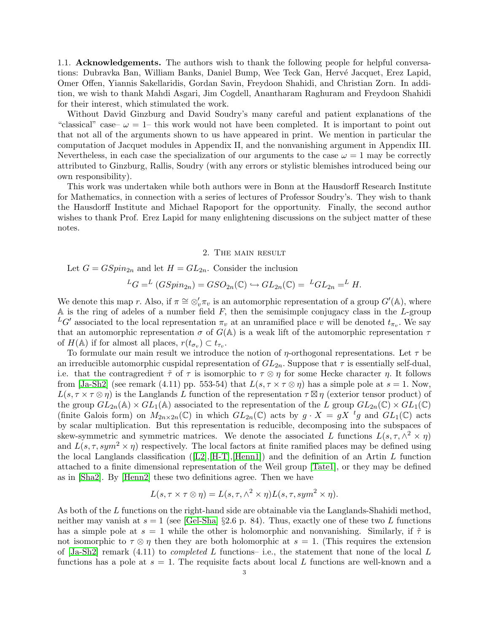<span id="page-2-0"></span>1.1. Acknowledgements. The authors wish to thank the following people for helpful conversations: Dubravka Ban, William Banks, Daniel Bump, Wee Teck Gan, Hervé Jacquet, Erez Lapid, Omer Offen, Yiannis Sakellaridis, Gordan Savin, Freydoon Shahidi, and Christian Zorn. In addition, we wish to thank Mahdi Asgari, Jim Cogdell, Anantharam Raghuram and Freydoon Shahidi for their interest, which stimulated the work.

Without David Ginzburg and David Soudry's many careful and patient explanations of the "classical" case–  $\omega = 1$ – this work would not have been completed. It is important to point out that not all of the arguments shown to us have appeared in print. We mention in particular the computation of Jacquet modules in Appendix II, and the nonvanishing argument in Appendix III. Nevertheless, in each case the specialization of our arguments to the case  $\omega = 1$  may be correctly attributed to Ginzburg, Rallis, Soudry (with any errors or stylistic blemishes introduced being our own responsibility).

This work was undertaken while both authors were in Bonn at the Hausdorff Research Institute for Mathematics, in connection with a series of lectures of Professor Soudry's. They wish to thank the Hausdorff Institute and Michael Rapoport for the opportunity. Finally, the second author wishes to thank Prof. Erez Lapid for many enlightening discussions on the subject matter of these notes.

#### 2. The main result

<span id="page-2-1"></span>Let 
$$
G = GSpin_{2n}
$$
 and let  $H = GL_{2n}$ . Consider the inclusion

$$
{}^L G = {}^L (GSpin_{2n}) = GSO_{2n}(\mathbb{C}) \hookrightarrow GL_{2n}(\mathbb{C}) = {}^L GL_{2n} = {}^L H.
$$

We denote this map r. Also, if  $\pi \cong \otimes_v' \pi_v$  is an automorphic representation of a group  $G'(\mathbb{A})$ , where A is the ring of adeles of a number field  $F$ , then the semisimple conjugacy class in the  $L$ -group  ${}^L G'$  associated to the local representation  $\pi_v$  at an unramified place v will be denoted  $t_{\pi_v}$ . We say that an automorphic representation  $\sigma$  of  $G(\mathbb{A})$  is a weak lift of the automorphic representation  $\tau$ of  $H(\mathbb{A})$  if for almost all places,  $r(t_{\sigma_v}) \subset t_{\tau_v}$ .

To formulate our main result we introduce the notion of  $\eta$ -orthogonal representations. Let  $\tau$  be an irreducible automorphic cuspidal representation of  $GL_{2n}$ . Suppose that  $\tau$  is essentially self-dual, i.e. that the contragredient  $\tilde{\tau}$  of  $\tau$  is isomorphic to  $\tau \otimes \eta$  for some Hecke character  $\eta$ . It follows from [\[Ja-Sh2\]](#page-49-5) (see remark (4.11) pp. 553-54) that  $L(s, \tau \times \tau \otimes \eta)$  has a simple pole at  $s = 1$ . Now,  $L(s, \tau \times \tau \otimes \eta)$  is the Langlands L function of the representation  $\tau \boxtimes \eta$  (exterior tensor product) of the group  $GL_{2n}(\mathbb{A}) \times GL_1(\mathbb{A})$  associated to the representation of the L group  $GL_{2n}(\mathbb{C}) \times GL_1(\mathbb{C})$ (finite Galois form) on  $M_{2n\times 2n}(\mathbb{C})$  in which  $GL_{2n}(\mathbb{C})$  acts by  $g \cdot X = gX^{-t}g$  and  $GL_1(\mathbb{C})$  acts by scalar multiplication. But this representation is reducible, decomposing into the subspaces of skew-symmetric and symmetric matrices. We denote the associated L functions  $L(s, \tau, \wedge^2 \times \eta)$ and  $L(s, \tau, sym^2 \times \eta)$  respectively. The local factors at finite ramified places may be defined using thelocal Langlands classification ( $[L2], [H-T], [Henn1]$  $[L2], [H-T], [Henn1]$  $[L2], [H-T], [Henn1]$  $[L2], [H-T], [Henn1]$  $[L2], [H-T], [Henn1]$ ) and the definition of an Artin L function attached to a finite dimensional representation of the Weil group [\[Tate1\]](#page-50-2), or they may be defined as in [\[Sha2\]](#page-50-3). By [\[Henn2\]](#page-49-8) these two definitions agree. Then we have

$$
L(s, \tau \times \tau \otimes \eta) = L(s, \tau, \wedge^2 \times \eta)L(s, \tau, sym^2 \times \eta).
$$

As both of the L functions on the right-hand side are obtainable via the Langlands-Shahidi method, neither may vanish at  $s = 1$  (see [\[Gel-Sha\]](#page-49-9) §2.6 p. 84). Thus, exactly one of these two L functions has a simple pole at  $s = 1$  while the other is holomorphic and nonvanishing. Similarly, if  $\tilde{\tau}$  is not isomorphic to  $\tau \otimes \eta$  then they are both holomorphic at  $s = 1$ . (This requires the extension of  $[Ja-Sh2]$  remark  $(4.11)$  to *completed L* functions- i.e., the statement that none of the local L functions has a pole at  $s = 1$ . The requisite facts about local L functions are well-known and a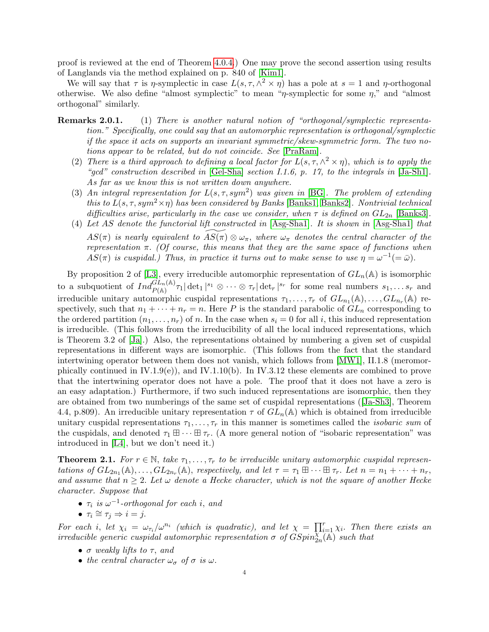proof is reviewed at the end of Theorem [4.0.4.](#page-13-0)) One may prove the second assertion using results of Langlands via the method explained on p. 840 of [\[Kim1\]](#page-49-10).

We will say that  $\tau$  is  $\eta$ -symplectic in case  $L(s, \tau, \wedge^2 \times \eta)$  has a pole at  $s = 1$  and  $\eta$ -orthogonal otherwise. We also define "almost symplectic" to mean " $\eta$ -symplectic for some  $\eta$ ," and "almost orthogonal" similarly.

- **Remarks 2.0.1.** (1) There is another natural notion of "orthogonal/symplectic representation." Specifically, one could say that an automorphic representation is orthogonal/symplectic if the space it acts on supports an invariant symmetric/skew-symmetric form. The two notions appear to be related, but do not coincide. See [\[PraRam\]](#page-50-4).
	- (2) There is a third approach to defining a local factor for  $L(s, \tau, \wedge^2 \times \eta)$ , which is to apply the "gcd" construction described in  $[Gel-Sha]$  section I.1.6, p. 17, to the integrals in  $[Ja-Sh1]$ . As far as we know this is not written down anywhere.
	- (3) An integral representation for  $L(s, \tau, sym^2)$  was given in [\[BG\]](#page-48-3). The problem of extending this to  $L(s, \tau, sym^2 \times \eta)$  has been considered by Banks [\[Banks1,](#page-48-4) [Banks2\]](#page-48-5). Nontrivial technical difficulties arise, particularly in the case we consider, when  $\tau$  is defined on  $GL_{2n}$  [\[Banks3\]](#page-48-6).
	- (4) Let AS denote the functorial lift constructed in [\[Asg-Sha1\]](#page-48-1). It is shown in [\[Asg-Sha1\]](#page-48-1) that  $AS(\pi)$  is nearly equivalent to  $AS(\pi) \otimes \omega_{\pi}$ , where  $\omega_{\pi}$  denotes the central character of the representation  $\pi$ . (Of course, this means that they are the same space of functions when  $AS(\pi)$  is cuspidal.) Thus, in practice it turns out to make sense to use  $\eta = \omega^{-1}(=\bar{\omega})$ .

<span id="page-3-1"></span>By proposition 2 of [\[L3\]](#page-50-5), every irreducible automorphic representation of  $GL_n(\mathbb{A})$  is isomorphic to a subquotient of  $Ind_{P(\mathbb{A})}^{\widetilde{GL}_n(\mathbb{A})}\tau_1|\det_1|^{s_1}\otimes\cdots\otimes\tau_r|\det_r|^{s_r}$  for some real numbers  $s_1,\ldots s_r$  and irreducible unitary automorphic cuspidal representations  $\tau_1, \ldots, \tau_r$  of  $GL_{n_1}(\mathbb{A}), \ldots, GL_{n_r}(\mathbb{A})$  respectively, such that  $n_1 + \cdots + n_r = n$ . Here P is the standard parabolic of  $GL_n$  corresponding to the ordered partition  $(n_1, \ldots, n_r)$  of n. In the case when  $s_i = 0$  for all i, this induced representation is irreducible. (This follows from the irreducibility of all the local induced representations, which is Theorem 3.2 of [\[Ja\]](#page-49-12).) Also, the representations obtained by numbering a given set of cuspidal representations in different ways are isomorphic. (This follows from the fact that the standard intertwining operator between them does not vanish, which follows from [\[MW1\]](#page-50-6), II.1.8 (meromorphically continued in  $IV.1.9(e)$ , and  $IV.1.10(b)$ . In IV.3.12 these elements are combined to prove that the intertwining operator does not have a pole. The proof that it does not have a zero is an easy adaptation.) Furthermore, if two such induced representations are isomorphic, then they are obtained from two numberings of the same set of cuspidal representations([\[Ja-Sh3\]](#page-49-13), Theorem 4.4, p.809). An irreducible unitary representation  $\tau$  of  $GL_n(\mathbb{A})$  which is obtained from irreducible unitary cuspidal representations  $\tau_1, \ldots, \tau_r$  in this manner is sometimes called the *isobaric sum* of the cuspidals, and denoted  $\tau_1 \boxplus \cdots \boxplus \tau_r$ . (A more general notion of "isobaric representation" was introduced in [\[L4\]](#page-50-7), but we don't need it.)

<span id="page-3-0"></span>**Theorem 2.1.** For  $r \in \mathbb{N}$ , take  $\tau_1, \ldots, \tau_r$  to be irreducible unitary automorphic cuspidal representations of  $GL_{2n_1}(\mathbb{A}), \ldots, GL_{2n_r}(\mathbb{A}),$  respectively, and let  $\tau = \tau_1 \boxplus \cdots \boxplus \tau_r$ . Let  $n = n_1 + \cdots + n_r$ , and assume that  $n \geq 2$ . Let  $\omega$  denote a Hecke character, which is not the square of another Hecke character. Suppose that

- $\tau_i$  is  $\omega^{-1}$ -orthogonal for each i, and
- $\tau_i \cong \tau_j \Rightarrow i = j$ .

For each i, let  $\chi_i = \omega_{\tau_i}/\omega^{n_i}$  (which is quadratic), and let  $\chi = \prod_{i=1}^r \chi_i$ . Then there exists an irreducible generic cuspidal automorphic representation  $\sigma$  of  $GSpin_{2n}^{\chi^{2}(-1)}$  such that

- $\bullet$   $\sigma$  weakly lifts to  $\tau$ , and
- the central character  $\omega_{\sigma}$  of  $\sigma$  is  $\omega$ .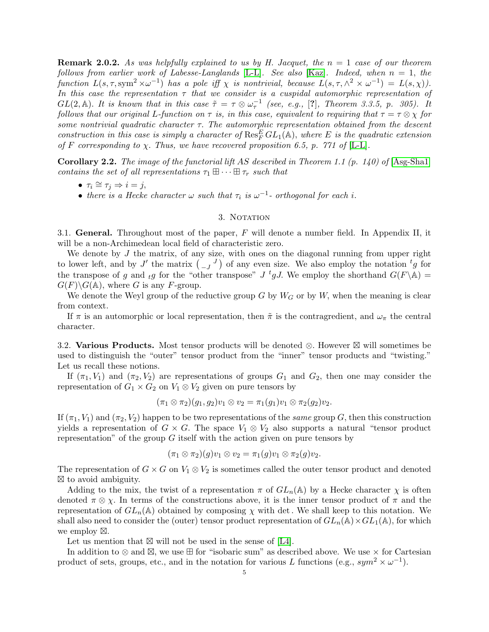**Remark 2.0.2.** As was helpfully explained to us by H. Jacquet, the  $n = 1$  case of our theorem follows from earlier work of Labesse-Langlands [\[L-L\]](#page-50-8). See also [\[Kaz\]](#page-49-14). Indeed, when  $n = 1$ , the function  $L(s, \tau, \text{sym}^2 \times \omega^{-1})$  has a pole iff  $\chi$  is nontrivial, because  $L(s, \tau, \wedge^2 \times \omega^{-1}) = L(s, \chi)$ . In this case the representation  $\tau$  that we consider is a cuspidal automorphic representation of  $GL(2, \mathbb{A})$ . It is known that in this case  $\tilde{\tau} = \tau \otimes \omega_{\tau}^{-1}$  (see, e.g., [?], Theorem 3.3.5, p. 305). It follows that our original L-function on  $\tau$  is, in this case, equivalent to requiring that  $\tau = \tau \otimes \chi$  for some nontrivial quadratic character  $\tau$ . The automorphic representation obtained from the descent construction in this case is simply a character of  $\operatorname{Res}^E_F GL_1(\mathbb{A})$ , where E is the quadratic extension of F corresponding to  $\chi$ . Thus, we have recovered proposition 6.5, p. 771 of [\[L-L\]](#page-50-8).

**Corollary 2.2.** The image of the functorial lift AS described in Theorem 1.1 (p. 140) of  $[\text{Ass-Shal}]$ contains the set of all representations  $\tau_1 \boxplus \cdots \boxplus \tau_r$  such that

- $\tau_i \cong \tau_j \Rightarrow i = j$ ,
- there is a Hecke character  $\omega$  such that  $\tau_i$  is  $\omega^{-1}$  orthogonal for each i.

### 3. NOTATION

<span id="page-4-1"></span><span id="page-4-0"></span>3.1. General. Throughout most of the paper,  $F$  will denote a number field. In Appendix II, it will be a non-Archimedean local field of characteristic zero.

We denote by  $J$  the matrix, of any size, with ones on the diagonal running from upper right to lower left, and by J' the matrix  $\begin{pmatrix} 0 & J \end{pmatrix}$  of any even size. We also employ the notation  ${}^t g$  for the transpose of g and  $_{t}g$  for the "other transpose" J <sup>t</sup>gJ. We employ the shorthand  $G(F \backslash \mathbb{A}) =$  $G(F)\backslash G(\mathbb{A})$ , where G is any F-group.

We denote the Weyl group of the reductive group G by  $W_G$  or by W, when the meaning is clear from context.

If  $\pi$  is an automorphic or local representation, then  $\tilde{\pi}$  is the contragredient, and  $\omega_{\pi}$  the central character.

<span id="page-4-2"></span>3.2. Various Products. Most tensor products will be denoted  $\otimes$ . However  $\boxtimes$  will sometimes be used to distinguish the "outer" tensor product from the "inner" tensor products and "twisting." Let us recall these notions.

If  $(\pi_1, V_1)$  and  $(\pi_2, V_2)$  are representations of groups  $G_1$  and  $G_2$ , then one may consider the representation of  $G_1 \times G_2$  on  $V_1 \otimes V_2$  given on pure tensors by

$$
(\pi_1 \otimes \pi_2)(g_1, g_2)v_1 \otimes v_2 = \pi_1(g_1)v_1 \otimes \pi_2(g_2)v_2.
$$

If  $(\pi_1, V_1)$  and  $(\pi_2, V_2)$  happen to be two representations of the same group G, then this construction yields a representation of  $G \times G$ . The space  $V_1 \otimes V_2$  also supports a natural "tensor product" representation" of the group  $G$  itself with the action given on pure tensors by

$$
(\pi_1 \otimes \pi_2)(g)v_1 \otimes v_2 = \pi_1(g)v_1 \otimes \pi_2(g)v_2.
$$

The representation of  $G \times G$  on  $V_1 \otimes V_2$  is sometimes called the outer tensor product and denoted  $\boxtimes$  to avoid ambiguity.

Adding to the mix, the twist of a representation  $\pi$  of  $GL_n(\mathbb{A})$  by a Hecke character  $\chi$  is often denoted  $\pi \otimes \chi$ . In terms of the constructions above, it is the inner tensor product of  $\pi$  and the representation of  $GL_n(\mathbb{A})$  obtained by composing  $\chi$  with det. We shall keep to this notation. We shall also need to consider the (outer) tensor product representation of  $GL_n(\mathbb{A}) \times GL_1(\mathbb{A})$ , for which we employ  $\boxtimes$ .

Let us mention that  $\boxtimes$  will not be used in the sense of [\[L4\]](#page-50-7).

In addition to  $\otimes$  and  $\boxtimes$ , we use  $\boxplus$  for "isobaric sum" as described above. We use  $\times$  for Cartesian product of sets, groups, etc., and in the notation for various L functions (e.g.,  $sym^2 \times \omega^{-1}$ ).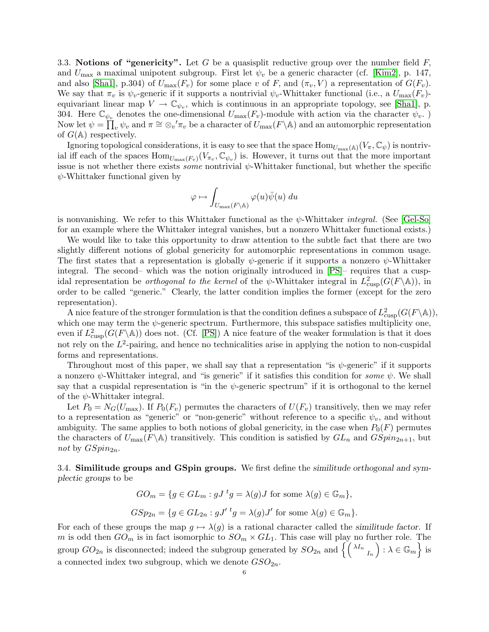<span id="page-5-0"></span>3.3. Notions of "genericity". Let G be a quasisplit reductive group over the number field  $F$ , and  $U_{\text{max}}$  a maximal unipotent subgroup. First let  $\psi_v$  be a generic character (cf. [\[Kim2\]](#page-49-15), p. 147, and also [\[Sha1\]](#page-50-9), p.304) of  $U_{\text{max}}(F_v)$  for some place v of F, and  $(\pi_v, V)$  a representation of  $G(F_v)$ . We say that  $\pi_v$  is  $\psi_v$ -generic if it supports a nontrivial  $\psi_v$ -Whittaker functional (i.e., a  $U_{\text{max}}(F_v)$ ) equivariant linear map  $V \to \mathbb{C}_{\psi_v}$ , which is continuous in an appropriate topology, see [\[Sha1\]](#page-50-9), p. 304. Here  $\mathbb{C}_{\psi_v}$  denotes the one-dimensional  $U_{\text{max}}(F_v)$ -module with action via the character  $\psi_v$ . Now let  $\psi = \prod_v \psi_v$  and  $\pi \cong \otimes_v' \pi_v$  be a character of  $U_{\text{max}}(F \backslash \mathbb{A})$  and an automorphic representation of  $G(\mathbb{A})$  respectively.

Ignoring topological considerations, it is easy to see that the space  $\text{Hom}_{U_{\text{max}}(\mathbb{A})}(V_{\pi}, \mathbb{C}_{\psi})$  is nontrivial iff each of the spaces  $\text{Hom}_{U_{\text{max}}(F_v)}(V_{\pi_v}, \mathbb{C}_{\psi_v})$  is. However, it turns out that the more important issue is not whether there exists *some* nontrivial  $\psi$ -Whittaker functional, but whether the specific  $\psi$ -Whittaker functional given by

$$
\varphi \mapsto \int_{U_{\max}(F \backslash \mathbb{A})} \varphi(u)\overline{\psi}(u) \ du
$$

is nonvanishing. We refer to this Whittaker functional as the  $\psi$ -Whittaker *integral*. (See [\[Gel-So\]](#page-49-16) for an example where the Whittaker integral vanishes, but a nonzero Whittaker functional exists.)

We would like to take this opportunity to draw attention to the subtle fact that there are two slightly different notions of global genericity for automorphic representations in common usage. The first states that a representation is globally  $\psi$ -generic if it supports a nonzero  $\psi$ -Whittaker integral. The second– which was the notion originally introduced in [\[PS\]](#page-50-10)– requires that a cuspidal representation be *orthogonal to the kernel* of the  $\psi$ -Whittaker integral in  $L^2_{\text{cusp}}(G(F \backslash \mathbb{A}))$ , in order to be called "generic." Clearly, the latter condition implies the former (except for the zero representation).

A nice feature of the stronger formulation is that the condition defines a subspace of  $L^2_{\text{cusp}}(G(F\backslash\mathbb{A})),$ which one may term the  $\psi$ -generic spectrum. Furthermore, this subspace satisfies multiplicity one, even if  $L^2_{\text{cusp}}(G(F\backslash\mathbb{A}))$  does not. (Cf. [\[PS\]](#page-50-10)) A nice feature of the weaker formulation is that it does not rely on the  $L^2$ -pairing, and hence no technicalities arise in applying the notion to non-cuspidal forms and representations.

Throughout most of this paper, we shall say that a representation "is  $\psi$ -generic" if it supports a nonzero  $\psi$ -Whittaker integral, and "is generic" if it satisfies this condition for some  $\psi$ . We shall say that a cuspidal representation is "in the  $\psi$ -generic spectrum" if it is orthogonal to the kernel of the  $\psi$ -Whittaker integral.

Let  $P_0 = N_G(U_{\text{max}})$ . If  $P_0(F_v)$  permutes the characters of  $U(F_v)$  transitively, then we may refer to a representation as "generic" or "non-generic" without reference to a specific  $\psi_v$ , and without ambiguity. The same applies to both notions of global genericity, in the case when  $P_0(F)$  permutes the characters of  $U_{\text{max}}(F \backslash \mathbb{A})$  transitively. This condition is satisfied by  $GL_n$  and  $GSpin_{2n+1}$ , but not by  $GSpin_{2n}$ .

<span id="page-5-1"></span>3.4. Similitude groups and GSpin groups. We first define the similitude orthogonal and symplectic groups to be

$$
GO_m = \{ g \in GL_m : gJ^t g = \lambda(g)J \text{ for some } \lambda(g) \in \mathbb{G}_m \},
$$
  

$$
GSp_{2n} = \{ g \in GL_{2n} : gJ'^t g = \lambda(g)J' \text{ for some } \lambda(g) \in \mathbb{G}_m \}.
$$

For each of these groups the map  $g \mapsto \lambda(g)$  is a rational character called the similitude factor. If m is odd then  $GO_m$  is in fact isomorphic to  $SO_m \times GL_1$ . This case will play no further role. The group  $GO_{2n}$  is disconnected; indeed the subgroup generated by  $SO_{2n}$  and  $\left\{ \left(\begin{smallmatrix} \lambda I_n& \ A_n& \end{smallmatrix}\right) : \lambda \in \mathbb{G}_m \right\}$  is a connected index two subgroup, which we denote  $GSO_{2n}$ .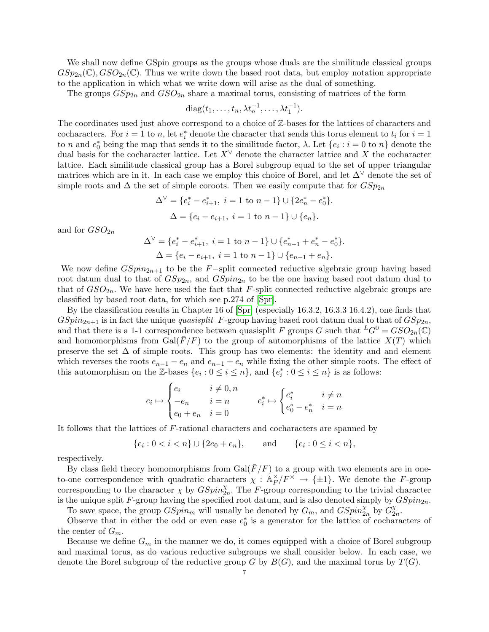We shall now define GSpin groups as the groups whose duals are the similitude classical groups  $GSp_{2n}(\mathbb{C}), GSO_{2n}(\mathbb{C}).$  Thus we write down the based root data, but employ notation appropriate to the application in which what we write down will arise as the dual of something.

The groups  $GSp_{2n}$  and  $GSO_{2n}$  share a maximal torus, consisting of matrices of the form

$$
diag(t_1,\ldots,t_n,\lambda t_n^{-1},\ldots,\lambda t_1^{-1}).
$$

The coordinates used just above correspond to a choice of Z-bases for the lattices of characters and cocharacters. For  $i = 1$  to n, let  $e_i^*$  denote the character that sends this torus element to  $t_i$  for  $i = 1$ to n and  $e_0^*$  being the map that sends it to the similitude factor,  $\lambda$ . Let  $\{e_i : i = 0 \text{ to } n\}$  denote the dual basis for the cocharacter lattice. Let  $X^{\vee}$  denote the character lattice and X the cocharacter lattice. Each similitude classical group has a Borel subgroup equal to the set of upper triangular matrices which are in it. In each case we employ this choice of Borel, and let ∆<sup>∨</sup> denote the set of simple roots and  $\Delta$  the set of simple coroots. Then we easily compute that for  $GSp_{2n}$ 

$$
\Delta^{\vee} = \{e_i^* - e_{i+1}^*, i = 1 \text{ to } n-1\} \cup \{2e_n^* - e_0^*\}.
$$
  

$$
\Delta = \{e_i - e_{i+1}, i = 1 \text{ to } n-1\} \cup \{e_n\}.
$$

and for  $GSO_{2n}$ 

$$
\Delta^{\vee} = \{e_i^* - e_{i+1}^*, i = 1 \text{ to } n-1\} \cup \{e_{n-1}^* + e_n^* - e_0^*\}.
$$
  

$$
\Delta = \{e_i - e_{i+1}, i = 1 \text{ to } n-1\} \cup \{e_{n-1} + e_n\}.
$$

We now define  $GSpin_{2n+1}$  to be the F-split connected reductive algebraic group having based root datum dual to that of  $GSp_{2n}$ , and  $GSpin_{2n}$  to be the one having based root datum dual to that of  $GSO_{2n}$ . We have here used the fact that F-split connected reductive algebraic groups are classified by based root data, for which see p.274 of [\[Spr\]](#page-50-11).

By the classification results in Chapter 16 of [\[Spr\]](#page-50-11) (especially 16.3.2, 16.3.3 16.4.2), one finds that  $GSpin_{2n+1}$  is in fact the unique *quasisplit* F-group having based root datum dual to that of  $GSp_{2n}$ , and that there is a 1-1 correspondence between quasisplit F groups G such that  ${}^L G^0 = GSO_{2n}(\mathbb{C})$ and homomorphisms from  $Gal(\overline{F}/F)$  to the group of automorphisms of the lattice  $X(T)$  which preserve the set  $\Delta$  of simple roots. This group has two elements: the identity and and element which reverses the roots  $e_{n-1} - e_n$  and  $e_{n-1} + e_n$  while fixing the other simple roots. The effect of this automorphism on the Z-bases  $\{e_i: 0 \le i \le n\}$ , and  $\{e_i^*: 0 \le i \le n\}$  is as follows:

$$
e_i \mapsto \begin{cases} e_i & i \neq 0, n \\ -e_n & i = n \\ e_0 + e_n & i = 0 \end{cases} \qquad e_i^* \mapsto \begin{cases} e_i^* & i \neq n \\ e_0^* - e_n^* & i = n \end{cases}
$$

It follows that the lattices of F-rational characters and cocharacters are spanned by

$$
\{e_i: 0 < i < n\} \cup \{2e_0 + e_n\}, \quad \text{and} \quad \{e_i: 0 \le i < n\},
$$

respectively.

By class field theory homomorphisms from  $Gal(\overline{F}/F)$  to a group with two elements are in oneto-one correspondence with quadratic characters  $\chi : \mathbb{A}_F^{\times}$  $E/F^{\times} \rightarrow {\pm 1}$ . We denote the F-group corresponding to the character  $\chi$  by  $GSpin_{2n}^{\chi}$ . The F-group corresponding to the trivial character is the unique split F-group having the specified root datum, and is also denoted simply by  $GSpin_{2n}$ . To save space, the group  $GSpin_m$  will usually be denoted by  $G_m$ , and  $GSpin_{2n}^{\chi}$  by  $G_2^{\chi}$ 

 $_{2n}^{\chi}.$ Observe that in either the odd or even case  $e_0^*$  is a generator for the lattice of cocharacters of the center of  $G_m$ .

Because we define  $G_m$  in the manner we do, it comes equipped with a choice of Borel subgroup and maximal torus, as do various reductive subgroups we shall consider below. In each case, we denote the Borel subgroup of the reductive group G by  $B(G)$ , and the maximal torus by  $T(G)$ .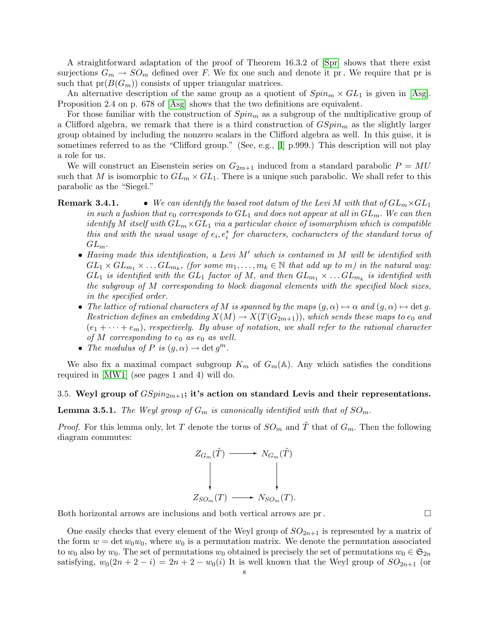A straightforward adaptation of the proof of Theorem 16.3.2 of [\[Spr\]](#page-50-11) shows that there exist surjections  $G_m \to SO_m$  defined over F. We fix one such and denote it pr. We require that pr is such that  $pr(B(G_m))$  consists of upper triangular matrices.

An alternative description of the same group as a quotient of  $Spin_m \times GL_1$  is given in [\[Asg\]](#page-48-0). Proposition 2.4 on p. 678 of [\[Asg\]](#page-48-0) shows that the two definitions are equivalent.

For those familiar with the construction of  $Spin<sub>m</sub>$  as a subgroup of the multiplicative group of a Clifford algebra, we remark that there is a third construction of  $GSpin_m$  as the slightly larger group obtained by including the nonzero scalars in the Clifford algebra as well. In this guise, it is sometimes referred to as the "Clifford group." (See, e.g., [\[I\]](#page-49-17) p.999.) This description will not play a role for us.

We will construct an Eisenstein series on  $G_{2m+1}$  induced from a standard parabolic  $P = MU$ such that M is isomorphic to  $GL_m \times GL_1$ . There is a unique such parabolic. We shall refer to this parabolic as the "Siegel."

- <span id="page-7-1"></span>**Remark 3.4.1.** • We can identify the based root datum of the Levi M with that of  $GL_m \times GL_1$ in such a fashion that  $e_0$  corresponds to  $GL_1$  and does not appear at all in  $GL_m$ . We can then identify M itself with  $GL_m \times GL_1$  via a particular choice of isomorphism which is compatible this and with the usual usage of  $e_i, e_i^*$  for characters, cocharacters of the standard torus of  $GL_m$ .
	- Having made this identification, a Levi  $M'$  which is contained in M will be identified with  $GL_1 \times GL_{m_1} \times \ldots GL_{m_k}$ , (for some  $m_1, \ldots, m_k \in \mathbb{N}$  that add up to m) in the natural way:  $GL_1$  is identified with the  $GL_1$  factor of M, and then  $GL_{m_1} \times \ldots GL_{m_k}$  is identified with the subgroup of M corresponding to block diagonal elements with the specified block sizes, in the specified order.
	- The lattice of rational characters of M is spanned by the maps  $(g, \alpha) \mapsto \alpha$  and  $(g, \alpha) \mapsto \det g$ . Restriction defines an embedding  $X(M) \to X(T(G_{2m+1}))$ , which sends these maps to  $e_0$  and  $(e_1 + \cdots + e_m)$ , respectively. By abuse of notation, we shall refer to the rational character of M corresponding to  $e_0$  as  $e_0$  as well.
	- The modulus of P is  $(g, \alpha) \to \det g^m$ .

We also fix a maximal compact subgroup  $K_m$  of  $G_m(\mathbb{A})$ . Any which satisfies the conditions required in [\[MW1\]](#page-50-6) (see pages 1 and 4) will do.

# <span id="page-7-0"></span>3.5. Weyl group of  $GSpin_{2m+1}$ ; it's action on standard Levis and their representations.

**Lemma 3.5.1.** The Weyl group of  $G_m$  is canonically identified with that of  $SO_m$ .

*Proof.* For this lemma only, let T denote the torus of  $SO_m$  and T that of  $G_m$ . Then the following diagram commutes:



Both horizontal arrows are inclusions and both vertical arrows are pr.

One easily checks that every element of the Weyl group of  $SO_{2n+1}$  is represented by a matrix of the form  $w = \det w_0 w_0$ , where  $w_0$  is a permutation matrix. We denote the permutation associated to  $w_0$  also by  $w_0$ . The set of permutations  $w_0$  obtained is precisely the set of permutations  $w_0 \in \mathfrak{S}_{2n}$ satisfying,  $w_0(2n + 2 - i) = 2n + 2 - w_0(i)$  It is well known that the Weyl group of  $SO_{2n+1}$  (or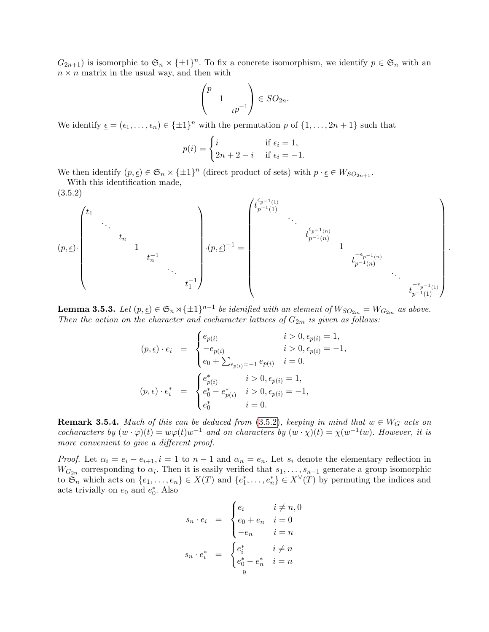$G_{2n+1}$ ) is isomorphic to  $\mathfrak{S}_n \rtimes {\pm 1}^n$ . To fix a concrete isomorphism, we identify  $p \in \mathfrak{S}_n$  with an  $n \times n$  matrix in the usual way, and then with

$$
\begin{pmatrix} p \\ 1 \\ t^{p-1} \end{pmatrix} \in SO_{2n}.
$$

We identify  $\underline{\epsilon} = (\epsilon_1, \ldots, \epsilon_n) \in {\pm 1}^n$  with the permutation p of  $\{1, \ldots, 2n+1\}$  such that

$$
p(i) = \begin{cases} i & \text{if } \epsilon_i = 1, \\ 2n + 2 - i & \text{if } \epsilon_i = -1. \end{cases}
$$

We then identify  $(p, \underline{\epsilon}) \in \mathfrak{S}_n \times {\{\pm 1\}}^n$  (direct product of sets) with  $p \cdot \underline{\epsilon} \in W_{SO_{2n+1}}$ .

With this identification made, (3.5.2)

<span id="page-8-0"></span>
$$
(p,\underline{\epsilon})\cdot \begin{pmatrix} t_1 & & & & & \\ & \ddots & & & & \\ & & t_n & & & \\ & & & 1 & & \\ & & & & & t_n^{-1} \\ & & & & & & & t_1^{-1} \\ & & & & & & & t_1^{-1} \end{pmatrix}\cdot (p,\underline{\epsilon})^{-1}= \begin{pmatrix} t_{p^{-1}(1)}^{\epsilon_{p^{-1}(1)}} & & & & & & \\ & \ddots & & & & & & \\ & & t_{p^{-1}(n)}^{\epsilon_{p^{-1}(n)}} & & & & \\ & & & & & & & t_{p^{-1}(n)}^{-\epsilon_{p^{-1}(n)}} \\ & & & & & & & t_{p^{-1}(1)}^{-\epsilon_{p^{-1}(1)}} \end{pmatrix}
$$

.

<span id="page-8-1"></span>**Lemma 3.5.3.** Let  $(p, \underline{\epsilon}) \in \mathfrak{S}_n \rtimes {\{\pm 1\}}^{n-1}$  be idenified with an element of  $W_{SO_{2m}} = W_{G_{2m}}$  as above. Then the action on the character and cocharacter lattices of  $G_{2m}$  is given as follows:

$$
(p, \underline{\epsilon}) \cdot e_i = \begin{cases} e_{p(i)} & i > 0, \epsilon_{p(i)} = 1, \\ -e_{p(i)} & i > 0, \epsilon_{p(i)} = -1, \\ e_0 + \sum_{\epsilon_{p(i)} = -1} e_{p(i)} & i = 0. \end{cases}
$$

$$
(p, \underline{\epsilon}) \cdot e_i^* = \begin{cases} e_{p(i)}^* & i > 0, \epsilon_{p(i)} = 1, \\ e_0^* - e_{p(i)}^* & i > 0, \epsilon_{p(i)} = -1, \\ e_0^* & i = 0. \end{cases}
$$

**Remark 3.5.4.** Much of this can be deduced from [\(3.5.2\)](#page-8-0), keeping in mind that  $w \in W_G$  acts on cocharacters by  $(w \cdot \varphi)(t) = w\varphi(t)w^{-1}$  and on characters by  $(w \cdot \chi)(t) = \chi(w^{-1}tw)$ . However, it is more convenient to give a different proof.

*Proof.* Let  $\alpha_i = e_i - e_{i+1}$ ,  $i = 1$  to  $n-1$  and  $\alpha_n = e_n$ . Let  $s_i$  denote the elementary reflection in  $W_{G_{2n}}$  corresponding to  $\alpha_i$ . Then it is easily verified that  $s_1, \ldots, s_{n-1}$  generate a group isomorphic to  $\mathfrak{S}_n$  which acts on  $\{e_1,\ldots,e_n\} \in X(T)$  and  $\{e_1^*,\ldots,e_n^*\} \in X^{\vee}(T)$  by permuting the indices and acts trivially on  $e_0$  and  $e_0^*$ . Also

$$
s_n \cdot e_i = \begin{cases} e_i & i \neq n, 0 \\ e_0 + e_n & i = 0 \\ -e_n & i = n \end{cases}
$$

$$
s_n \cdot e_i^* = \begin{cases} e_i^* & i \neq n \\ e_0^* - e_n^* & i = n \end{cases}
$$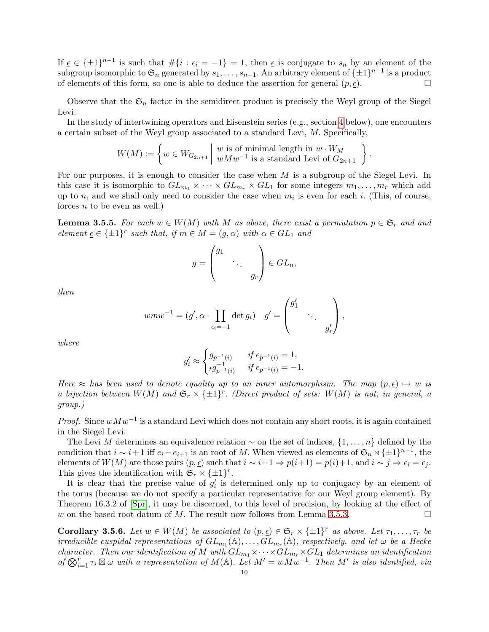If  $\epsilon \in {\pm 1}^{n-1}$  is such that  $\#\{i : \epsilon_i = -1\} = 1$ , then  $\epsilon$  is conjugate to  $s_n$  by an element of the subgroup isomorphic to  $\mathfrak{S}_n$  generated by  $s_1, \ldots, s_{n-1}$ . An arbitrary element of  $\{\pm 1\}^{n-1}$  is a product of elements of this form, so one is able to deduce the assertion for general  $(p, \underline{\epsilon})$ .

Observe that the  $\mathfrak{S}_n$  factor in the semidirect product is precisely the Weyl group of the Siegel Levi.

In the study of intertwining operators and Eisenstein series (e.g., section [4](#page-12-0) below), one encounters a certain subset of the Weyl group associated to a standard Levi, M. Specifically,

$$
W(M) := \left\{ w \in W_{G_{2n+1}} \mid \begin{array}{c} w \text{ is of minimal length in } w \cdot W_M \\ w M w^{-1} \text{ is a standard Levi of } G_{2n+1} \end{array} \right\}
$$

.

For our purposes, it is enough to consider the case when  $M$  is a subgroup of the Siegel Levi. In this case it is isomorphic to  $GL_{m_1} \times \cdots \times GL_{m_r} \times GL_1$  for some integers  $m_1, \ldots, m_r$  which add up to n, and we shall only need to consider the case when  $m_i$  is even for each i. (This, of course, forces  $n$  to be even as well.)

<span id="page-9-1"></span>**Lemma 3.5.5.** For each  $w \in W(M)$  with M as above, there exist a permutation  $p \in \mathfrak{S}_r$  and and element  $\underline{\epsilon} \in {\pm 1}^r$  such that, if  $m \in M = (g, \alpha)$  with  $\alpha \in GL_1$  and

$$
g = \begin{pmatrix} g_1 & & \\ & \ddots & \\ & & g_r \end{pmatrix} \in GL_n,
$$

then

$$
wmw^{-1} = (g', \alpha \cdot \prod_{\epsilon_i = -1} \det g_i) \quad g' = \begin{pmatrix} g'_1 & & \\ & \ddots & \\ & & g'_r \end{pmatrix},
$$

where

$$
g_i' \approx \begin{cases} g_{p^{-1}(i)} & \text{if } \epsilon_{p^{-1}(i)} = 1, \\ \, t g_{p^{-1}(i)}^{-1} & \text{if } \epsilon_{p^{-1}(i)} = -1. \end{cases}
$$

Here  $\approx$  has been used to denote equality up to an inner automorphism. The map  $(p, \epsilon) \mapsto w$  is a bijection between  $W(M)$  and  $\mathfrak{S}_r \times {\pm 1}^r$ . (Direct product of sets:  $W(M)$  is not, in general, a group.)

*Proof.* Since  $wMw^{-1}$  is a standard Levi which does not contain any short roots, it is again contained in the Siegel Levi.

The Levi M determines an equivalence relation  $\sim$  on the set of indices,  $\{1,\ldots,n\}$  defined by the condition that  $i \sim i+1$  iff  $e_i - e_{i+1}$  is an root of M. When viewed as elements of  $\mathfrak{S}_n \rtimes {\pm 1}^{n-1}$ , the elements of  $W(M)$  are those pairs  $(p, \underline{\epsilon})$  such that  $i \sim i+1 \Rightarrow p(i+1) = p(i)+1$ , and  $i \sim j \Rightarrow \epsilon_i = \epsilon_j$ . This gives the identification with  $\mathfrak{S}_r \times {\{\pm 1\}}^r$ .

It is clear that the precise value of  $g_i'$  is determined only up to conjugacy by an element of the torus (because we do not specify a particular representative for our Weyl group element). By Theorem 16.3.2 of [\[Spr\]](#page-50-11), it may be discerned, to this level of precision, by looking at the effect of w on the based root datum of M. The result now follows from Lemma [3.5.3.](#page-8-1)

<span id="page-9-0"></span>**Corollary 3.5.6.** Let  $w \in W(M)$  be associated to  $(p, \underline{\epsilon}) \in \mathfrak{S}_r \times \{\pm 1\}^r$  as above. Let  $\tau_1, \ldots, \tau_r$  be irreducible cuspidal representations of  $GL_{m_1}(\mathbb{A}), \ldots, GL_{m_r}(\mathbb{A}),$  respectively, and let  $\omega$  be a Hecke character. Then our identification of M with  $GL_{m_1} \times \cdots \times GL_{m_r} \times GL_1$  determines an identification of  $\bigotimes_{i=1}^r \tau_i \boxtimes \omega$  with a representation of  $M(\mathbb{A})$ . Let  $M' = wMw^{-1}$ . Then M' is also identified, via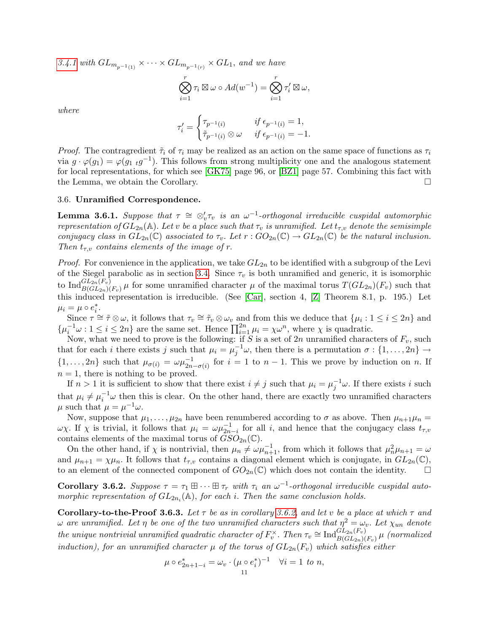[3.4.1](#page-7-1) with  $GL_{m_{p^{-1}(1)}} \times \cdots \times GL_{m_{p^{-1}(r)}} \times GL_1$ , and we have

$$
\bigotimes_{i=1}^r \tau_i \boxtimes \omega \circ Ad(w^{-1}) = \bigotimes_{i=1}^r \tau_i' \boxtimes \omega,
$$

where

$$
\tau_i' = \begin{cases} \tau_{p^{-1}(i)} & \text{if } \epsilon_{p^{-1}(i)} = 1, \\ \tilde{\tau}_{p^{-1}(i)} \otimes \omega & \text{if } \epsilon_{p^{-1}(i)} = -1. \end{cases}
$$

*Proof.* The contragredient  $\tilde{\tau}_i$  of  $\tau_i$  may be realized as an action on the same space of functions as  $\tau_i$ via  $g \cdot \varphi(g_1) = \varphi(g_1 \tildot g^{-1})$ . This follows from strong multiplicity one and the analogous statement for local representations, for which see [\[GK75\]](#page-49-18) page 96, or [\[BZ1\]](#page-48-7) page 57. Combining this fact with the Lemma, we obtain the Corollary.

# <span id="page-10-0"></span>3.6. Unramified Correspondence.

<span id="page-10-2"></span>**Lemma 3.6.1.** Suppose that  $\tau \cong \otimes_v' \tau_v$  is an  $\omega^{-1}$ -orthogonal irreducible cuspidal automorphic representation of  $GL_{2n}(\mathbb{A})$ . Let v be a place such that  $\tau_v$  is unramified. Let  $t_{\tau,v}$  denote the semisimple conjugacy class in  $GL_{2n}(\mathbb{C})$  associated to  $\tau_v$ . Let  $r: GO_{2n}(\mathbb{C}) \to GL_{2n}(\mathbb{C})$  be the natural inclusion. Then  $t_{\tau,v}$  contains elements of the image of r.

*Proof.* For convenience in the application, we take  $GL_{2n}$  to be identified with a subgroup of the Levi of the Siegel parabolic as in section [3.4.](#page-5-1) Since  $\tau_v$  is both unramified and generic, it is isomorphic to  $\text{Ind}_{B(GL_{2n}(F_v)}^{GL_{2n}(F_v)}\mu$  for some unramified character  $\mu$  of the maximal torus  $T(GL_{2n})(F_v)$  such that this induced representation is irreducible. (See [\[Car\]](#page-48-8), section 4, [\[Z\]](#page-51-0) Theorem 8.1, p. 195.) Let  $\mu_i = \mu \circ e_i^*$ .

Since  $\tau \simeq \tilde{\tau} \otimes \omega$ , it follows that  $\tau_v \simeq \tilde{\tau}_v \otimes \omega_v$  and from this we deduce that  $\{\mu_i : 1 \leq i \leq 2n\}$  and  $\{\mu_i^{-1} \omega : 1 \leq i \leq 2n\}$  are the same set. Hence  $\prod_{i=1}^{2n} \mu_i = \chi \omega^n$ , where  $\chi$  is quadratic.

Now, what we need to prove is the following: if S is a set of  $2n$  unramified characters of  $F_v$ , such that for each i there exists j such that  $\mu_i = \mu_j^{-1}\omega$ , then there is a permutation  $\sigma : \{1, \ldots, 2n\} \to$  $\{1,\ldots,2n\}$  such that  $\mu_{\sigma(i)} = \omega \mu_{2n-\sigma(i)}^{-1}$  for  $i = 1$  to  $n-1$ . This we prove by induction on n. If  $n = 1$ , there is nothing to be proved.

If  $n > 1$  it is sufficient to show that there exist  $i \neq j$  such that  $\mu_i = \mu_j^{-1} \omega$ . If there exists i such that  $\mu_i \neq \mu_i^{-1} \omega$  then this is clear. On the other hand, there are exactly two unramified characters  $\mu$  such that  $\mu = \mu^{-1}\omega$ .

Now, suppose that  $\mu_1, \ldots, \mu_{2n}$  have been renumbered according to  $\sigma$  as above. Then  $\mu_{n+1}\mu_n =$  $\omega_{\chi}$ . If  $\chi$  is trivial, it follows that  $\mu_i = \omega \mu_{2n-i}^{-1}$  for all i, and hence that the conjugacy class  $t_{\tau,v}$ contains elements of the maximal torus of  $GSO_{2n}(\mathbb{C})$ .

On the other hand, if  $\chi$  is nontrivial, then  $\mu_n \neq \omega \mu_{n+1}^{-1}$ , from which it follows that  $\mu_n^2 \mu_{n+1} = \omega$ and  $\mu_{n+1} = \chi \mu_n$ . It follows that  $t_{\tau,v}$  contains a diagonal element which is conjugate, in  $GL_{2n}(\mathbb{C}),$ to an element of the connected component of  $GO_{2n}(\mathbb{C})$  which does not contain the identity.

<span id="page-10-1"></span>**Corollary 3.6.2.** Suppose  $\tau = \tau_1 \boxplus \cdots \boxplus \tau_r$  with  $\tau_i$  an  $\omega^{-1}$ -orthogonal irreducible cuspidal automorphic representation of  $GL_{2n_i}(\mathbb{A})$ , for each i. Then the same conclusion holds.

Corollary-to-the-Proof 3.6.3. Let  $\tau$  be as in corollary [3.6.2,](#page-10-1) and let v be a place at which  $\tau$  and ω are unramified. Let η be one of the two unramified characters such that  $η<sup>2</sup> = ω<sub>v</sub>$ . Let  $χ<sub>un</sub>$  denote the unique nontrivial unramified quadratic character of  $F_v^{\times}$ . Then  $\tau_v \cong \text{Ind}_{B(GL_{2n})(F_v)}^{GL_{2n}(F_v)}\mu$  (normalized induction), for an unramified character  $\mu$  of the torus of  $GL_{2n}(F_v)$  which satisfies either

$$
\mu \circ e_{2n+1-i}^* = \omega_v \cdot (\mu \circ e_i^*)^{-1} \quad \forall i = 1 \text{ to } n,
$$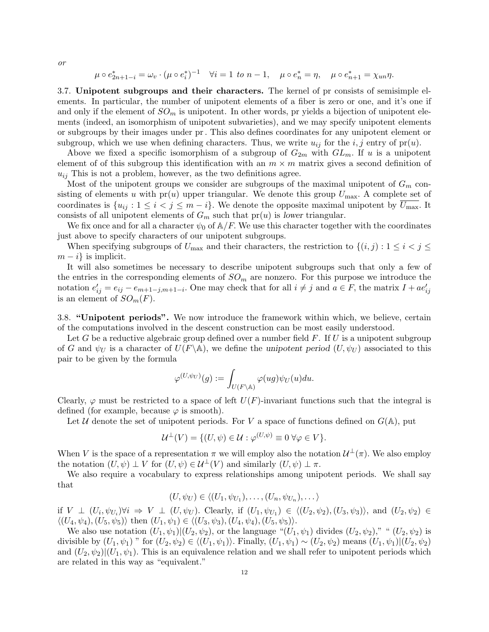or

$$
\mu \circ e_{2n+1-i}^* = \omega_v \cdot (\mu \circ e_i^*)^{-1}
$$
  $\forall i = 1 \text{ to } n-1$ ,  $\mu \circ e_n^* = \eta$ ,  $\mu \circ e_{n+1}^* = \chi_{un}\eta$ .

<span id="page-11-0"></span>3.7. Unipotent subgroups and their characters. The kernel of pr consists of semisimple elements. In particular, the number of unipotent elements of a fiber is zero or one, and it's one if and only if the element of  $SO_m$  is unipotent. In other words, pr yields a bijection of unipotent elements (indeed, an isomorphism of unipotent subvarieties), and we may specify unipotent elements or subgroups by their images under pr. This also defines coordinates for any unipotent element or subgroup, which we use when defining characters. Thus, we write  $u_{ij}$  for the i, j entry of pr(u).

Above we fixed a specific isomorphism of a subgroup of  $G_{2m}$  with  $GL_m$ . If u is a unipotent element of of this subgroup this identification with an  $m \times m$  matrix gives a second definition of  $u_{ij}$  This is not a problem, however, as the two definitions agree.

Most of the unipotent groups we consider are subgroups of the maximal unipotent of  $G_m$  consisting of elements u with  $pr(u)$  upper triangular. We denote this group  $U_{\text{max}}$ . A complete set of coordinates is  $\{u_{ij}: 1 \le i < j \le m - i\}$ . We denote the opposite maximal unipotent by  $U_{\text{max}}$ . It consists of all unipotent elements of  $G_m$  such that  $pr(u)$  is lower triangular.

We fix once and for all a character  $\psi_0$  of  $\mathbb{A}/F$ . We use this character together with the coordinates just above to specify characters of our unipotent subgroups.

When specifying subgroups of  $U_{\text{max}}$  and their characters, the restriction to  $\{(i, j) : 1 \leq i < j \leq j \leq n\}$  $m - i$  is implicit.

It will also sometimes be necessary to describe unipotent subgroups such that only a few of the entries in the corresponding elements of  $SO_m$  are nonzero. For this purpose we introduce the notation  $e'_{ij} = e_{ij} - e_{m+1-j,m+1-i}$ . One may check that for all  $i \neq j$  and  $a \in F$ , the matrix  $I + ae'_{ij}$ is an element of  $SO_m(F)$ .

<span id="page-11-1"></span>3.8. "Unipotent periods". We now introduce the framework within which, we believe, certain of the computations involved in the descent construction can be most easily understood.

Let G be a reductive algebraic group defined over a number field  $F$ . If U is a unipotent subgroup of G and  $\psi_U$  is a character of  $U(F \backslash \mathbb{A})$ , we define the unipotent period  $(U, \psi_U)$  associated to this pair to be given by the formula

$$
\varphi^{(U,\psi_U)}(g):=\int_{U(F\backslash \mathbb{A})}\varphi(ug)\psi_U(u)du.
$$

Clearly,  $\varphi$  must be restricted to a space of left  $U(F)$ -invariant functions such that the integral is defined (for example, because  $\varphi$  is smooth).

Let U denote the set of unipotent periods. For V a space of functions defined on  $G(A)$ , put

$$
\mathcal{U}^{\perp}(V) = \{ (U, \psi) \in \mathcal{U} : \varphi^{(U, \psi)} \equiv 0 \,\forall \varphi \in V \}.
$$

When V is the space of a representation  $\pi$  we will employ also the notation  $\mathcal{U}^{\perp}(\pi)$ . We also employ the notation  $(U, \psi) \perp V$  for  $(U, \psi) \in \mathcal{U}^{\perp}(V)$  and similarly  $(U, \psi) \perp \pi$ .

We also require a vocabulary to express relationships among unipotent periods. We shall say that

$$
(U, \psi_U) \in \langle (U_1, \psi_{U_1}), \dots, (U_n, \psi_{U_n}), \dots \rangle
$$

if  $V \perp (U_i, \psi_{U_i}) \forall i \Rightarrow V \perp (U, \psi_U)$ . Clearly, if  $(U_1, \psi_{U_1}) \in \langle (U_2, \psi_2), (U_3, \psi_3) \rangle$ , and  $(U_2, \psi_2) \in$  $\langle (U_4, \psi_4), (U_5, \psi_5) \rangle$  then  $(U_1, \psi_1) \in \langle (U_3, \psi_3), (U_4, \psi_4), (U_5, \psi_5) \rangle$ .

We also use notation  $(U_1, \psi_1)|(U_2, \psi_2)$ , or the language " $(U_1, \psi_1)$  divides  $(U_2, \psi_2)$ ," " $(U_2, \psi_2)$  is divisible by  $(U_1, \psi_1)$  " for  $(U_2, \psi_2) \in \langle (U_1, \psi_1) \rangle$ . Finally,  $(U_1, \psi_1) \sim (U_2, \psi_2)$  means  $(U_1, \psi_1)|(U_2, \psi_2)$ and  $(U_2, \psi_2)(U_1, \psi_1)$ . This is an equivalence relation and we shall refer to unipotent periods which are related in this way as "equivalent."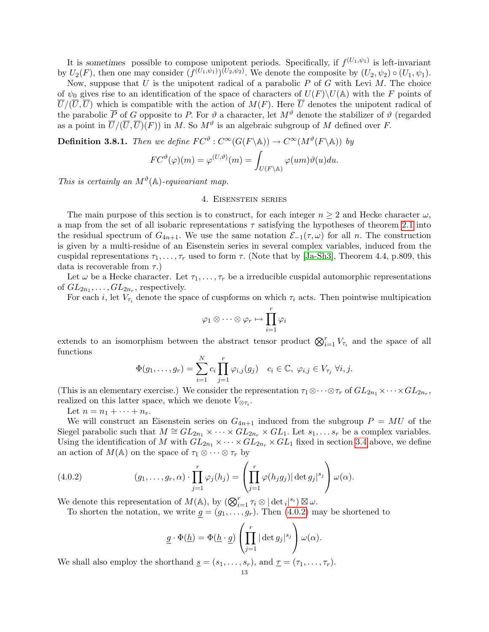It is sometimes possible to compose unipotent periods. Specifically, if  $f^{(U_1,\psi_1)}$  is left-invariant by  $U_2(F)$ , then one may consider  $(f^{(U_1,\psi_1)})^{(U_2,\psi_2)}$ . We denote the composite by  $(U_2,\psi_2) \circ (U_1,\psi_1)$ .

Now, suppose that  $U$  is the unipotent radical of a parabolic  $P$  of  $G$  with Levi  $M$ . The choice of  $\psi_0$  gives rise to an identification of the space of characters of  $U(F)\setminus U(A)$  with the F points of  $\overline{U}/(\overline{U},\overline{U})$  which is compatible with the action of  $M(F)$ . Here  $\overline{U}$  denotes the unipotent radical of the parabolic  $\overline{P}$  of G opposite to P. For  $\vartheta$  a character, let  $M^{\vartheta}$  denote the stabilizer of  $\vartheta$  (regarded as a point in  $\overline{U}/(\overline{U}, \overline{U})(F)$  in M. So  $M^{\vartheta}$  is an algebraic subgroup of M defined over F.

<span id="page-12-2"></span>**Definition 3.8.1.** Then we define  $FC^{\vartheta} : C^{\infty}(G(F \backslash \mathbb{A})) \to C^{\infty}(M^{\vartheta}(F \backslash \mathbb{A}))$  by

$$
FC^{\vartheta}(\varphi)(m) = \varphi^{(U,\vartheta)}(m) = \int_{U(F \backslash \mathbb{A})} \varphi(um)\vartheta(u) du.
$$

<span id="page-12-0"></span>This is certainly an  $M^{\vartheta}(\mathbb{A})$ -equivariant map.

# 4. Eisenstein series

The main purpose of this section is to construct, for each integer  $n \geq 2$  and Hecke character  $\omega$ , a map from the set of all isobaric representations  $\tau$  satisfying the hypotheses of theorem [2.1](#page-3-0) into the residual spectrum of  $G_{4n+1}$ . We use the same notation  $\mathcal{E}_{-1}(\tau,\omega)$  for all n. The construction is given by a multi-residue of an Eisenstein series in several complex variables, induced from the cuspidal representations  $\tau_1, \ldots, \tau_r$  used to form  $\tau$ . (Note that by [\[Ja-Sh3\]](#page-49-13), Theorem 4.4, p.809, this data is recoverable from  $\tau$ .)

Let  $\omega$  be a Hecke character. Let  $\tau_1, \ldots, \tau_r$  be a irreducible cuspidal automorphic representations of  $GL_{2n_1},\ldots, GL_{2n_r}$ , respectively.

For each i, let  $V_{\tau_i}$  denote the space of cuspforms on which  $\tau_i$  acts. Then pointwise multipication

$$
\varphi_1 \otimes \cdots \otimes \varphi_r \mapsto \prod_{i=1}^r \varphi_i
$$

extends to an isomorphism between the abstract tensor product  $\bigotimes_{i=1}^r V_{\tau_i}$  and the space of all functions

$$
\Phi(g_1,\ldots,g_r)=\sum_{i=1}^N c_i \prod_{j=1}^r \varphi_{i,j}(g_j) \quad c_i\in\mathbb{C}, \ \varphi_{i,j}\in V_{\tau_j} \ \forall i,j.
$$

(This is an elementary exercise.) We consider the representation  $\tau_1 \otimes \cdots \otimes \tau_r$  of  $GL_{2n_1} \times \cdots \times GL_{2n_r}$ , realized on this latter space, which we denote  $V_{\otimes \tau_i}$ .

Let  $n = n_1 + \cdots + n_r$ .

We will construct an Eisenstein series on  $G_{4n+1}$  induced from the subgroup  $P = MU$  of the Siegel parabolic such that  $M \cong GL_{2n_1} \times \cdots \times GL_{2n_r} \times GL_1$ . Let  $s_1, \ldots s_r$  be a complex variables. Using the identification of M with  $GL_{2n_1} \times \cdots \times GL_{2n_r} \times GL_1$  fixed in section [3.4](#page-5-1) above, we define an action of  $M(\mathbb{A})$  on the space of  $\tau_1 \otimes \cdots \otimes \tau_r$  by

(4.0.2) 
$$
(g_1,\ldots,g_r,\alpha)\cdot\prod_{j=1}^r\varphi_j(h_j)=\left(\prod_{j=1}^r\varphi(h_jg_j)|\det g_j|^{s_j}\right)\omega(\alpha).
$$

We denote this representation of  $M(\mathbb{A})$ , by  $(\bigotimes_{i=1}^r \tau_i \otimes |\det_i|^{s_i}) \boxtimes \omega$ .

To shorten the notation, we write  $g = (g_1, \ldots, g_r)$ . Then  $(4.0.2)$  may be shortened to

<span id="page-12-1"></span>
$$
\underline{g} \cdot \Phi(\underline{h}) = \Phi(\underline{h} \cdot \underline{g}) \left( \prod_{j=1}^r |\det g_j|^{s_j} \right) \omega(\alpha).
$$

We shall also employ the shorthand  $\underline{s} = (s_1, \ldots, s_r)$ , and  $\underline{\tau} = (\tau_1, \ldots, \tau_r)$ .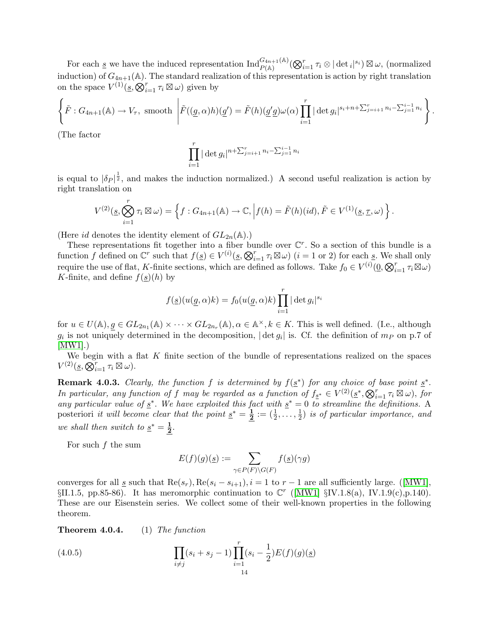For each <u>s</u> we have the induced representation  $\mathrm{Ind}_{P(\mathbb{A})}^{G_{4n+1}(\mathbb{A})}(\bigotimes_{i=1}^{r}\tau_{i}\otimes|\det_{i}|^{s_{i}})\boxtimes \omega$ , (normalized induction) of  $G_{4n+1}(\mathbb{A})$ . The standard realization of this representation is action by right translation on the space  $V^{(1)}(\underline{s}, \bigotimes_{i=1}^r \tau_i \boxtimes \omega)$  given by

$$
\left\{\tilde{F}: G_{4n+1}(\mathbb{A}) \to V_{\tau}, \text{ smooth }\left|\tilde{F}((g,\alpha)h)(g') = \tilde{F}(h)(g'g)\omega(\alpha)\prod_{i=1}^r |\det g_i|^{s_i+n+\sum_{j=i+1}^r n_i-\sum_{j=1}^{i-1} n_i}\right\}.
$$

(The factor

$$
\prod_{i=1}^{r} |\det g_i|^{n+\sum_{j=i+1}^{r} n_i - \sum_{j=1}^{i-1} n_i}
$$

is equal to  $|\delta_P|^{\frac{1}{2}}$ , and makes the induction normalized.) A second useful realization is action by right translation on

$$
V^{(2)}(\underline{s}, \bigotimes_{i=1}^r \tau_i \boxtimes \omega) = \left\{ f : G_{4n+1}(\mathbb{A}) \to \mathbb{C}, \Big| f(h) = \tilde{F}(h)(id), \tilde{F} \in V^{(1)}(\underline{s}, \underline{\tau}, \omega) \right\}.
$$

(Here id denotes the identity element of  $GL_{2n}(\mathbb{A})$ .)

These representations fit together into a fiber bundle over  $\mathbb{C}^r$ . So a section of this bundle is a function f defined on  $\mathbb{C}^r$  such that  $f(\underline{s}) \in V^{(i)}(\underline{s}, \bigotimes_{i=1}^r \tau_i \boxtimes \omega)$   $(i = 1 \text{ or } 2)$  for each  $\underline{s}$ . We shall only require the use of flat, K-finite sections, which are defined as follows. Take  $f_0 \in V^{(i)}(\underline{0}, \bigotimes_{i=1}^r \tau_i \boxtimes \omega)$ K-finite, and define  $f(s)(h)$  by

$$
f(\underline{s})(u(\underline{g}, \alpha)k) = f_0(u(\underline{g}, \alpha)k) \prod_{i=1}^r |\det g_i|^{s_i}
$$

for  $u \in U(\mathbb{A}), g \in GL_{2n_1}(\mathbb{A}) \times \cdots \times GL_{2n_r}(\mathbb{A}), \alpha \in \mathbb{A}^{\times}, k \in K$ . This is well defined. (I.e., although  $g_i$  is not uniquely determined in the decomposition,  $|\det g_i|$  is. Cf. the definition of  $m_P$  on p.7 of [\[MW1\]](#page-50-6).)

We begin with a flat  $K$  finite section of the bundle of representations realized on the spaces  $V^{(2)}(\underline{s}, \overline{\mathcal{Q}}_{i=1}^r \tau_i \boxtimes \omega).$ 

**Remark 4.0.3.** Clearly, the function f is determined by  $f(\underline{s}^*)$  for any choice of base point  $\underline{s}^*$ . In particular, any function of f may be regarded as a function of  $f_{\underline{s}^*} \in V^{(2)}(\underline{s}^*, \bigotimes_{i=1}^r \tau_i \boxtimes \omega)$ , for any particular value of  $\underline{s}^*$ . We have exploited this fact with  $\underline{s}^* = 0$  to streamline the definitions. A posteriori *it will become clear that the point*  $\underline{s}^* = \frac{1}{2}$  $\frac{\mathbf{1}}{\mathbf{2}}:=(\frac{1}{2},\ldots,\frac{1}{2}% ,\ldots,(\frac{1}{2},\ldots))$  $\frac{1}{2}$ ) is of particular importance, and we shall then switch to  $s^* = \frac{1}{2}$  $\frac{1}{2}$ .

For such  $f$  the sum

<span id="page-13-1"></span>
$$
E(f)(g)(\underline{s}) := \sum_{\gamma \in P(F) \backslash G(F)} f(\underline{s})(\gamma g)
$$

convergesfor all <u>s</u> such that  $\text{Re}(s_r)$ ,  $\text{Re}(s_i - s_{i+1}), i = 1$  to  $r - 1$  are all sufficiently large. ([\[MW1\]](#page-50-6),  $\S II.1.5, pp.85-86$ ). It has meromorphic continuation to  $\mathbb{C}^r$  ([\[MW1\]](#page-50-6)  $\S IV.1.8(a)$ , IV.1.9(c), p.140). These are our Eisenstein series. We collect some of their well-known properties in the following theorem.

<span id="page-13-0"></span>**Theorem 4.0.4.** (1) The function

(4.0.5) 
$$
\prod_{i \neq j} (s_i + s_j - 1) \prod_{i=1}^r (s_i - \frac{1}{2}) E(f)(g)(\underline{s})
$$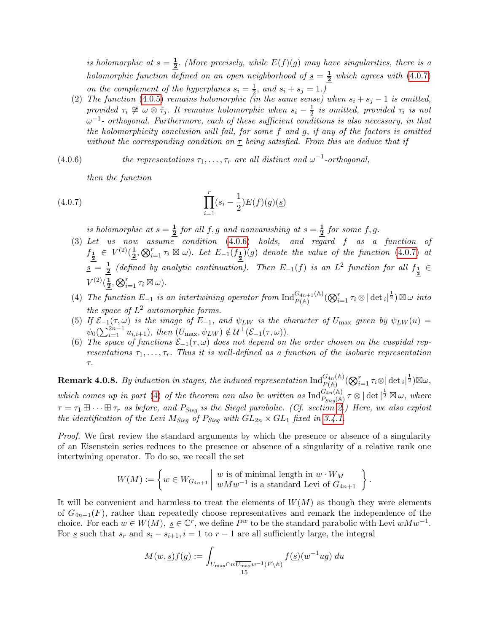is holomorphic at  $s=\frac{1}{2}$  $\frac{1}{2}$ . (More precisely, while  $E(f)(g)$  may have singularities, there is a holomorphic function defined on an open neighborhood of  $s = \frac{1}{2}$  $\frac{1}{2}$  which agrees with  $(4.0.7)$ on the complement of the hyperplanes  $s_i = \frac{1}{2}$  $\frac{1}{2}$ , and  $s_i + s_j = 1$ .)

<span id="page-14-3"></span>(2) The function [\(4.0.5\)](#page-13-1) remains holomorphic (in the same sense) when  $s_i + s_j - 1$  is omitted, provided  $\tau_i \not\cong \omega \otimes \tilde{\tau}_j$ . It remains holomorphic when  $s_i - \frac{1}{2}$  $\frac{1}{2}$  is omitted, provided  $\tau_i$  is not  $\omega^{-1}$ - orthogonal. Furthermore, each of these sufficient conditions is also necessary, in that the holomorphicity conclusion will fail, for some f and g, if any of the factors is omitted without the corresponding condition on  $\tau$  being satisfied. From this we deduce that if

(4.0.6) the representations  $\tau_1, \ldots, \tau_r$  are all distinct and  $\omega^{-1}$ -orthogonal,

<span id="page-14-1"></span><span id="page-14-0"></span>then the function

(4.0.7) 
$$
\prod_{i=1}^{r} (s_i - \frac{1}{2}) E(f)(g)(\underline{s})
$$

is holomorphic at  $s=\frac{1}{2}$  $\frac{1}{2}$  for all f, g and nonvanishing at  $s=\frac{1}{2}$  $\frac{1}{2}$  for some f, g.

- <span id="page-14-4"></span>(3) Let us now assume condition  $(4.0.6)$  holds, and regard f as a function of  $f_{\frac{1}{2}} \in V^{(2)}(\frac{1}{2})$  $\frac{1}{2}, \bigotimes_{i=1}^r \tau_i \boxtimes \omega$ ). Let  $E_{-1}(f_{\frac{1}{2}})(g)$  denote the value of the function [\(4.0.7\)](#page-14-0) at  $s = \frac{1}{2}$  $\frac{1}{2}$  (defined by analytic continuation). Then  $E_{-1}(f)$  is an  $L^2$  function for all  $f_{\frac{1}{2}} \in$  $V^{(2)}(\frac{1}{2})$  $\frac{1}{2}, \bigotimes_{i=1}^r \tau_i \boxtimes \omega$ ).
- <span id="page-14-2"></span>(4) The function  $E_{-1}$  is an intertwining operator from  $\text{Ind}_{P(\mathbb{A})}^{G_{4n+1}(\mathbb{A})}(\bigotimes_{i=1}^{r} \tau_i \otimes |\det_i|^{\frac{1}{2}}) \boxtimes \omega$  into the space of  $L^2$  automorphic forms.
- <span id="page-14-5"></span>(5) If  $\mathcal{E}_{-1}(\tau,\omega)$  is the image of  $E_{-1}$ , and  $\psi_{LW}$  is the character of  $U_{\text{max}}$  given by  $\psi_{LW}(u)$  $\psi_0(\sum_{i=1}^{2n-1} u_{i,i+1}), \text{ then } (U_{\text{max}}, \psi_{LW}) \notin \mathcal{U}^{\perp}(\mathcal{E}_{-1}(\tau, \omega)).$
- <span id="page-14-6"></span>(6) The space of functions  $\mathcal{E}_{-1}(\tau,\omega)$  does not depend on the order chosen on the cuspidal representations  $\tau_1, \ldots, \tau_r$ . Thus it is well-defined as a function of the isobaric representation τ.

<span id="page-14-7"></span> ${\bf Remark~4.0.8.}~~By~induction~in~stages,~the~induced~representation~\text{Ind}_{P(\mathbb{A})}^{G_{4n}(\mathbb{A})}(\bigotimes_{i=1}^{r}\tau_{i}\otimes|\det{}_{i}|^{\frac{1}{2}})\boxtimes\omega,$ which comes up in part [\(4\)](#page-14-2) of the theorem can also be written as  $\text{Ind}_{P_{\text{Sieg}}(\mathbb{A})}^{\tilde{G_{4n}}(\mathbb{A})} \tau \otimes |\det|^{\frac{1}{2}} \boxtimes \omega$ , where  $\tau = \tau_1 \boxplus \cdots \boxplus \tau_r$  as before, and  $P_{\text{Sieg}}$  is the Siegel parabolic. (Cf. section [2.](#page-3-1)) Here, we also exploit the identification of the Levi  $M_{\text{Sieg}}$  of  $P_{\text{Sieg}}$  with  $GL_{2n} \times GL_1$  fixed in [3.4.1.](#page-7-1)

Proof. We first review the standard arguments by which the presence or absence of a singularity of an Eisenstein series reduces to the presence or absence of a singularity of a relative rank one intertwining operator. To do so, we recall the set

$$
W(M) := \left\{ w \in W_{G_{4n+1}} \mid \begin{array}{c} w \text{ is of minimal length in } w \cdot W_M \\ w M w^{-1} \text{ is a standard Levi of } G_{4n+1} \end{array} \right\}
$$

.

It will be convenient and harmless to treat the elements of  $W(M)$  as though they were elements of  $G_{4n+1}(F)$ , rather than repeatedly choose representatives and remark the independence of the choice. For each  $w \in W(M)$ ,  $\underline{s} \in \mathbb{C}^r$ , we define  $P^w$  to be the standard parabolic with Levi  $wMw^{-1}$ . For <u>s</u> such that  $s_r$  and  $s_i - s_{i+1}$ ,  $i = 1$  to  $r - 1$  are all sufficiently large, the integral

$$
M(w, \underline{s})f(g) := \int_{U_{\max} \cap w \overline{U_{\max}}} w^{-1}(F \backslash \mathbb{A})} f(\underline{s})(w^{-1}ug) \, du
$$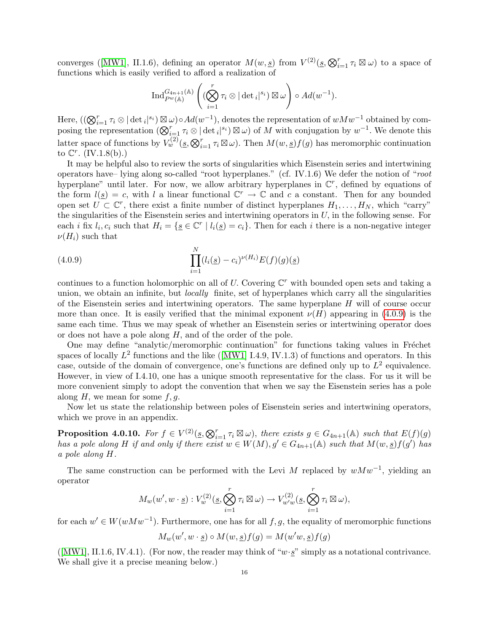converges([\[MW1\]](#page-50-6), II.1.6), defining an operator  $M(w, s)$  from  $V^{(2)}(s, \mathcal{Q}_{i=1}^r \tau_i \boxtimes \omega)$  to a space of functions which is easily verified to afford a realization of

$$
\operatorname{Ind}_{P^w(\mathbb{A})}^{G_{4n+1}(\mathbb{A})} \left( (\bigotimes_{i=1}^r \tau_i \otimes |\det_i|^{s_i}) \boxtimes \omega \right) \circ Ad(w^{-1}).
$$

Here,  $((\bigotimes_{i=1}^r \tau_i \otimes |\det_i|^{s_i}) \boxtimes \omega) \circ Ad(w^{-1}),$  denotes the representation of  $wMw^{-1}$  obtained by composing the representation  $(\bigotimes_{i=1}^r \tau_i \otimes |\det_i|^{s_i}) \boxtimes \omega$  of M with conjugation by  $w^{-1}$ . We denote this latter space of functions by  $V_w^{(2)}(\underline{s}, \bigotimes_{i=1}^r \tau_i \boxtimes \omega)$ . Then  $M(w, \underline{s})f(g)$  has meromorphic continuation to  $\mathbb{C}^r$ . (IV.1.8(b).)

It may be helpful also to review the sorts of singularities which Eisenstein series and intertwining operators have– lying along so-called "root hyperplanes." (cf. IV.1.6) We defer the notion of "root hyperplane" until later. For now, we allow arbitrary hyperplanes in  $\mathbb{C}^r$ , defined by equations of the form  $l(s) = c$ , with l a linear functional  $\mathbb{C}^r \to \mathbb{C}$  and c a constant. Then for any bounded open set  $U \subset \mathbb{C}^r$ , there exist a finite number of distinct hyperplanes  $H_1, \ldots, H_N$ , which "carry" the singularities of the Eisenstein series and intertwining operators in  $U$ , in the following sense. For each *i* fix  $l_i$ ,  $c_i$  such that  $H_i = \{ \underline{s} \in \mathbb{C}^r \mid l_i(\underline{s}) = c_i \}.$  Then for each *i* there is a non-negative integer  $\nu(H_i)$  such that

<span id="page-15-1"></span>(4.0.9) 
$$
\prod_{i=1}^{N} (l_i(\underline{s}) - c_i)^{\nu(H_i)} E(f)(g)(\underline{s})
$$

continues to a function holomorphic on all of U. Covering  $\mathbb{C}^r$  with bounded open sets and taking a union, we obtain an infinite, but *locally* finite, set of hyperplanes which carry all the singularities of the Eisenstein series and intertwining operators. The same hyperplane  $H$  will of course occur more than once. It is easily verified that the minimal exponent  $\nu(H)$  appearing in [\(4.0.9\)](#page-15-1) is the same each time. Thus we may speak of whether an Eisenstein series or intertwining operator does or does not have a pole along H, and of the order of the pole.

One may define "analytic/meromorphic continuation" for functions taking values in Fréchet spacesof locally  $L^2$  functions and the like ([\[MW1\]](#page-50-6) I.4.9, IV.1.3) of functions and operators. In this case, outside of the domain of convergence, one's functions are defined only up to  $L^2$  equivalence. However, in view of I.4.10, one has a unique smooth representative for the class. For us it will be more convenient simply to adopt the convention that when we say the Eisenstein series has a pole along  $H$ , we mean for some  $f, g$ .

Now let us state the relationship between poles of Eisenstein series and intertwining operators, which we prove in an appendix.

<span id="page-15-0"></span>**Proposition 4.0.10.** For  $f \in V^{(2)}(s, \bigotimes_{i=1}^{r} \tau_i \boxtimes \omega)$ , there exists  $g \in G_{4n+1}(\mathbb{A})$  such that  $E(f)(g)$ has a pole along H if and only if there exist  $w \in W(M)$ ,  $g' \in G_{4n+1}(\mathbb{A})$  such that  $M(w, \underline{s})f(g')$  has a pole along H.

The same construction can be performed with the Levi M replaced by  $wMw^{-1}$ , yielding an operator

$$
M_w(w', w \cdot \underline{s}) : V_w^{(2)}(\underline{s}, \bigotimes_{i=1}^r \tau_i \boxtimes \omega) \to V_{w'w}^{(2)}(\underline{s}, \bigotimes_{i=1}^r \tau_i \boxtimes \omega),
$$

for each  $w' \in W(wMw^{-1})$ . Furthermore, one has for all  $f, g$ , the equality of meromorphic functions

$$
M_w(w', w \cdot \underline{s}) \circ M(w, \underline{s}) f(g) = M(w'w, \underline{s}) f(g)
$$

 $([MW1], H.1.6, IV.4.1)$  $([MW1], H.1.6, IV.4.1)$  $([MW1], H.1.6, IV.4.1)$ . (For now, the reader may think of " $w \cdot s$ " simply as a notational contrivance. We shall give it a precise meaning below.)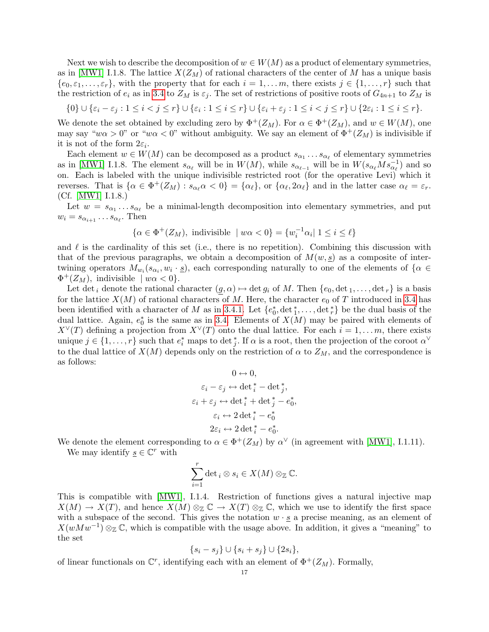Next we wish to describe the decomposition of  $w \in W(M)$  as a product of elementary symmetries, as in [\[MW1\]](#page-50-6) I.1.8. The lattice  $X(Z_M)$  of rational characters of the center of M has a unique basis  ${e_0, \varepsilon_1, \ldots, \varepsilon_r}$ , with the property that for each  $i = 1, \ldots, m$ , there exists  $j \in \{1, \ldots, r\}$  such that the restriction of  $e_i$  as in [3.4](#page-5-1) to  $Z_M$  is  $\varepsilon_i$ . The set of restrictions of positive roots of  $G_{4n+1}$  to  $Z_M$  is

$$
\{0\} \cup \{\varepsilon_i - \varepsilon_j : 1 \leq i < j \leq r\} \cup \{\varepsilon_i : 1 \leq i \leq r\} \cup \{\varepsilon_i + \varepsilon_j : 1 \leq i < j \leq r\} \cup \{2\varepsilon_i : 1 \leq i \leq r\}.
$$

We denote the set obtained by excluding zero by  $\Phi^+(Z_M)$ . For  $\alpha \in \Phi^+(Z_M)$ , and  $w \in W(M)$ , one may say "w $\alpha > 0$ " or "w $\alpha < 0$ " without ambiguity. We say an element of  $\Phi^+(Z_M)$  is indivisible if it is not of the form  $2\varepsilon_i$ .

Each element  $w \in W(M)$  can be decomposed as a product  $s_{\alpha_1} \dots s_{\alpha_\ell}$  of elementary symmetries as in [\[MW1\]](#page-50-6) I.1.8. The element  $s_{\alpha_\ell}$  will be in  $W(M)$ , while  $s_{\alpha_{\ell-1}}$  will be in  $W(s_{\alpha_\ell}Ms_{\alpha_\ell}^{-1})$  and so on. Each is labeled with the unique indivisible restricted root (for the operative Levi) which it reverses. That is  $\{\alpha \in \Phi^+(Z_M) : s_{\alpha_\ell} \alpha < 0\} = \{\alpha_\ell\}$ , or  $\{\alpha_\ell, 2\alpha_\ell\}$  and in the latter case  $\alpha_\ell = \varepsilon_r$ . (Cf. [\[MW1\]](#page-50-6) I.1.8.)

Let  $w = s_{\alpha_1} \dots s_{\alpha_\ell}$  be a minimal-length decomposition into elementary symmetries, and put  $w_i = s_{\alpha_{i+1}} \dots s_{\alpha_{\ell}}$ . Then

$$
\{\alpha \in \Phi^+(Z_M), \text{ indivisible } \mid w\alpha < 0\} = \{w_i^{-1}\alpha_i \mid 1 \le i \le \ell\}
$$

and  $\ell$  is the cardinality of this set (i.e., there is no repetition). Combining this discussion with that of the previous paragraphs, we obtain a decomposition of  $M(w, s)$  as a composite of intertwining operators  $M_{w_i}(s_{\alpha_i}, w_i \cdot \underline{s})$ , each corresponding naturally to one of the elements of  $\{\alpha \in \mathbb{R}^n\}$  $\Phi^+(Z_M)$ , indivisible  $|w\alpha| < 0$ .

Let det<sub>i</sub> denote the rational character  $(g, \alpha) \mapsto \det g_i$  of M. Then  $\{e_0, \det_1, \ldots, \det_r\}$  is a basis for the lattice  $X(M)$  of rational characters of M. Here, the character  $e_0$  of T introduced in [3.4](#page-5-1) has been identified with a character of M as in [3.4.1.](#page-7-1) Let  $\{e_0^*, \det_1^*, \ldots, \det_r^*\}$  be the dual basis of the dual lattice. Again,  $e_0^*$  is the same as in [3.4.](#page-5-1) Elements of  $X(M)$  may be paired with elements of  $X^{\vee}(T)$  defining a projection from  $X^{\vee}(T)$  onto the dual lattice. For each  $i = 1, \ldots m$ , there exists unique  $j \in \{1, \ldots, r\}$  such that  $e_i^*$  maps to det  $_j^*$ . If  $\alpha$  is a root, then the projection of the coroot  $\alpha^{\vee}$ to the dual lattice of  $X(M)$  depends only on the restriction of  $\alpha$  to  $Z_M$ , and the correspondence is as follows:

$$
0 \leftrightarrow 0,
$$
  
\n
$$
\varepsilon_i - \varepsilon_j \leftrightarrow \det_i^* - \det_j^*,
$$
  
\n
$$
\varepsilon_i + \varepsilon_j \leftrightarrow \det_i^* + \det_j^* - e_0^*,
$$
  
\n
$$
\varepsilon_i \leftrightarrow 2 \det_i^* - e_0^*
$$
  
\n
$$
2\varepsilon_i \leftrightarrow 2 \det_i^* - e_0^*.
$$

We denote the element corresponding to  $\alpha \in \Phi^+(Z_M)$  by  $\alpha^{\vee}$  (in agreement with [\[MW1\]](#page-50-6), I.1.11).

We may identify  $\underline{s} \in \mathbb{C}^r$  with

$$
\sum_{i=1}^r \det_i \otimes s_i \in X(M) \otimes_{\mathbb{Z}} \mathbb{C}.
$$

This is compatible with [\[MW1\]](#page-50-6), I.1.4. Restriction of functions gives a natural injective map  $X(M) \to X(T)$ , and hence  $X(M) \otimes_{\mathbb{Z}} \mathbb{C} \to X(T) \otimes_{\mathbb{Z}} \mathbb{C}$ , which we use to identify the first space with a subspace of the second. This gives the notation  $w \cdot \underline{s}$  a precise meaning, as an element of  $X(wMw^{-1})\otimes_{\mathbb{Z}}\mathbb{C}$ , which is compatible with the usage above. In addition, it gives a "meaning" to the set

$$
\{s_i - s_j\} \cup \{s_i + s_j\} \cup \{2s_i\},\
$$

of linear functionals on  $\mathbb{C}^r$ , identifying each with an element of  $\Phi^+(Z_M)$ . Formally,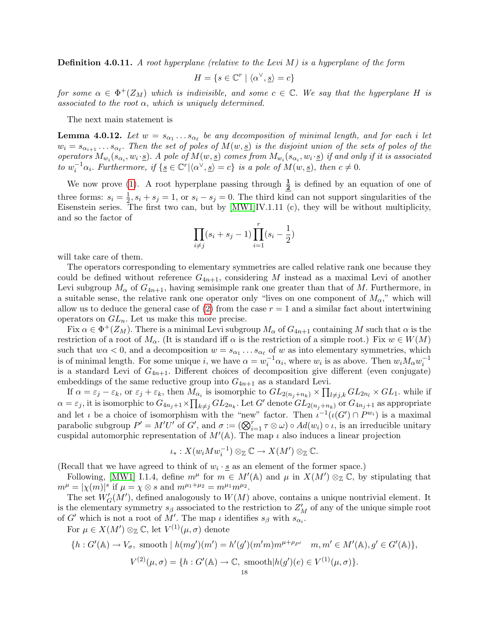**Definition 4.0.11.** A root hyperplane (relative to the Levi M) is a hyperplane of the form

$$
H = \{ s \in \mathbb{C}^r \mid \langle \alpha^\vee, \underline{s} \rangle = c \}
$$

for some  $\alpha \in \Phi^+(Z_M)$  which is indivisible, and some  $c \in \mathbb{C}$ . We say that the hyperplane H is associated to the root  $\alpha$ , which is uniquely determined.

The next main statement is

<span id="page-17-0"></span>**Lemma 4.0.12.** Let  $w = s_{\alpha_1} \ldots s_{\alpha_\ell}$  be any decomposition of minimal length, and for each i let  $w_i = s_{\alpha_{i+1}} \dots s_{\alpha_{\ell}}$ . Then the set of poles of  $M(w, \underline{s})$  is the disjoint union of the sets of poles of the operators  $M_{w_i}(s_{\alpha_i}, w_i \cdot \underline{s})$ . A pole of  $M(w, \underline{s})$  comes from  $M_{w_i}(s_{\alpha_i}, w_i \cdot \underline{s})$  if and only if it is associated to  $w_i^{-1}\alpha_i$ . Furthermore, if  $\{g \in \mathbb{C}^r | \langle \alpha^\vee, g \rangle = c\}$  is a pole of  $M(w, s)$ , then  $c \neq 0$ .

We now prove [\(1\)](#page-13-1). A root hyperplane passing through  $\frac{1}{2}$  is defined by an equation of one of three forms:  $s_i = \frac{1}{2}$  $\frac{1}{2}$ ,  $s_i + s_j = 1$ , or  $s_i - s_j = 0$ . The third kind can not support singularities of the Eisenstein series. The first two can, but by [\[MW1\]](#page-50-6)IV.1.11 (c), they will be without multiplicity, and so the factor of

$$
\prod_{i \neq j} (s_i + s_j - 1) \prod_{i=1}^r (s_i - \frac{1}{2})
$$

will take care of them.

The operators corresponding to elementary symmetries are called relative rank one because they could be defined without reference  $G_{4n+1}$ , considering M instead as a maximal Levi of another Levi subgroup  $M_{\alpha}$  of  $G_{4n+1}$ , having semisimple rank one greater than that of M. Furthermore, in a suitable sense, the relative rank one operator only "lives on one component of  $M_{\alpha}$ ," which will allow us to deduce the general case of  $(2)$  from the case  $r = 1$  and a similar fact about intertwining operators on  $GL_n$ . Let us make this more precise.

Fix  $\alpha \in \Phi^+(Z_M)$ . There is a minimal Levi subgroup  $M_\alpha$  of  $G_{4n+1}$  containing M such that  $\alpha$  is the restriction of a root of  $M_{\alpha}$ . (It is standard iff  $\alpha$  is the restriction of a simple root.) Fix  $w \in W(M)$ such that  $w\alpha < 0$ , and a decomposition  $w = s_{\alpha_1} \dots s_{\alpha_\ell}$  of w as into elementary symmetries, which is of minimal length. For some unique i, we have  $\alpha = w_i^{-1} \alpha_i$ , where  $w_i$  is as above. Then  $w_i M_\alpha w_i^{-1}$ is a standard Levi of  $G_{4n+1}$ . Different choices of decomposition give different (even conjugate) embeddings of the same reductive group into  $G_{4n+1}$  as a standard Levi.

If  $\alpha = \varepsilon_j - \varepsilon_k$ , or  $\varepsilon_j + \varepsilon_k$ , then  $M_{\alpha_i}$  is isomorphic to  $GL_{2(n_j+n_k)} \times \prod_{l \neq j,k} GL_{2n_l} \times GL_1$ . while if  $\alpha = \varepsilon_j$ , it is isomorphic to  $G_{4n_j+1} \times \prod_{k \neq j} GL_{2n_k}$ . Let G' denote  $GL_{2(n_j+n_k)}$  or  $G_{4n_j+1}$  as appropriate and let  $\iota$  be a choice of isomorphism with the "new" factor. Then  $\iota^{-1}(\iota(G') \cap P^{w_i})$  is a maximal parabolic subgroup  $P' = M'U'$  of G', and  $\sigma := (\bigotimes_{i=1}^r \tau \otimes \omega) \circ Ad(w_i) \circ \iota$ , is an irreducible unitary cuspidal automorphic representation of  $M'(\mathbb{A})$ . The map  $\iota$  also induces a linear projection

$$
\iota_*: X(w_i M w_i^{-1}) \otimes_{\mathbb{Z}} \mathbb{C} \to X(M') \otimes_{\mathbb{Z}} \mathbb{C}.
$$

(Recall that we have agreed to think of  $w_i \cdot \underline{s}$  as an element of the former space.)

Following, [\[MW1\]](#page-50-6) I.1.4, define  $m^{\mu}$  for  $m \in M'(\mathbb{A})$  and  $\mu$  in  $X(M') \otimes_{\mathbb{Z}} \mathbb{C}$ , by stipulating that  $m^{\mu} = |\chi(m)|^s$  if  $\mu = \chi \otimes s$  and  $m^{\mu_1 + \mu_2} = m^{\mu_1} m^{\mu_2}$ .

The set  $W'_{G}(M')$ , defined analogously to  $W(M)$  above, contains a unique nontrivial element. It is the elementary symmetry  $s_\beta$  associated to the restriction to  $Z_M'$  of any of the unique simple root of G' which is not a root of M'. The map  $\iota$  identifies  $s_{\beta}$  with  $s_{\alpha_i}$ .

For  $\mu \in X(M')\otimes_{\mathbb{Z}} \mathbb{C}$ , let  $V^{(1)}(\mu, \sigma)$  denote

$$
\{h: G'(\mathbb{A}) \to V_{\sigma}, \text{ smooth} \mid h(mg')(m') = h'(g')(m'm)m^{\mu+\rho_{P'}} \quad m, m' \in M'(\mathbb{A}), g' \in G'(\mathbb{A})\},\
$$

$$
V^{(2)}(\mu, \sigma) = \{h: G'(\mathbb{A}) \to \mathbb{C}, \text{ smooth} | h(g')(e) \in V^{(1)}(\mu, \sigma)\}.
$$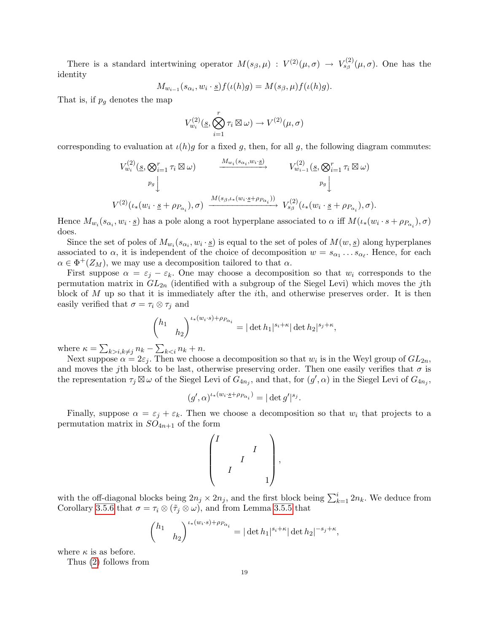There is a standard intertwining operator  $M(s_{\beta}, \mu) : V^{(2)}(\mu, \sigma) \to V^{(2)}_{s_{\beta}}(\mu, \sigma)$ . One has the identity

$$
M_{w_{i-1}}(s_{\alpha_i}, w_i \cdot \underline{s}) f(\iota(h)g) = M(s_{\beta}, \mu) f(\iota(h)g).
$$

That is, if  $p_q$  denotes the map

$$
V_{w_i}^{(2)}(\underline{s}, \bigotimes_{i=1}^r \tau_i \boxtimes \omega) \to V^{(2)}(\mu, \sigma)
$$

corresponding to evaluation at  $\iota(h)g$  for a fixed g, then, for all g, the following diagram commutes:

$$
V_{w_i}^{(2)}(s, \bigotimes_{i=1}^r \tau_i \boxtimes \omega) \longrightarrow W_{w_i(s_{\alpha_i}, w_i \cdot s)}^{M_{w_i}(s_{\alpha_i}, w_i \cdot s)} V_{w_{i-1}}^{(2)}(s, \bigotimes_{i=1}^r \tau_i \boxtimes \omega)
$$
  
\n
$$
V_{w_i}^{(2)}(\iota_*(w_i \cdot s + \rho_{P_{\alpha_i}}), \sigma) \xrightarrow{M(s_{\beta}, \iota_*(w_i \cdot s + \rho_{P_{\alpha_i}}))} V_{s_{\beta}}^{(2)}(\iota_*(w_i \cdot s + \rho_{P_{\alpha_i}}), \sigma).
$$

Hence  $M_{w_i}(s_{\alpha_i}, w_i \cdot \underline{s})$  has a pole along a root hyperplane associated to  $\alpha$  iff  $M(\iota_*(w_i \cdot s + \rho_{P_{\alpha_i}}), \sigma)$ does.

Since the set of poles of  $M_{w_i}(s_{\alpha_i}, w_i \cdot \underline{s})$  is equal to the set of poles of  $M(w, \underline{s})$  along hyperplanes associated to  $\alpha$ , it is independent of the choice of decomposition  $w = s_{\alpha_1} \dots s_{\alpha_\ell}$ . Hence, for each  $\alpha \in \Phi^+(Z_M)$ , we may use a decomposition tailored to that  $\alpha$ .

First suppose  $\alpha = \varepsilon_j - \varepsilon_k$ . One may choose a decomposition so that  $w_i$  corresponds to the permutation matrix in  $GL_{2n}$  (identified with a subgroup of the Siegel Levi) which moves the jth block of  $M$  up so that it is immediately after the *i*th, and otherwise preserves order. It is then easily verified that  $\sigma = \tau_i \otimes \tau_j$  and

$$
\begin{pmatrix} h_1 & \cdots & h_2 \end{pmatrix}^{l_*(w_i \cdot s) + \rho_{P_{\alpha_i}}} = |\det h_1|^{s_i + \kappa} |\det h_2|^{s_j + \kappa},
$$

where  $\kappa = \sum_{k>i, k\neq j} n_k - \sum_{k.$ 

Next suppose  $\alpha = 2\varepsilon_j$ . Then we choose a decomposition so that  $w_i$  is in the Weyl group of  $GL_{2n}$ , and moves the jth block to be last, otherwise preserving order. Then one easily verifies that  $\sigma$  is the representation  $\tau_j \boxtimes \omega$  of the Siegel Levi of  $G_{4n_j}$ , and that, for  $(g', \alpha)$  in the Siegel Levi of  $G_{4n_j}$ ,

$$
(g', \alpha)^{l * (w_i \cdot \underline{s} + \rho_{P_{\alpha_i}})} = |\det g'|^{s_j}.
$$

Finally, suppose  $\alpha = \varepsilon_i + \varepsilon_k$ . Then we choose a decomposition so that  $w_i$  that projects to a permutation matrix in  $SO_{4n+1}$  of the form

$$
\begin{pmatrix} I & & & \\ & & I & \\ & & I & \\ & & & 1 \end{pmatrix},
$$

with the off-diagonal blocks being  $2n_j \times 2n_j$ , and the first block being  $\sum_{k=1}^{i} 2n_k$ . We deduce from Corollary [3.5.6](#page-9-0) that  $\sigma = \tau_i \otimes (\tilde{\tau}_j \otimes \omega)$ , and from Lemma [3.5.5](#page-9-1) that

$$
\begin{pmatrix} h_1 & \cdots & h_2 \end{pmatrix}^{l_*(w_i \cdot s) + \rho_{P_{\alpha_i}}} = |\det h_1|^{s_i + \kappa} |\det h_2|^{-s_j + \kappa}
$$

,

where  $\kappa$  is as before.

<span id="page-18-0"></span>Thus [\(2\)](#page-14-3) follows from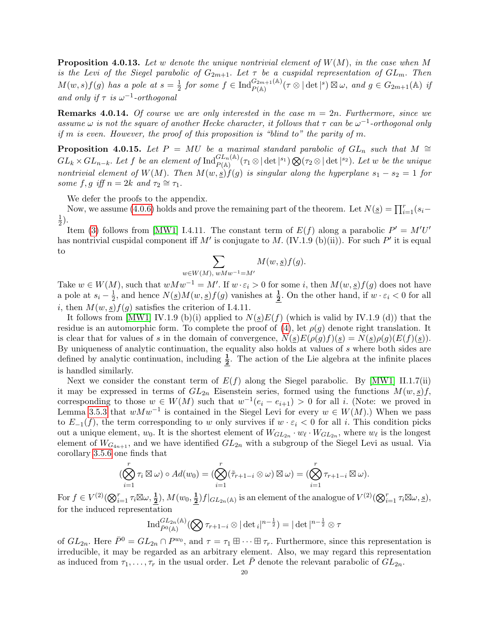**Proposition 4.0.13.** Let w denote the unique nontrivial element of  $W(M)$ , in the case when M is the Levi of the Siegel parabolic of  $G_{2m+1}$ . Let  $\tau$  be a cuspidal representation of  $GL_m$ . Then  $M(w, s) f(g)$  has a pole at  $s = \frac{1}{2}$  $\frac{1}{2}$  for some  $f \in \text{Ind}_{P(\mathbb{A})}^{G_{2m+1}(\mathbb{A})}(\tau \otimes |\det|^s) \boxtimes \omega$ , and  $g \in G_{2m+1}(\mathbb{A})$  if and only if  $\tau$  is  $\omega^{-1}$ -orthogonal

**Remarks 4.0.14.** Of course we are only interested in the case  $m = 2n$ . Furthermore, since we assume  $\omega$  is not the square of another Hecke character, it follows that  $\tau$  can be  $\omega^{-1}$ -orthogonal only if m is even. However, the proof of this proposition is "blind to" the parity of m.

<span id="page-19-0"></span>**Proposition 4.0.15.** Let P = MU be a maximal standard parabolic of  $GL_n$  such that M ≃  $GL_k \times GL_{n-k}$ . Let f be an element of  $\text{Ind}_{P(\mathbb{A})}^{GL_n(\mathbb{A})}(\tau_1 \otimes |\det|^{s_1}) \bigotimes (\tau_2 \otimes |\det|^{s_2})$ . Let w be the unique nontrivial element of W(M). Then  $M(w, s) f(g)$  is singular along the hyperplane  $s_1 - s_2 = 1$  for some f, g iff  $n = 2k$  and  $\tau_2 \cong \tau_1$ .

We defer the proofs to the appendix.

Now, we assume [\(4.0.6\)](#page-14-1) holds and prove the remaining part of the theorem. Let  $N(\underline{s}) = \prod_{i=1}^{r} (s_i -$ 1  $(\frac{1}{2})$ .

Item [\(3\)](#page-14-4) follows from [\[MW1\]](#page-50-6) I.4.11. The constant term of  $E(f)$  along a parabolic  $P' = M'U'$ has nontrivial cuspidal component iff M' is conjugate to M. (IV.1.9 (b)(ii)). For such  $P'$  it is equal to

$$
\sum_{w \in W(M), wMw^{-1} = M'} M(w, \underline{s}) f(g).
$$

Take  $w \in W(M)$ , such that  $wMw^{-1} = M'$ . If  $w \cdot \varepsilon_i > 0$  for some i, then  $M(w, \underline{s})f(g)$  does not have a pole at  $s_i - \frac{1}{2}$  $\frac{1}{2}$ , and hence  $N(\underline{s})M(w, \underline{s})f(g)$  vanishes at  $\frac{1}{2}$ . On the other hand, if  $w \cdot \varepsilon_i < 0$  for all i, then  $M(w, s) f(g)$  satisfies the criterion of I.4.11.

It follows from [\[MW1\]](#page-50-6) IV.1.9 (b)(i) applied to  $N(g)E(f)$  (which is valid by IV.1.9 (d)) that the residue is an automorphic form. To complete the proof of [\(4\)](#page-14-2), let  $\rho(g)$  denote right translation. It is clear that for values of s in the domain of convergence,  $N(s)E(\rho(g)f)(s) = N(s)\rho(g)(E(f)(s)).$ By uniqueness of analytic continuation, the equality also holds at values of s where both sides are defined by analytic continuation, including  $\frac{1}{2}$ . The action of the Lie algebra at the infinite places is handled similarly.

Next we consider the constant term of  $E(f)$  along the Siegel parabolic. By [\[MW1\]](#page-50-6) II.1.7(ii) it may be expressed in terms of  $GL_{2n}$  Eisenstein series, formed using the functions  $M(w, \underline{s})f$ , corresponding to those  $w \in W(M)$  such that  $w^{-1}(e_i - e_{i+1}) > 0$  for all i. (Note: we proved in Lemma [3.5.3](#page-8-1) that  $wMw^{-1}$  is contained in the Siegel Levi for every  $w \in W(M)$ .) When we pass to  $E_{-1}(f)$ , the term corresponding to w only survives if  $w \cdot \varepsilon_i < 0$  for all i. This condition picks out a unique element,  $w_0$ . It is the shortest element of  $W_{GL_{2n}} \cdot w_{\ell} \cdot W_{GL_{2n}}$ , where  $w_{\ell}$  is the longest element of  $W_{G_{4n+1}}$ , and we have identified  $GL_{2n}$  with a subgroup of the Siegel Levi as usual. Via corollary [3.5.6](#page-9-0) one finds that

$$
(\bigotimes_{i=1}^r \tau_i \boxtimes \omega) \circ Ad(w_0) = (\bigotimes_{i=1}^r (\tilde{\tau}_{r+1-i} \otimes \omega) \boxtimes \omega) = (\bigotimes_{i=1}^r \tau_{r+1-i} \boxtimes \omega).
$$

For  $f \in V^{(2)}(\bigotimes_{i=1}^r \tau_i \boxtimes \omega, \frac{1}{2}), M(w_0, \frac{1}{2})$  $\frac{1}{2}$ )  $f|_{GL_{2n}(\mathbb{A})}$  is an element of the analogue of  $V^{(2)}(\bigotimes_{i=1}^{r} \tau_i \boxtimes \omega, s)$ , for the induced representation

$$
\operatorname{Ind}_{\bar{P}^0(\mathbb{A})}^{GL_{2n}(\mathbb{A})}(\bigotimes \tau_{r+1-i} \otimes |\det_i|^{n-\frac{1}{2}}) = |\det|^{n-\frac{1}{2}} \otimes \tau
$$

of  $GL_{2n}$ . Here  $\bar{P}^0 = GL_{2n} \cap P^{w_0}$ , and  $\tau = \tau_1 \boxplus \cdots \boxplus \tau_r$ . Furthermore, since this representation is irreducible, it may be regarded as an arbitrary element. Also, we may regard this representation as induced from  $\tau_1, \ldots, \tau_r$  in the usual order. Let  $\overline{P}$  denote the relevant parabolic of  $GL_{2n}$ .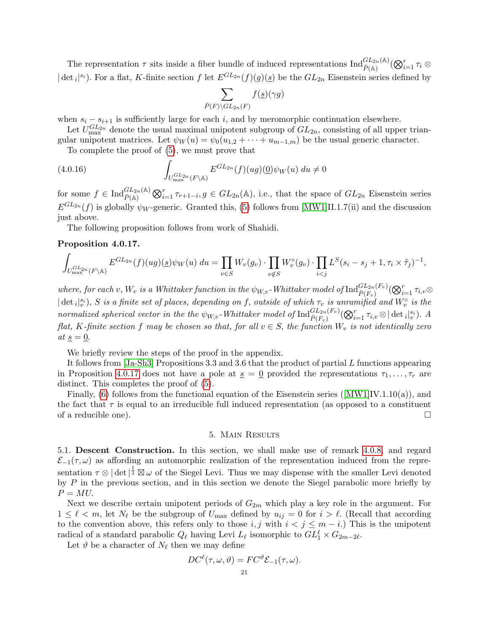The representation  $\tau$  sits inside a fiber bundle of induced representations  $\text{Ind}_{\bar{P}(\mathbb{A})}^{GL_{2n}(\mathbb{A})}(\bigotimes_{i=1}^{r}\tau_{i}\otimes$  $|\det_i|^{s_i}$ ). For a flat, K-finite section f let  $E^{GL_{2n}}(f)(g)(\underline{s})$  be the  $GL_{2n}$  Eisenstein series defined by

$$
\sum_{\bar{P}(F)\backslash GL_{2n}(F)} f(\underline{s})(\gamma g)
$$

when  $s_i - s_{i+1}$  is sufficiently large for each i, and by meromorphic continuation elsewhere.

Let  $U_{\text{max}}^{GL_{2n}}$  denote the usual maximal unipotent subgroup of  $GL_{2n}$ , consisting of all upper triangular unipotent matrices. Let  $\psi_W(u) = \psi_0(u_{1,2} + \cdots + u_{m-1,m})$  be the usual generic character.

To complete the proof of [\(5\)](#page-14-5), we must prove that

(4.0.16) 
$$
\int_{U_{\text{max}}^{GL_{2n}}(F \backslash \mathbb{A})} E^{GL_{2n}}(f)(ug)(\underline{0}) \psi_W(u) du \neq 0
$$

for some  $f \in \text{Ind}_{\bar{P}(\mathbb{A})}^{GL_{2n}(\mathbb{A})} \bigotimes_{i=1}^{r} \tau_{r+1-i}, g \in GL_{2n}(\mathbb{A}),$  i.e., that the space of  $GL_{2n}$  Eisenstein series  $E^{GL_{2n}}(f)$  is globally  $\psi_W$ -generic. Granted this, [\(5\)](#page-14-5) follows from [\[MW1\]](#page-50-6)II.1.7(ii) and the discussion just above.

The following proposition follows from work of Shahidi.

### <span id="page-20-2"></span>Proposition 4.0.17.

$$
\int_{U_{\max}^{GL_{2n}}(F\backslash\mathbb{A})} E^{GL_{2n}}(f)(ug)(g)\psi_W(u) du = \prod_{v\in S} W_v(g_v) \cdot \prod_{v\notin S} W_v^{\circ}(g_v) \cdot \prod_{i
$$

where, for each  $v, W_v$  is a Whittaker function in the  $\psi_{W,v}$ -Whittaker model of  ${\rm Ind}_{\bar{P}(F_v)}^{GL_{2n}(F_v)}(\bigotimes_{i=1}^r \tau_{i,v} \otimes$  $|\det_i|_v^{s_i}$ , S is a finite set of places, depending on f, outside of which  $\tau_v$  is unramified and  $W_v^{\circ}$  is the normalized spherical vector in the the  $\psi_{W,v}$ -Whittaker model of  $\text{Ind}_{\bar{P}(F_v)}^{GL_{2n}(F_v)}(\bigotimes_{i=1}^r \tau_{i,v} \otimes |\det_i|_v^{s_i})$ . A flat, K-finite section f may be chosen so that, for all  $v \in S$ , the function  $W_v$  is not identically zero at  $\underline{s} = \underline{0}.$ 

We briefly review the steps of the proof in the appendix.

It follows from [\[Ja-Sh3\]](#page-49-13) Propositions 3.3 and 3.6 that the product of partial L functions appearing in Proposition [4.0.17](#page-20-2) does not have a pole at  $s = 0$  provided the representations  $\tau_1, \ldots, \tau_r$  are distinct. This completes the proof of [\(5\)](#page-14-5).

Finally, [\(6\)](#page-14-6)follows from the functional equation of the Eisenstein series ( $[MW1]IV.1.10(a)$  $[MW1]IV.1.10(a)$ ), and the fact that  $\tau$  is equal to an irreducible full induced representation (as opposed to a constituent of a reducible one).  $\Box$ 

# 5. Main Results

<span id="page-20-1"></span><span id="page-20-0"></span>5.1. Descent Construction. In this section, we shall make use of remark [4.0.8,](#page-14-7) and regard  $\mathcal{E}_{-1}(\tau,\omega)$  as affording an automorphic realization of the representation induced from the representation  $\tau \otimes |\det|^{\frac{1}{2}} \boxtimes \omega$  of the Siegel Levi. Thus we may dispense with the smaller Levi denoted by  $P$  in the previous section, and in this section we denote the Siegel parabolic more briefly by  $P = MU$ .

Next we describe certain unipotent periods of  $G_{2m}$  which play a key role in the argument. For  $1 \leq \ell < m$ , let  $N_{\ell}$  be the subgroup of  $U_{\text{max}}$  defined by  $u_{ij} = 0$  for  $i > \ell$ . (Recall that according to the convention above, this refers only to those  $i, j$  with  $i < j \leq m - i$ .) This is the unipotent radical of a standard parabolic  $Q_\ell$  having Levi  $L_\ell$  isomorphic to  $GL_1^\ell \times G_{2m-2\ell}$ .

<span id="page-20-3"></span>Let  $\vartheta$  be a character of  $N_{\ell}$  then we may define

$$
DC^{\ell}(\tau, \omega, \vartheta) = FC^{\vartheta} \mathcal{E}_{-1}(\tau, \omega).
$$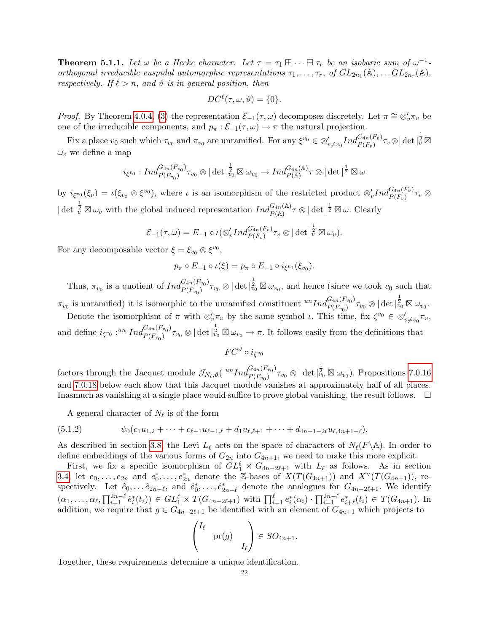**Theorem 5.1.1.** Let  $\omega$  be a Hecke character. Let  $\tau = \tau_1 \boxplus \cdots \boxplus \tau_r$  be an isobaric sum of  $\omega^{-1}$ orthogonal irreducible cuspidal automorphic representations  $\tau_1, \ldots, \tau_r$ , of  $GL_{2n_1}(\mathbb{A}), \ldots GL_{2n_r}(\mathbb{A}),$ respectively. If  $\ell > n$ , and  $\vartheta$  is in general position, then

$$
DC^{\ell}(\tau, \omega, \vartheta) = \{0\}.
$$

*Proof.* By Theorem [4.0.4,](#page-13-0) [\(3\)](#page-14-4) the representation  $\mathcal{E}_{-1}(\tau,\omega)$  decomposes discretely. Let  $\pi \cong \otimes_v' \pi_v$  be one of the irreducible components, and  $p_{\pi} : \mathcal{E}_{-1}(\tau, \omega) \to \pi$  the natural projection.

Fix a place  $v_0$  such which  $\tau_{v_0}$  and  $\pi_{v_0}$  are unramified. For any  $\xi^{v_0} \in \otimes'_{v \neq v_0} Ind_{P(F_v)}^{G_{4n}(F_v)} \tau_v \otimes |\det|_v^{\frac{1}{2}} \boxtimes$  $\omega_v$  we define a map

$$
i_{\xi^{v_0}}:Ind_{P(F_{v_0})}^{G_{4n}(F_{v_0})}\tau_{v_0}\otimes |\det|_{v_0}^{\frac{1}{2}}\boxtimes\omega_{v_0}\to Ind_{P(\mathbb{A})}^{G_{4n}(\mathbb{A})}\tau\otimes |\det|^\frac{1}{2}\boxtimes\omega
$$

by  $i_{\xi^{v_0}}(\xi_v) = \iota(\xi_{v_0} \otimes \xi^{v_0})$ , where  $\iota$  is an isomorphism of the restricted product  $\otimes'_v Ind_{P(F_v)}^{G_{4n}(F_v)} \tau_v \otimes$  $|\det|_{\tilde{v}}^{\frac{1}{2}} \boxtimes \omega_v$  with the global induced representation  $Ind_{P(\mathbb{A})}^{G_{4n}(\mathbb{A})}\tau \otimes |\det|^{\frac{1}{2}} \boxtimes \omega$ . Clearly

$$
\mathcal{E}_{-1}(\tau,\omega)=E_{-1}\circ\iota(\otimes'_v Ind_{P(F_v)}^{G_{4n}(F_v)}\tau_v\otimes|\det|_{\tilde{v}}^{\frac{1}{2}}\boxtimes\omega_v).
$$

For any decomposable vector  $\xi = \xi_{v_0} \otimes \xi^{v_0}$ ,

$$
p_{\pi} \circ E_{-1} \circ \iota(\xi) = p_{\pi} \circ E_{-1} \circ i_{\xi^{v_0}}(\xi_{v_0}).
$$

Thus,  $\pi_{v_0}$  is a quotient of  $Ind_{P(F_{v_0})}^{G_{4n}(F_{v_0})}$  ${}_{P(F_{v_0})}^{G_{4n}(F_{v_0})} \tau_{v_0} \otimes |\det|^{\frac{1}{2}}_{v_0} \boxtimes \omega_{v_0}$ , and hence (since we took  $v_0$  such that

 $\pi_{v_0}$  is unramified) it is isomorphic to the unramified constituent  ${}^{un}Ind_{P(F_{v_0})}^{G_{4n}(F_{v_0})}$  $\frac{G_{4n}(F_{v_0})}{P(F_{v_0})}\tau_{v_0}\otimes|\det|^{\frac{1}{2}}_{v_0}\boxtimes\omega_{v_0}.$ 

Denote the isomorphism of  $\pi$  with  $\otimes'_v \pi_v$  by the same symbol  $\iota$ . This time, fix  $\zeta^{v_0} \in \otimes'_{v \neq v_0} \pi_v$ , and define  $i_{\zeta^{v_0}}$  :<sup>un</sup>  $Ind_{P(F_{v_0})}^{G_{4n}(F_{v_0})}$  ${}_{P(F_{v_0})}^{G_{4n}(F_{v_0})} \tau_{v_0} \otimes |\det|^{\frac{1}{2}}_{v_0} \boxtimes \omega_{v_0} \to \pi$ . It follows easily from the definitions that

 $FC^\vartheta \circ i_{\zeta^{v_0}}$ 

factors through the Jacquet module  $\mathcal{J}_{N_{\ell},\vartheta}(n^{\text{G}_{4n}(F_{v_0})})$  $\frac{G_{4n}(F_{v_0})}{P(F_{v_0})}\tau_{v_0}\otimes|\det|^{\tfrac{1}{2}}_{v_0}\boxtimes\omega_{v_0}).$  Propositions [7.0.16](#page-36-0) and [7.0.18](#page-37-0) below each show that this Jacquet module vanishes at approximately half of all places. Inasmuch as vanishing at a single place would suffice to prove global vanishing, the result follows.  $\Box$ 

<span id="page-21-0"></span>A general character of  $N_{\ell}$  is of the form

$$
(5.1.2) \t\t \psi_0(c_1u_{1,2} + \cdots + c_{\ell-1}u_{\ell-1,\ell} + d_1u_{\ell,\ell+1} + \cdots + d_{4n+1-2\ell}u_{\ell,4n+1-\ell}).
$$

As described in section [3.8,](#page-11-1) the Levi  $L_\ell$  acts on the space of characters of  $N_\ell(F\backslash\mathbb{A})$ . In order to define embeddings of the various forms of  $G_{2n}$  into  $G_{4n+1}$ , we need to make this more explicit.

First, we fix a specific isomorphism of  $GL_1^{\ell} \times G_{4n-2\ell+1}$  with  $L_{\ell}$  as follows. As in section [3.4,](#page-5-1) let  $e_0, \ldots, e_{2n}$  and  $e_0^*, \ldots, e_{2n}^*$  denote the Z-bases of  $X(T(G_{4n+1}))$  and  $X^{\vee}(T(G_{4n+1}))$ , respectively. Let  $\hat{e}_0, \ldots \hat{e}_{2n-\ell}$ , and  $\hat{e}_0^*, \ldots, \hat{e}_{2n-\ell}^*$  denote the analogues for  $G_{4n-2\ell+1}$ . We identify  $(\alpha_1, \ldots, \alpha_\ell, \prod_{i=1}^{2n-\ell} \hat{e}_i^*(t_i)) \in GL_1^{\ell} \times T(G_{4n-2\ell+1})$  with  $\prod_{i=1}^{\ell} e_i^*(\alpha_i) \cdot \prod_{i=1}^{2n-\ell} e_{i+\ell}^*(t_i) \in T(G_{4n+1})$ . In addition, we require that  $g \in G_{4n-2\ell+1}$  be identified with an element of  $G_{4n+1}$  which projects to

$$
\begin{pmatrix} I_{\ell} & & \\ & \text{pr}(g) & \\ & & I_{\ell} \end{pmatrix} \in SO_{4n+1}.
$$

Together, these requirements determine a unique identification.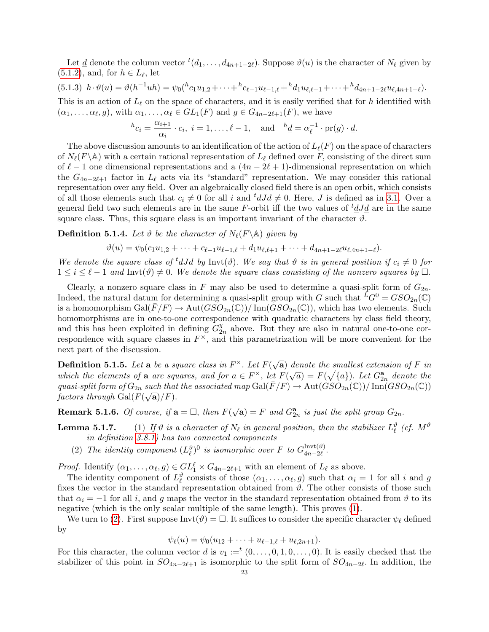Let <u>d</u> denote the column vector  ${}^t(d_1, \ldots, d_{4n+1-2\ell})$ . Suppose  $\vartheta(u)$  is the character of  $N_\ell$  given by  $(5.1.2)$ , and, for  $h \in L_{\ell}$ , let

<span id="page-22-4"></span>
$$
(5.1.3) \ h \cdot \vartheta(u) = \vartheta(h^{-1}uh) = \psi_0(h_{c_1u_{1,2}} + \cdots + h_{c_{\ell-1}u_{\ell-1,\ell}} + h_{d_1u_{\ell,\ell+1}} + \cdots + h_{d_{4n+1-2\ell}u_{\ell,4n+1-\ell}}).
$$

This is an action of  $L_\ell$  on the space of characters, and it is easily verified that for h identified with  $(\alpha_1, \ldots, \alpha_\ell, g)$ , with  $\alpha_1, \ldots, \alpha_\ell \in GL_1(F)$  and  $g \in G_{4n-2\ell+1}(F)$ , we have

$$
{}^{h}c_{i} = \frac{\alpha_{i+1}}{\alpha_{i}} \cdot c_{i}, i = 1, \ldots, \ell - 1, \text{ and } {}^{h}\underline{d} = \alpha_{\ell}^{-1} \cdot \text{pr}(g) \cdot \underline{d}.
$$

The above discussion amounts to an identification of the action of  $L_{\ell}(F)$  on the space of characters of  $N_{\ell}(F\backslash\mathbb{A})$  with a certain rational representation of  $L_{\ell}$  defined over F, consisting of the direct sum of  $\ell - 1$  one dimensional representations and a  $(4n - 2\ell + 1)$ -dimensional representation on which the  $G_{4n-2\ell+1}$  factor in  $L_\ell$  acts via its "standard" representation. We may consider this rational representation over any field. Over an algebraically closed field there is an open orbit, which consists of all those elements such that  $c_i \neq 0$  for all i and  ${}^t dJd \neq 0$ . Here, J is defined as in [3.1.](#page-4-1) Over a general field two such elements are in the same F-orbit iff the two values of  ${}^t dJd$  are in the same square class. Thus, this square class is an important invariant of the character  $\vartheta$ .

<span id="page-22-2"></span>**Definition 5.1.4.** Let  $\vartheta$  be the character of  $N_{\ell}(F\backslash\mathbb{A})$  given by

 $\vartheta(u) = \psi_0(c_1u_{1,2} + \cdots + c_{\ell-1}u_{\ell-1,\ell} + d_1u_{\ell,\ell+1} + \cdots + d_{4n+1-2\ell}u_{\ell,4n+1-\ell}).$ 

We denote the square class of <sup>t</sup>dJd by Invt( $\vartheta$ ). We say that  $\vartheta$  is in general position if  $c_i \neq 0$  for  $1 \leq i \leq \ell - 1$  and Invt $(\vartheta) \neq 0$ . We denote the square class consisting of the nonzero squares by  $\Box$ .

Clearly, a nonzero square class in F may also be used to determine a quasi-split form of  $G_{2n}$ . Indeed, the natural datum for determining a quasi-split group with G such that  ${}^L G^0 = GSO_{2n}(\mathbb{C})$ is a homomorphism  $Gal(\overline{F}/F) \to Aut(GSO_{2n}(\mathbb{C}))/ \text{Inn}(GSO_{2n}(\mathbb{C}))$ , which has two elements. Such homomorphisms are in one-to-one correspondence with quadratic characters by class field theory, and this has been exploited in defining  $G_2^{\chi}$  $\frac{\chi}{2n}$  above. But they are also in natural one-to-one correspondence with square classes in  $F^{\times}$ , and this parametrization will be more convenient for the next part of the discussion.

<span id="page-22-3"></span>**Definition 5.1.5.** Let a be a square class in  $F^{\times}$ . Let  $F(\sqrt{\frac{F(\frac{f}{f})}{F(\frac{f}{f})}})$  $\mathbf{\overline{a}})$  denote the smallest extension of F in **Definition 5.1.5.** Let  $\mathbf{a}$  be a square class in  $P$ . Let  $P(\sqrt{\mathbf{a}})$  denote the smallest extension of  $P$  in which the elements of  $\mathbf{a}$  are squares, and for  $a \in F^{\times}$ , let  $F(\sqrt{a}) = F(\sqrt{\{a\}})$ . Let  $G_{2n}^{\mathbf{a}}$ quasi-split form of  $G_{2n}$  such that the associated map  $Gal(\overline{F}/F) \to Aut(GSO_{2n}(\mathbb{C})) / \operatorname{Inn}(GSO_{2n}(\mathbb{C}))$ factors through  $Gal(F(\sqrt{\bf a})/F)$ .

**Remark 5.1.6.** Of course, if  $\mathbf{a} = \Box$ , then  $F(\sqrt{\mathbf{a}}) = F$  and  $G_{2n}^{\mathbf{a}}$  is just the split group  $G_{2n}$ .

- <span id="page-22-0"></span>**Lemma 5.1.7.** (1) If  $\vartheta$  is a character of  $N_\ell$  in general position, then the stabilizer  $L_\ell^{\vartheta}$  (cf.  $M^{\vartheta}$ in definition [3.8.1\)](#page-12-2) has two connected components
	- (2) The identity component  $(L^{\vartheta}_{\ell})^0$  is isomorphic over F to  $G_{4n-2\ell}^{\text{Invt}(\vartheta)}$  $_{4n-2\ell}$ .

<span id="page-22-1"></span>*Proof.* Identify  $(\alpha_1, \ldots, \alpha_\ell, g) \in GL_1^{\ell} \times G_{4n-2\ell+1}$  with an element of  $L_{\ell}$  as above.

The identity component of  $L^{\vartheta}_{\ell}$  consists of those  $(\alpha_1, \ldots, \alpha_{\ell}, g)$  such that  $\alpha_i = 1$  for all i and g fixes the vector in the standard representation obtained from  $\vartheta$ . The other consists of those such that  $\alpha_i = -1$  for all i, and g maps the vector in the standard representation obtained from  $\vartheta$  to its negative (which is the only scalar multiple of the same length). This proves [\(1\)](#page-22-0).

We turn to [\(2\)](#page-22-1). First suppose  $\text{Invt}(\vartheta) = \Box$  It suffices to consider the specific character  $\psi_{\ell}$  defined by

$$
\psi_{\ell}(u) = \psi_0(u_{12} + \cdots + u_{\ell-1,\ell} + u_{\ell,2n+1}).
$$

For this character, the column vector  $\underline{d}$  is  $v_1 :=^t (0, \ldots, 0, 1, 0, \ldots, 0)$ . It is easily checked that the stabilizer of this point in  $SO_{4n-2\ell+1}$  is isomorphic to the split form of  $SO_{4n-2\ell}$ . In addition, the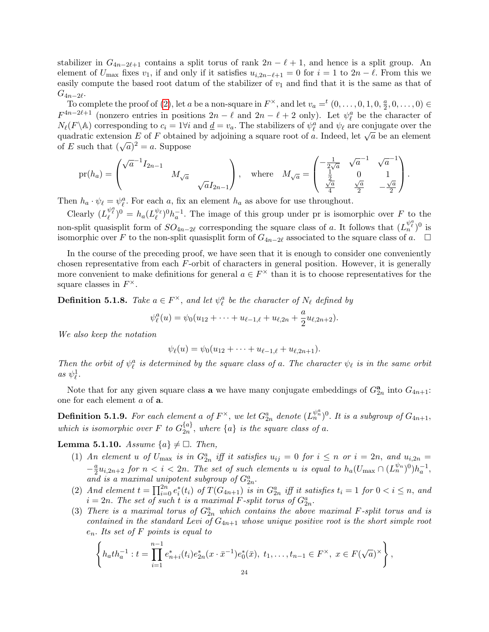stabilizer in  $G_{4n-2\ell+1}$  contains a split torus of rank  $2n - \ell + 1$ , and hence is a split group. An element of  $U_{\text{max}}$  fixes  $v_1$ , if and only if it satisfies  $u_{i,2n-\ell+1} = 0$  for  $i = 1$  to  $2n - \ell$ . From this we easily compute the based root datum of the stabilizer of  $v_1$  and find that it is the same as that of  $G_{4n-2\ell}$ .

To complete the proof of [\(2\)](#page-22-1), let a be a non-square in  $F^{\times}$ , and let  $v_a = (0, \ldots, 0, 1, 0, \frac{a}{2})$  $\frac{a}{2}, 0, \ldots, 0) \in$  $F^{4n-2\ell+1}$  (nonzero entries in positions  $2n-\ell$  and  $2n-\ell+2$  only). Let  $\psi_{\ell}^{a}$  be the character of  $N_{\ell}(F \backslash \mathbb{A})$  corresponding to  $c_i = 1 \forall i$  and  $\underline{d} = v_a$ . The stabilizers of  $\psi_{\ell}^a$  and  $\psi_{\ell}$  are conjugate over the  $\mu_{\ell}$  ( $\kappa$ ) corresponding to  $c_i = 1$  v and  $\underline{a} = v_a$ . The stabilizers of  $\psi_{\ell}$  and  $\psi_{\ell}$  are conjugate over the quadratic extension E of F obtained by adjoining a square root of a. Indeed, let  $\sqrt{a}$  be an e quadratic extension E or F obtaine<br>of E such that  $(\sqrt{a})^2 = a$ . Suppose

$$
\text{pr}(h_a) = \begin{pmatrix} \sqrt{a}^{-1} I_{2n-1} & & \\ & M_{\sqrt{a}} & \\ & & \sqrt{a} I_{2n-1} \end{pmatrix}, \text{ where } M_{\sqrt{a}} = \begin{pmatrix} -\frac{1}{2\sqrt{a}} & \sqrt{a}^{-1} & \sqrt{a}^{-1} \\ \frac{1}{2} & 0 & 1 \\ \frac{\sqrt{a}}{4} & \frac{\sqrt{a}}{2} & -\frac{\sqrt{a}}{2} \end{pmatrix}.
$$

Then  $h_a \cdot \psi_\ell = \psi_\ell^a$ . For each a, fix an element  $h_a$  as above for use throughout.

Clearly  $(L_{\ell}^{\psi_{\ell}^{a}})^{0} = h_{a}(L_{\ell}^{\psi_{\ell}})^{0}h_{a}^{-1}$ . The image of this group under pr is isomorphic over F to the non-split quasisplit form of  $SO_{4n-2\ell}$  corresponding the square class of a. It follows that  $(L_n^{\psi_\ell^a})^0$  is isomorphic over F to the non-split quasisplit form of  $G_{4n-2\ell}$  associated to the square class of a. □

In the course of the preceding proof, we have seen that it is enough to consider one conveniently chosen representative from each  $F$ -orbit of characters in general position. However, it is generally more convenient to make definitions for general  $a \in F^{\times}$  than it is to choose representatives for the square classes in  $F^{\times}$ .

<span id="page-23-1"></span>**Definition 5.1.8.** Take  $a \in F^{\times}$ , and let  $\psi_{\ell}^{a}$  be the character of  $N_{\ell}$  defined by

$$
\psi_{\ell}^a(u) = \psi_0(u_{12} + \cdots + u_{\ell-1,\ell} + u_{\ell,2n} + \frac{a}{2}u_{\ell,2n+2}).
$$

We also keep the notation

$$
\psi_{\ell}(u) = \psi_0(u_{12} + \cdots + u_{\ell-1,\ell} + u_{\ell,2n+1}).
$$

Then the orbit of  $\psi^a_\ell$  is determined by the square class of a. The character  $\psi_\ell$  is in the same orbit as  $\psi_{\ell}^1$ .

Note that for any given square class **a** we have many conjugate embeddings of  $G_{2n}^{\mathbf{a}}$  into  $G_{4n+1}$ : one for each element a of a.

<span id="page-23-5"></span>**Definition 5.1.9.** For each element a of  $F^{\times}$ , we let  $G_{2n}^a$  denote  $(L_n^{\psi_n^a})^0$ . It is a subgroup of  $G_{4n+1}$ , which is isomorphic over F to  $G_{2n}^{\{a\}}$  $\mathcal{L}_{2n}^{\{a\}}$ , where  $\{a\}$  is the square class of a.

<span id="page-23-4"></span><span id="page-23-0"></span>**Lemma 5.1.10.** Assume  $\{a\} \neq \Box$ . Then,

- (1) An element u of  $U_{\text{max}}$  is in  $G_{2n}^a$  iff it satisfies  $u_{ij} = 0$  for  $i \leq n$  or  $i = 2n$ , and  $u_{i,2n} =$  $-\frac{a}{2}$  $\frac{a}{2}u_{i,2n+2}$  for  $n < i < 2n$ . The set of such elements u is equal to  $h_a(U_{\max} \cap (L_n^{\psi_n})^0)h_a^{-1}$ , and is a maximal unipotent subgroup of  $G_{2n}^a$ .
- <span id="page-23-2"></span>(2) And element  $t = \prod_{i=0}^{2n} e_i^*(t_i)$  of  $T(G_{4n+1})$  is in  $G_{2n}^a$  iff it satisfies  $t_i = 1$  for  $0 < i \leq n$ , and  $i = 2n$ . The set of such t is a maximal F-split torus of  $G_{2n}^a$ .
- <span id="page-23-3"></span>(3) There is a maximal torus of  $G_{2n}^a$  which contains the above maximal F-split torus and is contained in the standard Levi of  $G_{4n+1}$  whose unique positive root is the short simple root  $e_n$ . Its set of F points is equal to

$$
\left\{ h_a t h_a^{-1} : t = \prod_{i=1}^{n-1} e_{n+i}^*(t_i) e_{2n}^*(x \cdot \bar{x}^{-1}) e_0^*(\bar{x}), t_1, \dots, t_{n-1} \in F^\times, x \in F(\sqrt{a})^\times \right\},\
$$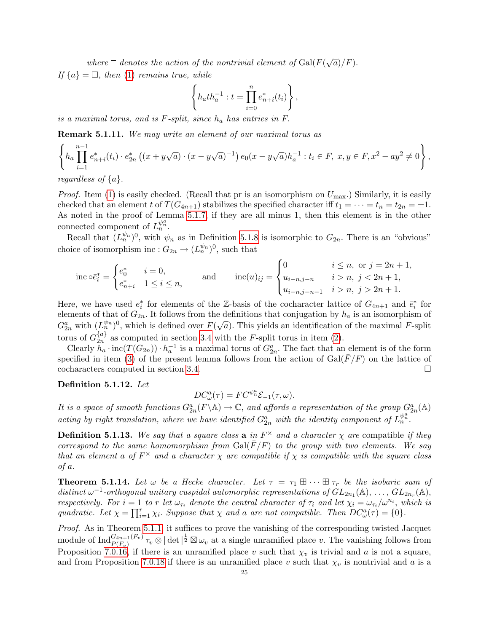where  $\bar{a}$  denotes the action of the nontrivial element of Gal( $F(\sqrt{a})/F$ ). If  $\{a\} = \Box$ , then [\(1\)](#page-23-0) remains true, while

$$
\left\{ h_a t h_a^{-1} : t = \prod_{i=0}^n e_{n+i}^*(t_i) \right\},\,
$$

is a maximal torus, and is  $F$ -split, since  $h_a$  has entries in  $F$ .

Remark 5.1.11. We may write an element of our maximal torus as

$$
\left\{ h_a \prod_{i=1}^{n-1} e_{n+i}^*(t_i) \cdot e_{2n}^*\left( (x + y\sqrt{a}) \cdot (x - y\sqrt{a})^{-1} \right) e_0(x - y\sqrt{a}) h_a^{-1} : t_i \in F, x, y \in F, x^2 - ay^2 \neq 0 \right\},\
$$

regardless of  $\{a\}$ .

*Proof.* Item [\(1\)](#page-23-0) is easily checked. (Recall that pr is an isomorphism on  $U_{\text{max}}$ .) Similarly, it is easily checked that an element t of  $T(G_{4n+1})$  stabilizes the specified character iff  $t_1 = \cdots = t_n = t_{2n} = \pm 1$ . As noted in the proof of Lemma [5.1.7,](#page-22-0) if they are all minus 1, then this element is in the other connected component of  $L_n^{\psi_n^a}$ .

Recall that  $(L_n^{\psi_n})^0$ , with  $\psi_n$  as in Definition [5.1.8](#page-23-1) is isomorphic to  $G_{2n}$ . There is an "obvious" choice of isomorphism inc :  $G_{2n} \to (L_n^{\psi_n})^0$ , such that

$$
\text{inc}\circ \bar{e}_i^* = \begin{cases} e_0^* & i = 0, \\ e_{n+i}^* & 1 \le i \le n, \end{cases} \quad \text{and} \quad \text{inc}(u)_{ij} = \begin{cases} 0 & i \le n, \text{ or } j = 2n + 1, \\ u_{i-n,j-n} & i > n, \ j < 2n + 1, \\ u_{i-n,j-n-1} & i > n, \ j > 2n + 1. \end{cases}
$$

Here, we have used  $e_i^*$  for elements of the Z-basis of the cocharacter lattice of  $G_{4n+1}$  and  $\bar{e}_i^*$  for elements of that of  $G_{2n}$ . It follows from the definitions that conjugation by  $h_a$  is an isomorphism of  $G_{2n}^a$  with  $(L_n^{\psi_n})^0$ , which is defined over  $F(\sqrt{a})$ . This yields an identification of the maximal F-split torus of  $G_{2n}^{\{a\}}$  $\chi^{a}$  as computed in section [3.4](#page-5-1) with the F-split torus in item [\(2\)](#page-23-2).

Clearly  $h_a \cdot \text{inc}(T(G_{2n})) \cdot h_a^{-1}$  is a maximal torus of  $G_{2n}^a$ . The fact that an element is of the form specified in item [\(3\)](#page-23-3) of the present lemma follows from the action of  $Gal(F/F)$  on the lattice of cocharacters computed in section [3.4.](#page-5-1)

Definition 5.1.12. Let

$$
DC_{\omega}^{a}(\tau) = FC^{\psi_n^{a}} \mathcal{E}_{-1}(\tau, \omega).
$$

It is a space of smooth functions  $G_{2n}^a(F \backslash \mathbb{A}) \to \mathbb{C}$ , and affords a representation of the group  $G_{2n}^a(\mathbb{A})$ acting by right translation, where we have identified  $G_{2n}^a$  with the identity component of  $L_n^{\psi_n^a}$ .

**Definition 5.1.13.** We say that a square class **a** in  $F^{\times}$  and a character  $\chi$  are compatible if they correspond to the same homomorphism from  $Gal(\overline{F}/F)$  to the group with two elements. We say that an element a of  $F^{\times}$  and a character  $\chi$  are compatible if  $\chi$  is compatible with the square class of a.

**Theorem 5.1.14.** Let  $\omega$  be a Hecke character. Let  $\tau = \tau_1 \boxplus \cdots \boxplus \tau_r$  be the isobaric sum of distinct  $\omega^{-1}$ -orthogonal unitary cuspidal automorphic representations of  $GL_{2n_1}(\mathbb{A}), \ldots, GL_{2n_r}(\mathbb{A}),$ respectively. For  $i = 1$  to r let  $\omega_{\tau_i}$  denote the central character of  $\tau_i$  and let  $\chi_i = \omega_{\tau_i}/\omega^{n_i}$ , which is quadratic. Let  $\chi = \prod_{i=1}^r \chi_i$ . Suppose that  $\chi$  and a are not compatible. Then  $DC^a_{\omega}(\tau) = \{0\}$ .

Proof. As in Theorem [5.1.1,](#page-20-3) it suffices to prove the vanishing of the corresponding twisted Jacquet module of  $\text{Ind}_{P(F_v)}^{G_{4n+1}(F_v)}$   $\tau_v \otimes |\det|^{\frac{1}{2}} \boxtimes \omega_v$  at a single unramified place v. The vanishing follows from Proposition [7.0.16,](#page-36-0) if there is an unramified place v such that  $\chi_v$  is trivial and a is not a square, and from Proposition [7.0.18](#page-37-0) if there is an unramified place v such that  $\chi_v$  is nontrivial and a is a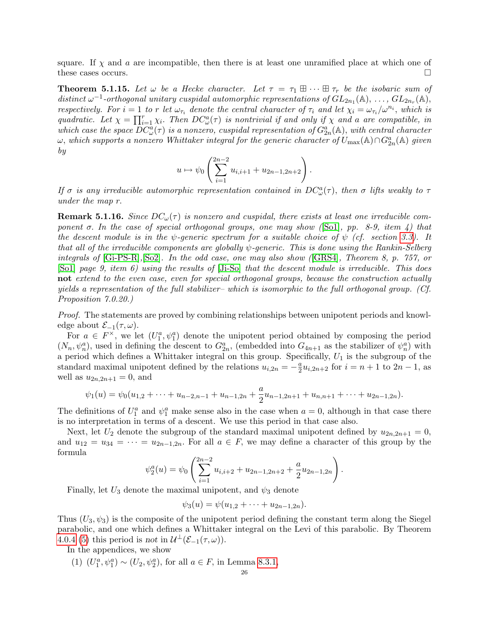square. If  $\chi$  and a are incompatible, then there is at least one unramified place at which one of these cases occurs.

<span id="page-25-0"></span>**Theorem 5.1.15.** Let  $\omega$  be a Hecke character. Let  $\tau = \tau_1 \boxplus \cdots \boxplus \tau_r$  be the isobaric sum of distinct  $\omega^{-1}$ -orthogonal unitary cuspidal automorphic representations of  $GL_{2n_1}(\mathbb{A}), \ldots, GL_{2n_r}(\mathbb{A}),$ respectively. For  $i=1$  to r let  $\omega_{\tau_i}$  denote the central character of  $\tau_i$  and let  $\chi_i = \omega_{\tau_i}/\omega^{n_i}$ , which is quadratic. Let  $\chi = \prod_{i=1}^r \chi_i$ . Then  $DC^a_{\omega}(\tau)$  is nontrivial if and only if  $\chi$  and a are compatible, in which case the space  $DC^a_{\omega}(\tau)$  is a nonzero, cuspidal representation of  $G^a_{2n}(\mathbb{A})$ , with central character  $\omega$ , which supports a nonzero Whittaker integral for the generic character of  $U_{\max}(\mathbb{A}) \cap G_{2n}^a(\mathbb{A})$  given by

$$
u \mapsto \psi_0 \left( \sum_{i=1}^{2n-2} u_{i,i+1} + u_{2n-1,2n+2} \right).
$$

If  $\sigma$  is any irreducible automorphic representation contained in  $DC^a_{\omega}(\tau)$ , then  $\sigma$  lifts weakly to  $\tau$ under the map r.

**Remark 5.1.16.** Since  $DC_{\omega}(\tau)$  is nonzero and cuspidal, there exists at least one irreducible component  $\sigma$ . In the case of special orthogonal groups, one may show ([\[So1\]](#page-50-0), pp. 8-9, item 4) that the descent module is in the  $\psi$ -generic spectrum for a suitable choice of  $\psi$  (cf. section [3.3\)](#page-5-0). It that all of the irreducible components are globally  $\psi$ -generic. This is done using the Rankin-Selberg integrals of [\[Gi-PS-R\]](#page-49-19),[\[So2\]](#page-50-12). In the odd case, one may also show ([\[GRS4\]](#page-49-3), Theorem 8, p. 757, or [\[So1\]](#page-50-0) page 9, item 6) using the results of [\[Ji-So\]](#page-49-20) that the descent module is irreducible. This does not extend to the even case, even for special orthogonal groups, because the construction actually yields a representation of the full stabilizer– which is isomorphic to the full orthogonal group. (Cf. Proposition 7.0.20.)

Proof. The statements are proved by combining relationships between unipotent periods and knowledge about  $\mathcal{E}_{-1}(\tau,\omega)$ .

For  $a \in F^{\times}$ , we let  $(U_1^a, \psi_1^a)$  denote the unipotent period obtained by composing the period  $(N_n, \psi_n^a)$ , used in defining the descent to  $G_{2n}^a$ , (embedded into  $G_{4n+1}$  as the stabilizer of  $\psi_n^a$ ) with a period which defines a Whittaker integral on this group. Specifically,  $U_1$  is the subgroup of the standard maximal unipotent defined by the relations  $u_{i,2n} = -\frac{a}{2}$  $\frac{a}{2}u_{i,2n+2}$  for  $i = n+1$  to  $2n-1$ , as well as  $u_{2n,2n+1} = 0$ , and

$$
\psi_1(u) = \psi_0(u_{1,2} + \cdots + u_{n-2,n-1} + u_{n-1,2n} + \frac{a}{2}u_{n-1,2n+1} + u_{n,n+1} + \cdots + u_{2n-1,2n}).
$$

The definitions of  $U_1^a$  and  $\psi_1^a$  make sense also in the case when  $a = 0$ , although in that case there is no interpretation in terms of a descent. We use this period in that case also.

Next, let  $U_2$  denote the subgroup of the standard maximal unipotent defined by  $u_{2n,2n+1} = 0$ , and  $u_{12} = u_{34} = \cdots = u_{2n-1,2n}$ . For all  $a \in F$ , we may define a character of this group by the formula

$$
\psi_2^a(u) = \psi_0 \left( \sum_{i=1}^{2n-2} u_{i,i+2} + u_{2n-1,2n+2} + \frac{a}{2} u_{2n-1,2n} \right).
$$

Finally, let  $U_3$  denote the maximal unipotent, and  $\psi_3$  denote

$$
\psi_3(u) = \psi(u_{1,2} + \cdots + u_{2n-1,2n}).
$$

Thus  $(U_3, \psi_3)$  is the composite of the unipotent period defining the constant term along the Siegel parabolic, and one which defines a Whittaker integral on the Levi of this parabolic. By Theorem [4.0.4](#page-13-0) [\(5\)](#page-14-5) this period is not in  $\mathcal{U}^{\perp}(\mathcal{E}_{-1}(\tau,\omega)).$ 

In the appendices, we show

(1)  $(U_1^a, \psi_1^a) \sim (U_2, \psi_2^a)$ , for all  $a \in F$ , in Lemma [8.3.1,](#page-44-1)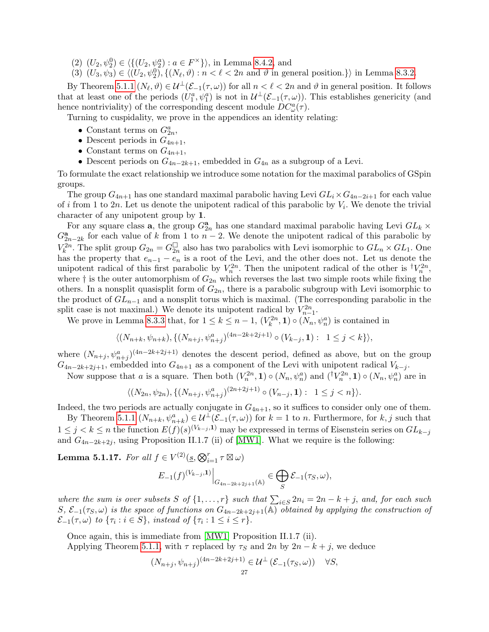(2)  $(U_2, \psi_2^0) \in \langle \{ (U_2, \psi_2^a) : a \in F^\times \} \rangle$ , in Lemma [8.4.2,](#page-48-9) and

(3)  $(U_3, \psi_3) \in \langle (U_2, \psi_2^0), \{ (N_\ell, \vartheta) : n < \ell < 2n \text{ and } \vartheta \text{ in general position.} \} \rangle$  in Lemma [8.3.2.](#page-44-2)

By Theorem [5.1.1](#page-20-3)  $(N_\ell, \vartheta) \in \mathcal{U}^\perp(\mathcal{E}_{-1}(\tau, \omega))$  for all  $n < \ell < 2n$  and  $\vartheta$  in general position. It follows that at least one of the periods  $(U_1^a, \psi_1^a)$  is not in  $\mathcal{U}^{\perp}(\mathcal{E}_{-1}(\tau,\omega))$ . This establishes genericity (and hence nontriviality) of the corresponding descent module  $DC^a_\omega(\tau)$ .

Turning to cuspidality, we prove in the appendices an identity relating:

- Constant terms on  $G_{2n}^a$ ,
- Descent periods in  $G_{4n+1}$ ,
- Constant terms on  $G_{4n+1}$ ,
- Descent periods on  $G_{4n-2k+1}$ , embedded in  $G_{4n}$  as a subgroup of a Levi.

To formulate the exact relationship we introduce some notation for the maximal parabolics of GSpin groups.

The group  $G_{4n+1}$  has one standard maximal parabolic having Levi  $GL_i\times G_{4n-2i+1}$  for each value of i from 1 to 2n. Let us denote the unipotent radical of this parabolic by  $V_i$ . We denote the trivial character of any unipotent group by 1.

For any square class **a**, the group  $G_{2n}^{\mathbf{a}}$  has one standard maximal parabolic having Levi  $GL_k \times$  $G_{2n-2k}^{\mathbf{a}}$  for each value of k from 1 to  $n-2$ . We denote the unipotent radical of this parabolic by  $V_k^{2n}$ . The split group  $G_{2n} = G_{2n}^{\square}$  also has two parabolics with Levi isomorphic to  $GL_n \times GL_1$ . One has the property that  $e_{n-1} - e_n$  is a root of the Levi, and the other does not. Let us denote the unipotent radical of this first parabolic by  $V_n^{2n}$ . Then the unipotent radical of the other is  $\dagger V_n^{2n}$ , where  $\dagger$  is the outer automorphism of  $G_{2n}$  which reverses the last two simple roots while fixing the others. In a nonsplit quasisplit form of  $G_{2n}$ , there is a parabolic subgroup with Levi isomorphic to the product of  $GL_{n-1}$  and a nonsplit torus which is maximal. (The corresponding parabolic in the split case is not maximal.) We denote its unipotent radical by  $V_{n-1}^{2n}$ .

We prove in Lemma [8.3.3](#page-45-0) that, for  $1 \leq k \leq n-1$ ,  $(V_k^{2n}, 1) \circ (N_n, \psi_n^a)$  is contained in

$$
\langle (N_{n+k}, \psi_{n+k}), \{ (N_{n+j}, \psi_{n+j}^a)^{(4n-2k+2j+1)} \circ (V_{k-j}, \mathbf{1}) : 1 \le j < k \} \rangle,
$$

where  $(N_{n+j}, \psi_{n+j}^a)^{(4n-2k+2j+1)}$  denotes the descent period, defined as above, but on the group  $G_{4n-2k+2j+1}$ , embedded into  $G_{4n+1}$  as a component of the Levi with unipotent radical  $V_{k-j}$ .

Now suppose that a is a square. Then both  $(V_n^{2n}, 1) \circ (N_n, \psi_n^a)$  and  $({}^{\dagger}V_n^{2n}, 1) \circ (N_n, \psi_n^a)$  are in

$$
\langle (N_{2n}, \psi_{2n}), \{ (N_{n+j}, \psi_{n+j}^a)^{(2n+2j+1)} \circ (V_{n-j}, \mathbf{1}) : 1 \le j < n \} \rangle.
$$

Indeed, the two periods are actually conjugate in  $G_{4n+1}$ , so it suffices to consider only one of them.

By Theorem [5.1.1](#page-20-3)  $(N_{n+k}, \psi_{n+k}^a) \in \mathcal{U}^{\perp}(\mathcal{E}_{-1}(\tau,\omega))$  for  $k=1$  to n. Furthermore, for  $k, j$  such that  $1 \leq j < k \leq n$  the function  $E(f)(s)^{(V_{k-j},1)}$  may be expressed in terms of Eisenstein series on  $GL_{k-j}$ and  $G_{4n-2k+2j}$ , using Proposition II.1.7 (ii) of [\[MW1\]](#page-50-6). What we require is the following:

Lemma 5.1.17. For all  $f \in V^{(2)}(\underline{s}, \bigotimes_{i=1}^r \tau \boxtimes \omega)$ 

$$
E_{-1}(f)^{(V_{k-j},1)}\Big|_{G_{4n-2k+2j+1}(\mathbb{A})} \in \bigoplus_{S} \mathcal{E}_{-1}(\tau_S,\omega),
$$

where the sum is over subsets S of  $\{1, \ldots, r\}$  such that  $\sum_{i \in S} 2n_i = 2n - k + j$ , and, for each such  $S, \mathcal{E}_{-1}(\tau_S, \omega)$  is the space of functions on  $G_{4n-2k+2j+1}(\mathbb{A})$  obtained by applying the construction of  $\mathcal{E}_{-1}(\tau,\omega)$  to  $\{\tau_i : i \in S\}$ , instead of  $\{\tau_i : 1 \leq i \leq r\}$ .

Once again, this is immediate from [\[MW1\]](#page-50-6) Proposition II.1.7 (ii).

Applying Theorem [5.1.1,](#page-20-3) with  $\tau$  replaced by  $\tau_S$  and  $2n$  by  $2n - k + j$ , we deduce

$$
(N_{n+j}, \psi_{n+j})^{(4n-2k+2j+1)} \in \mathcal{U}^{\perp}(\mathcal{E}_{-1}(\tau_S, \omega)) \quad \forall S,
$$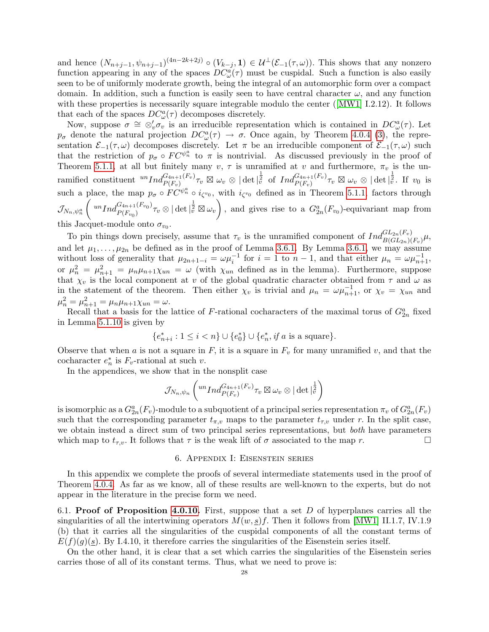and hence  $(N_{n+j-1}, \psi_{n+j-1})^{(4n-2k+2j)} \circ (V_{k-j}, 1) \in \mathcal{U}^{\perp}(\mathcal{E}_{-1}(\tau,\omega))$ . This shows that any nonzero function appearing in any of the spaces  $DC^a_{\omega}(\tau)$  must be cuspidal. Such a function is also easily seen to be of uniformly moderate growth, being the integral of an automorphic form over a compact domain. In addition, such a function is easily seen to have central character  $\omega$ , and any function withthese properties is necessarily square integrable modulo the center ([\[MW1\]](#page-50-6) I.2.12). It follows that each of the spaces  $DC^a_\omega(\tau)$  decomposes discretely.

Now, suppose  $\sigma \cong \otimes_v' \sigma_v$  is an irreducible representation which is contained in  $DC^a_\omega(\tau)$ . Let  $p_{\sigma}$  denote the natural projection  $DC_{\omega}^{a}(\tau) \rightarrow \sigma$ . Once again, by Theorem [4.0.4](#page-13-0) [\(3\)](#page-14-4), the representation  $\mathcal{E}_{-1}(\tau,\omega)$  decomposes discretely. Let  $\pi$  be an irreducible component of  $\mathcal{E}_{-1}(\tau,\omega)$  such that the restriction of  $p_{\sigma} \circ FC^{\psi_n^a}$  to  $\pi$  is nontrivial. As discussed previously in the proof of Theorem [5.1.1,](#page-20-3) at all but finitely many  $v, \tau$  is unramified at v and furthermore,  $\pi_v$  is the unramified constituent  ${}^{un}Ind_{P(F_v)}^{G_{4n+1}(F_v)}\tau_v \boxtimes \omega_v \otimes |\det|_{\tilde{v}}^{\frac{1}{2}}$  of  $Ind_{P(F_v)}^{G_{4n+1}(F_v)}\tau_v \boxtimes \omega_v \otimes |\det|_{\tilde{v}}^{\frac{1}{2}}$ . If  $v_0$  is such a place, the map  $p_{\sigma} \circ FC^{\psi_n^a} \circ i_{\zeta^{v_0}}$ , with  $i_{\zeta^{v_0}}$  defined as in Theorem [5.1.1,](#page-20-3) factors through  $\mathcal{J}_{N_n,\psi_n^a}$  $\int u n I n d_{P(F)}^{G_{4n+1}(F_{v_0})}$  $\frac{G_{4n+1}(F_{v_0})}{F(F_{v_0})}\tau_v\otimes|\det|^{\tfrac{1}{2}}_v\boxtimes\omega_v\bigg)$ , and gives rise to a  $G_{2n}^a(F_{v_0})$ -equivariant map from this Jacquet-module onto  $\sigma_{v_0}$ .

To pin things down precisely, assume that  $\tau_v$  is the unramified component of  $Ind_{B(GL_{2n})(F_v)}^{GL_{2n}(F_v)}\mu$ , and let  $\mu_1, \ldots, \mu_{2n}$  be defined as in the proof of Lemma [3.6.1.](#page-10-2) By Lemma [3.6.1,](#page-10-2) we may assume without loss of generality that  $\mu_{2n+1-i} = \omega \mu_i^{-1}$  for  $i = 1$  to  $n-1$ , and that either  $\mu_n = \omega \mu_{n+1}^{-1}$ , or  $\mu_n^2 = \mu_{n+1}^2 = \mu_n \mu_{n+1} \chi_{un} = \omega$  (with  $\chi_{un}$  defined as in the lemma). Furthermore, suppose that  $\chi_v$  is the local component at v of the global quadratic character obtained from  $\tau$  and  $\omega$  as in the statement of the theorem. Then either  $\chi_v$  is trivial and  $\mu_n = \omega \mu_{n+1}^{-1}$ , or  $\chi_v = \chi_{un}$  and  $\mu_n^2 = \mu_{n+1}^2 = \mu_n \mu_{n+1} \chi_{un} = \omega.$ 

Recall that a basis for the lattice of F-rational cocharacters of the maximal torus of  $G_{2n}^a$  fixed in Lemma [5.1.10](#page-23-4) is given by

$$
\{e_{n+i}^*: 1 \leq i < n\} \cup \{e_0^*\} \cup \{e_n^*, \text{ if } a \text{ is a square}\}.
$$

Observe that when a is not a square in  $F$ , it is a square in  $F<sub>v</sub>$  for many unramified v, and that the cocharacter  $e_n^*$  is  $F_v$ -rational at such v.

In the appendices, we show that in the nonsplit case

$$
\mathcal{J}_{N_n,\psi_n}\left({^{un}Ind_{P(F_v)}^{G_{4n+1}(F_v)}\tau_v\boxtimes\omega_v\otimes|\det|_{\bar{v}}^{\frac{1}{2}}}\right)
$$

is isomorphic as a  $G_{2n}^a(F_v)$ -module to a subquotient of a principal series representation  $\pi_v$  of  $G_{2n}^a(F_v)$ such that the corresponding parameter  $t_{\pi,v}$  maps to the parameter  $t_{\tau,v}$  under r. In the split case, we obtain instead a direct sum of two principal series representations, but both have parameters which map to  $t_{\tau,v}$ . It follows that  $\tau$  is the weak lift of  $\sigma$  associated to the map r.

#### 6. Appendix I: Eisenstein series

<span id="page-27-0"></span>In this appendix we complete the proofs of several intermediate statements used in the proof of Theorem [4.0.4.](#page-13-0) As far as we know, all of these results are well-known to the experts, but do not appear in the literature in the precise form we need.

<span id="page-27-1"></span>6.1. Proof of Proposition [4.0.10.](#page-15-0) First, suppose that a set  $D$  of hyperplanes carries all the singularities of all the intertwining operators  $M(w, s) f$ . Then it follows from [\[MW1\]](#page-50-6) II.1.7, IV.1.9 (b) that it carries all the singularities of the cuspidal components of all the constant terms of  $E(f)(g)(s)$ . By I.4.10, it therefore carries the singularities of the Eisenstein series itself.

On the other hand, it is clear that a set which carries the singularities of the Eisenstein series carries those of all of its constant terms. Thus, what we need to prove is: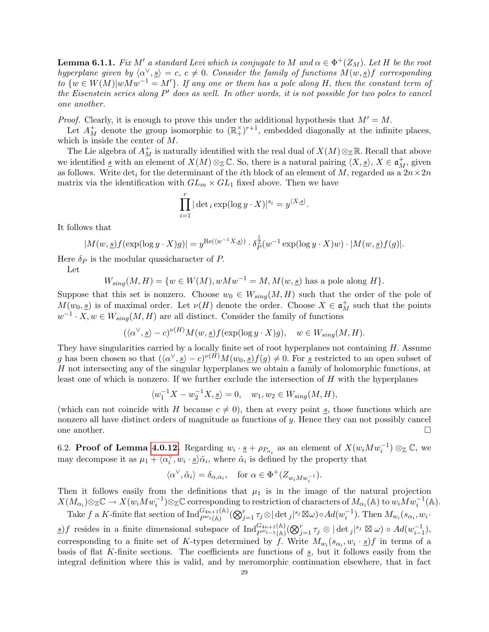**Lemma 6.1.1.** Fix M' a standard Levi which is conjugate to M and  $\alpha \in \Phi^+(Z_M)$ . Let H be the root hyperplane given by  $\langle \alpha^{\vee}, s \rangle = c, c \neq 0$ . Consider the family of functions  $M(w, s)$  corresponding to  $\{w \in W(M)|wMw^{-1} = M'\}$ . If any one or them has a pole along H, then the constant term of the Eisenstein series along  $P'$  does as well. In other words, it is not possible for two poles to cancel one another.

*Proof.* Clearly, it is enough to prove this under the additional hypothesis that  $M' = M$ .

Let  $A_M^+$  denote the group isomorphic to  $(\mathbb{R}^{\times})^{r+1}$ , embedded diagonally at the infinite places, which is inside the center of M.

The Lie algebra of  $A_M^+$  is naturally identified with the real dual of  $X(M) \otimes_{\mathbb{Z}} \mathbb{R}$ . Recall that above we identified  $\underline{s}$  with an element of  $X(M) \otimes_{\mathbb{Z}} \mathbb{C}$ . So, there is a natural pairing  $\langle X, \underline{s} \rangle$ ,  $X \in \mathfrak{a}_M^+$ , given as follows. Write  $\det_i$  for the determinant of the *i*th block of an element of M, regarded as a  $2n \times 2n$ matrix via the identification with  $GL_m \times GL_1$  fixed above. Then we have

$$
\prod_{i=1}^r |\det_i \exp(\log y \cdot X)|^{s_i} = y^{\langle X, \underline{s} \rangle}.
$$

It follows that

$$
|M(w, \underline{s})f(\exp(\log y \cdot X)g)| = y^{\text{Re}(\langle w^{-1}X, \underline{s}\rangle)} \cdot \delta_P^{\frac{1}{2}}(w^{-1}\exp(\log y \cdot X)w) \cdot |M(w, \underline{s})f(g)|.
$$

Here  $\delta_P$  is the modular quasicharacter of P.

Let

$$
W_{sing}(M, H) = \{w \in W(M), wMw^{-1} = M, M(w, \underline{s}) \text{ has a pole along } H\}.
$$

Suppose that this set is nonzero. Choose  $w_0 \in W_{sing}(M, H)$  such that the order of the pole of  $M(w_0, s)$  is of maximal order. Let  $\nu(H)$  denote the order. Choose  $X \in \mathfrak{a}^+_M$  such that the points  $w^{-1} \cdot X, w \in W_{sing}(M, H)$  are all distinct. Consider the family of functions

$$
(\langle \alpha^{\vee}, \underline{s} \rangle - c)^{\nu(H)} M(w, \underline{s}) f(\exp(\log y \cdot X) g), \quad w \in W_{sing}(M, H).
$$

They have singularities carried by a locally finite set of root hyperplanes not containing  $H$ . Assume g has been chosen so that  $({\langle} \alpha^{\vee},\underline{s}\rangle - c)^{\nu(H)}M(w_0,\underline{s})f(g) \neq 0$ . For <u>s</u> restricted to an open subset of H not intersecting any of the singular hyperplanes we obtain a family of holomorphic functions, at least one of which is nonzero. If we further exclude the intersection of  $H$  with the hyperplanes

$$
\langle w_1^{-1}X - w_2^{-1}X, \underline{s} \rangle = 0, \quad w_1, w_2 \in W_{sing}(M, H),
$$

(which can not coincide with H because  $c \neq 0$ ), then at every point s, those functions which are nonzero all have distinct orders of magnitude as functions of  $y$ . Hence they can not possibly cancel one another.  $\Box$ 

<span id="page-28-0"></span>6.2. **Proof of Lemma [4.0.12.](#page-17-0)** Regarding  $w_i \cdot \underline{s} + \rho_{P_{\alpha_i}}$  as an element of  $X(w_i M w_i^{-1}) \otimes_{\mathbb{Z}} \mathbb{C}$ , we may decompose it as  $\mu_1 + \langle \alpha_i^{\vee}, w_i \cdot \underline{s} \rangle \tilde{\alpha}_i$ , where  $\tilde{\alpha}_i$  is defined by the property that

$$
\langle \alpha^{\vee}, \tilde{\alpha}_i \rangle = \delta_{\alpha, \alpha_i}, \text{ for } \alpha \in \Phi^+(Z_{w_i M w_i^{-1}}).
$$

Then it follows easily from the definitions that  $\mu_1$  is in the image of the natural projection  $X(M_{\alpha_i})\otimes_{\mathbb Z}{\mathbb C} \to X(w_iMw_i^{-1})\otimes_{\mathbb Z}{\mathbb C}$  corresponding to restriction of characters of  $M_{\alpha_i}({\mathbb A})$  to  $w_iMw_i^{-1}({\mathbb A}).$ 

Take f a K-finite flat section of  $\text{Ind}_{P^{w_i}(\mathbb{A})}^{G_{4n+1}(\mathbb{A})}(\mathbb{Q}_{j=1}^r \tau_j \otimes |\det_j|^{s_j} \boxtimes \omega) \circ Ad(w_i^{-1})$ . Then  $M_{w_i}(s_{\alpha_i}, w_i$ . s in a finite dimensional subspace of  $\text{Ind}_{P^{w_{i-1}}(A)}^{G_{4n+1}(A)}(\bigotimes_{j=1}^{r} \tau_j \otimes |\det_j|^{s_j} \boxtimes \omega) \circ Ad(w_{i-1}^{-1}),$ corresponding to a finite set of K-types determined by f. Write  $M_{w_i}(s_{\alpha_i}, w_i \cdot \underline{s})$  in terms of a basis of flat K-finite sections. The coefficients are functions of  $s$ , but it follows easily from the integral definition where this is valid, and by meromorphic continuation elsewhere, that in fact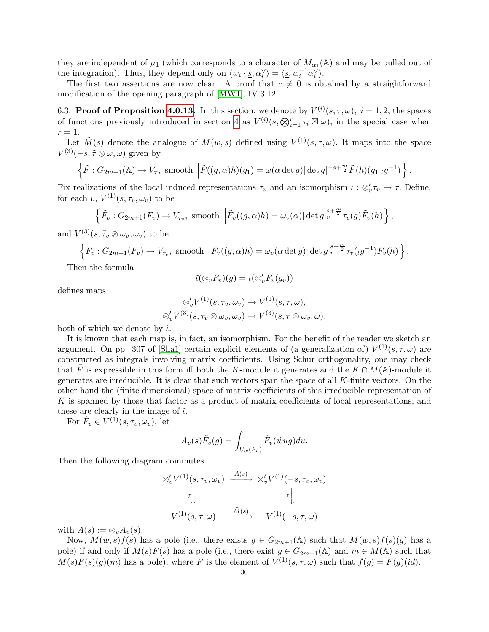they are independent of  $\mu_1$  (which corresponds to a character of  $M_{\alpha_1}(\mathbb{A})$  and may be pulled out of the integration). Thus, they depend only on  $\langle w_i \cdot \underline{s}, \alpha_i^{\vee} \rangle = \langle \underline{s}, w_i^{-1} \alpha_i^{\vee} \rangle$ .

The first two assertions are now clear. A proof that  $c \neq 0$  is obtained by a straightforward modification of the opening paragraph of [\[MW1\]](#page-50-6), IV.3.12.

<span id="page-29-0"></span>6.3. Proof of Proposition [4.0.13.](#page-18-0) In this section, we denote by  $V^{(i)}(s,\tau,\omega)$ ,  $i=1,2$ , the spaces of functions previously introduced in section [4](#page-12-1) as  $V^{(i)}(s, \bigotimes_{i=1}^r \tau_i \boxtimes \omega)$ , in the special case when  $r=1$ .

Let  $\tilde{M}(s)$  denote the analogue of  $M(w, s)$  defined using  $V^{(1)}(s, \tau, \omega)$ . It maps into the space  $V^{(3)}(-s, \tilde{\tau} \otimes \omega, \omega)$  given by

$$
\left\{\tilde{F}: G_{2m+1}(\mathbb{A}) \to V_{\tau}, \text{ smooth }\left|\tilde{F}((g,\alpha)h)(g_1) = \omega(\alpha \det g) |\det g|^{-s+\frac{m}{2}} \tilde{F}(h)(g_1 \ t g^{-1})\right\}.
$$

Fix realizations of the local induced representations  $\tau_v$  and an isomorphism  $\iota : \otimes_v' \tau_v \to \tau$ . Define, for each v,  $V^{(1)}(s, \tau_v, \omega_v)$  to be

$$
\left\{\tilde{F}_v: G_{2m+1}(F_v) \to V_{\tau_v}, \text{ smooth }\left|\tilde{F}_v((g,\alpha)h) = \omega_v(\alpha) \right| \det g|_v^{s+\frac{m}{2}} \tau_v(g) \tilde{F}_v(h)\right\},\
$$

and  $V^{(3)}(s, \tilde{\tau}_v \otimes \omega_v, \omega_v)$  to be

$$
\left\{\tilde{F}_v: G_{2m+1}(F_v) \to V_{\tau_v}, \text{ smooth }\left|\tilde{F}_v((g,\alpha)h) = \omega_v(\alpha \det g) \right| \det g \big|_v^{s+\frac{m}{2}} \tau_v(\iota g^{-1}) \tilde{F}_v(h)\right\}
$$

.

Then the formula

$$
\tilde{\iota}(\otimes_v \tilde{F}_v)(g)=\iota(\otimes_v'\tilde{F}_v(g_v))
$$

defines maps

$$
\otimes'_{v} V^{(1)}(s, \tau_{v}, \omega_{v}) \to V^{(1)}(s, \tau, \omega),
$$
  

$$
\otimes'_{v} V^{(3)}(s, \tilde{\tau}_{v} \otimes \omega_{v}, \omega_{v}) \to V^{(3)}(s, \tilde{\tau} \otimes \omega_{v}, \omega),
$$

both of which we denote by  $\tilde{\iota}$ .

It is known that each map is, in fact, an isomorphism. For the benefit of the reader we sketch an argument. On pp. 307 of [\[Sha1\]](#page-50-9) certain explicit elements of (a generalization of)  $V^{(1)}(s, \tau, \omega)$  are constructed as integrals involving matrix coefficients. Using Schur orthogonality, one may check that F is expressible in this form iff both the K-module it generates and the  $K \cap M(\mathbb{A})$ -module it generates are irreducible. It is clear that such vectors span the space of all  $K$ -finite vectors. On the other hand the (finite dimensional) space of matrix coefficients of this irreducible representation of K is spanned by those that factor as a product of matrix coefficients of local representations, and these are clearly in the image of  $\tilde{\iota}$ .

For  $\tilde{F}_v \in V^{(1)}(s, \tau_v, \omega_v)$ , let

$$
A_v(s)\tilde{F}_v(g) = \int_{U_w(F_v)} \tilde{F}_v(\dot{w}ug)du.
$$

Then the following diagram commutes

$$
\begin{aligned}\n\otimes_v' V^{(1)}(s, \tau_v, \omega_v) & \xrightarrow{A(s)} \otimes_v' V^{(1)}(-s, \tau_v, \omega_v) \\
\tilde{\iota} & \downarrow \qquad \qquad \tilde{\iota} \downarrow \\
V^{(1)}(s, \tau, \omega) & \xrightarrow{\tilde{M}(s)} \qquad V^{(1)}(-s, \tau, \omega)\n\end{aligned}
$$

with  $A(s) := \otimes_v A_v(s)$ .

Now,  $M(w, s)f(s)$  has a pole (i.e., there exists  $g \in G_{2m+1}(\mathbb{A})$  such that  $M(w, s)f(s)(g)$  has a pole) if and only if  $\tilde{M}(s)\tilde{F}(s)$  has a pole (i.e., there exist  $g \in G_{2m+1}(\mathbb{A})$  and  $m \in M(\mathbb{A})$  such that  $\tilde{M}(s)\tilde{F}(s)(g)(m)$  has a pole), where  $\tilde{F}$  is the element of  $V^{(1)}(s,\tau,\omega)$  such that  $f(g) = \tilde{F}(g)(id)$ .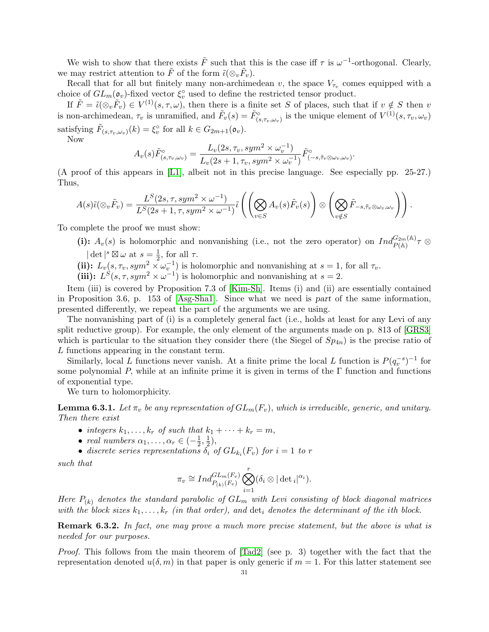We wish to show that there exists  $\tilde{F}$  such that this is the case iff  $\tau$  is  $\omega^{-1}$ -orthogonal. Clearly, we may restrict attention to  $\tilde{F}$  of the form  $\tilde{\iota}(\otimes_v \tilde{F}_v)$ .

Recall that for all but finitely many non-archimedean v, the space  $V_{\tau_v}$  comes equipped with a choice of  $GL_m(\mathfrak o_v)$ -fixed vector  $\xi_v^{\circ}$  used to define the restricted tensor product.

If  $\tilde{F} = \tilde{\iota}(\otimes_v \tilde{F}_v) \in V^{(1)}(s, \tau, \omega)$ , then there is a finite set S of places, such that if  $v \notin S$  then v is non-archimedean,  $\tau_v$  is unramified, and  $\tilde{F}_v(s) = \tilde{F}_{(s,\tau_v,\omega_v)}^{\circ}$  is the unique element of  $V^{(1)}(s,\tau_v,\omega_v)$ satisfying  $\tilde{F}_{(s,\tau_v,\omega_v)}(k) = \xi_v^{\circ}$  for all  $k \in G_{2m+1}(\mathfrak{o}_v)$ .

Now

$$
A_v(s)\tilde{F}^{\circ}_{(s,\tau_v,\omega_v)} = \frac{L_v(2s,\tau_v,sym^2 \times \omega_v^{-1})}{L_v(2s+1,\tau_v,sym^2 \times \omega_v^{-1})}\tilde{F}^{\circ}_{(-s,\tilde{\tau}_v \otimes \omega_v,\omega_v)}
$$

.

(A proof of this appears in [\[L1\]](#page-50-13), albeit not in this precise language. See especially pp. 25-27.) Thus,

$$
A(s)\tilde{\iota}(\otimes_v \tilde{F}_v) = \frac{L^S(2s,\tau,sym^2 \times \omega^{-1})}{L^S(2s+1,\tau,sym^2 \times \omega^{-1})}\tilde{\iota}\left(\left(\bigotimes_{v \in S} A_v(s)\tilde{F}_v(s)\right) \otimes \left(\bigotimes_{v \notin S} \tilde{F}_{-s,\tilde{\tau}_v \otimes \omega_v,\omega_v}\right)\right).
$$

To complete the proof we must show:

(i):  $A_v(s)$  is holomorphic and nonvanishing (i.e., not the zero operator) on  $Ind_{P(A)}^{G_{2m}(A)} \tau \otimes$  $\det^{s} \boxtimes \omega$  at  $s = \frac{1}{2}$  $\frac{1}{2}$ , for all  $\tau$ .

- (ii):  $L_v(s, \tau_v, sym^2 \times \omega_v^{-1})$  is holomorphic and nonvanishing at  $s = 1$ , for all  $\tau_v$ .
- (iii):  $L^{S}(s, \tau, sym^2 \times \omega^{-1})$  is holomorphic and nonvanishing at  $s = 2$ .

Item (iii) is covered by Proposition 7.3 of [\[Kim-Sh\]](#page-50-14). Items (i) and (ii) are essentially contained in Proposition 3.6, p. 153 of [\[Asg-Sha1\]](#page-48-1). Since what we need is part of the same information, presented differently, we repeat the part of the arguments we are using.

The nonvanishing part of (i) is a completely general fact (i.e., holds at least for any Levi of any split reductive group). For example, the only element of the arguments made on p. 813 of [\[GRS3\]](#page-49-21) which is particular to the situation they consider there (the Siegel of  $Sp_{4n}$ ) is the precise ratio of L functions appearing in the constant term.

Similarly, local L functions never vanish. At a finite prime the local L function is  $P(q_v^{-s})^{-1}$  for some polynomial P, while at an infinite prime it is given in terms of the  $\Gamma$  function and functions of exponential type.

We turn to holomorphicity.

<span id="page-30-0"></span>**Lemma 6.3.1.** Let  $\pi_v$  be any representation of  $GL_m(F_v)$ , which is irreducible, generic, and unitary. Then there exist

- integers  $k_1, \ldots, k_r$  of such that  $k_1 + \cdots + k_r = m$ ,
- real numbers  $\alpha_1, \ldots, \alpha_r \in \left(-\frac{1}{2}\right)$  $\frac{1}{2}, \frac{1}{2}$  $(\frac{1}{2}),$
- discrete series representations  $\delta_i$  of  $GL_{k_i}(F_v)$  for  $i=1$  to r

such that

$$
\pi_v \cong Ind_{P_{(k)}(F_v)}^{GL_m(F_v)} \bigotimes_{i=1}^r (\delta_i \otimes |\det_i|^{\alpha_i}).
$$

Here  $P_{(k)}$  denotes the standard parabolic of  $GL_m$  with Levi consisting of block diagonal matrices with the block sizes  $k_1, \ldots, k_r$  (in that order), and  $\det_i$  denotes the determinant of the ith block.

Remark 6.3.2. In fact, one may prove a much more precise statement, but the above is what is needed for our purposes.

Proof. This follows from the main theorem of  $[\text{rad}2]$  (see p. 3) together with the fact that the representation denoted  $u(\delta, m)$  in that paper is only generic if  $m = 1$ . For this latter statement see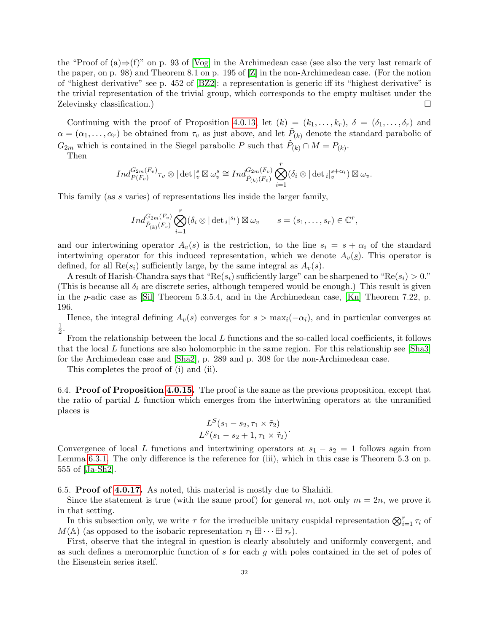the "Proof of  $(a) \Rightarrow f'$ " on p. 93 of [\[Vog\]](#page-51-1) in the Archimedean case (see also the very last remark of the paper, on p. 98) and Theorem 8.1 on p. 195 of [\[Z\]](#page-51-0) in the non-Archimedean case. (For the notion of "highest derivative" see p. 452 of [\[BZ2\]](#page-48-10): a representation is generic iff its "highest derivative" is the trivial representation of the trivial group, which corresponds to the empty multiset under the Zelevinsky classification.)

Continuing with the proof of Proposition [4.0.13,](#page-18-0) let  $(k) = (k_1, \ldots, k_r)$ ,  $\delta = (\delta_1, \ldots, \delta_r)$  and  $\alpha = (\alpha_1, \ldots, \alpha_r)$  be obtained from  $\tau_v$  as just above, and let  $\tilde{P}_{(k)}$  denote the standard parabolic of  $G_{2m}$  which is contained in the Siegel parabolic P such that  $\tilde{P}_{(k)} \cap M = P_{(k)}$ .

Then

$$
Ind_{P(F_v)}^{G_{2m}(F_v)}\tau_v \otimes |\det|_{v}^{s} \boxtimes \omega_v^{s} \cong Ind_{\tilde{P}_{(k)}(F_v)}^{G_{2m}(F_v)} \bigotimes_{i=1}^{r} (\delta_i \otimes |\det_i|_{v}^{s+\alpha_i}) \boxtimes \omega_v.
$$

This family (as s varies) of representations lies inside the larger family,

$$
Ind_{\tilde{P}_{(k)}(F_v)}^{G_{2m}(F_v)}\bigotimes_{i=1}^r(\delta_i\otimes|\det_i|^{s_i})\boxtimes\omega_v \qquad s=(s_1,\ldots,s_r)\in\mathbb{C}^r,
$$

and our intertwining operator  $A_v(s)$  is the restriction, to the line  $s_i = s + \alpha_i$  of the standard intertwining operator for this induced representation, which we denote  $A_v(s)$ . This operator is defined, for all  $\text{Re}(s_i)$  sufficiently large, by the same integral as  $A_v(s)$ .

A result of Harish-Chandra says that "Re( $s_i$ ) sufficiently large" can be sharpened to "Re( $s_i$ ) > 0." (This is because all  $\delta_i$  are discrete series, although tempered would be enough.) This result is given in the p-adic case as [\[Sil\]](#page-50-16) Theorem 5.3.5.4, and in the Archimedean case, [\[Kn\]](#page-50-17) Theorem 7.22, p. 196.

Hence, the integral defining  $A_v(s)$  converges for  $s > \max_i(-\alpha_i)$ , and in particular converges at 1  $\frac{1}{2}$ .

From the relationship between the local L functions and the so-called local coefficients, it follows that the local L functions are also holomorphic in the same region. For this relationship see [\[Sha3\]](#page-50-18) for the Archimedean case and [\[Sha2\]](#page-50-3), p. 289 and p. 308 for the non-Archimedean case.

This completes the proof of (i) and (ii).

<span id="page-31-0"></span>6.4. Proof of Proposition [4.0.15.](#page-19-0) The proof is the same as the previous proposition, except that the ratio of partial  $L$  function which emerges from the intertwining operators at the unramified places is

$$
\frac{L^S(s_1-s_2,\tau_1\times\tilde{\tau}_2)}{L^S(s_1-s_2+1,\tau_1\times\tilde{\tau}_2)}.
$$

Convergence of local L functions and intertwining operators at  $s_1 - s_2 = 1$  follows again from Lemma [6.3.1.](#page-30-0) The only difference is the reference for (iii), which in this case is Theorem 5.3 on p. 555 of [\[Ja-Sh2\]](#page-49-5).

<span id="page-31-1"></span>6.5. Proof of [4.0.17.](#page-20-2) As noted, this material is mostly due to Shahidi.

Since the statement is true (with the same proof) for general m, not only  $m = 2n$ , we prove it in that setting.

In this subsection only, we write  $\tau$  for the irreducible unitary cuspidal representation  $\bigotimes_{i=1}^r \tau_i$  of  $M(\mathbb{A})$  (as opposed to the isobaric representation  $\tau_1 \boxplus \cdots \boxplus \tau_r$ ).

First, observe that the integral in question is clearly absolutely and uniformly convergent, and as such defines a meromorphic function of  $\frac{s}{s}$  for each g with poles contained in the set of poles of the Eisenstein series itself.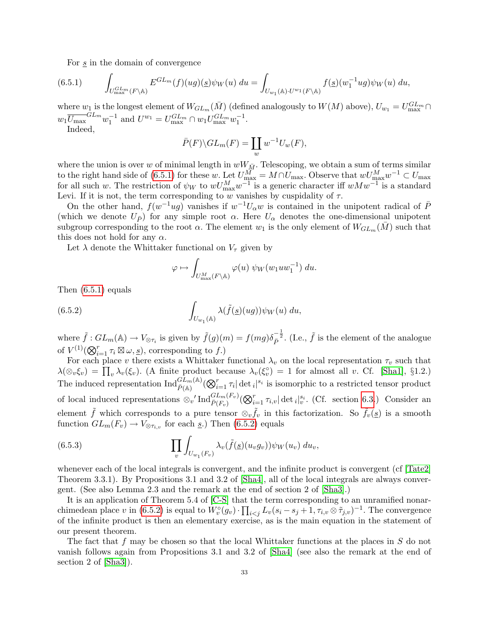<span id="page-32-0"></span>For s in the domain of convergence

$$
(6.5.1) \qquad \int_{U_{\max}^{GL_m}(F \backslash \mathbb{A})} E^{GL_m}(f)(ug)(g)\psi_W(u) \, du = \int_{U_{w_1}(\mathbb{A}) \cdot U^{w_1}(F \backslash \mathbb{A})} f(g)(w_1^{-1}ug)\psi_W(u) \, du,
$$

where  $w_1$  is the longest element of  $W_{GL_m}(\bar{M})$  (defined analogously to  $W(M)$  above),  $U_{w_1} = U_{\text{max}}^{GL_m} \cap$  $w_1 \overline{U_{\text{max}}}^{GL_m} w_1^{-1}$  and  $U^{w_1} = U_{\text{max}}^{GL_m} \cap w_1 U_{\text{max}}^{GL_m} w_1^{-1}$ .

Indeed,

$$
\bar{P}(F)\backslash GL_m(F)=\coprod_w w^{-1}U_w(F),
$$

where the union is over w of minimal length in  $wW_{\bar{M}}$ . Telescoping, we obtain a sum of terms similar to the right hand side of [\(6.5.1\)](#page-32-0) for these w. Let  $U_{\text{max}}^M = M \cap U_{\text{max}}$ . Observe that  $wU_{\text{max}}^M w^{-1} \subset U_{\text{max}}$ for all such w. The restriction of  $\psi_W$  to  $wU_{\text{max}}^M w^{-1}$  is a generic character iff  $wMw^{-1}$  is a standard Levi. If it is not, the term corresponding to w vanishes by cuspidality of  $\tau$ .

On the other hand,  $f(w^{-1}ug)$  vanishes if  $w^{-1}U_\alpha w$  is contained in the unipotent radical of  $\bar{P}$ (which we denote  $U_{\bar{P}}$ ) for any simple root  $\alpha$ . Here  $U_{\alpha}$  denotes the one-dimensional unipotent subgroup corresponding to the root  $\alpha$ . The element  $w_1$  is the only element of  $W_{GL_m}(M)$  such that this does not hold for any  $\alpha$ .

Let  $\lambda$  denote the Whittaker functional on  $V_{\tau}$  given by

<span id="page-32-1"></span>
$$
\varphi \mapsto \int_{U^M_{\text{max}}(F \backslash \mathbb{A})} \varphi(u) \psi_W(w_1 u w_1^{-1}) \ du.
$$

Then [\(6.5.1\)](#page-32-0) equals

(6.5.2) 
$$
\int_{U_{w_1}(\mathbb{A})} \lambda(\tilde{f}(\underline{s})(ug)) \psi_W(u) du,
$$

where  $\tilde{f}: GL_m(\mathbb{A}) \to V_{\otimes \tau_i}$  is given by  $\tilde{f}(g)(m) = f(mg)\delta_P^{-\frac{1}{2}}$ . (I.e.,  $\tilde{f}$  is the element of the analogue of  $V^{(1)}(\bigotimes_{i=1}^r \tau_i \boxtimes \omega, \underline{s})$ , corresponding to f.)

For each place v there exists a Whittaker functional  $\lambda_v$  on the local representation  $\tau_v$  such that  $\lambda(\otimes_v \xi_v) = \prod_v \lambda_v(\xi_v)$ . (A finite product because  $\lambda_v(\xi_v^{\circ}) = 1$  for almost all v. Cf. [\[Sha1\]](#page-50-9), §1.2.) The induced representation  $\text{Ind}_{\bar{P}(\mathbb{A})}^{GL_m(\mathbb{A})}(\bigotimes_{i=1}^r \tau_i |\det_i|^{s_i}$  is isomorphic to a restricted tensor product of local induced representations  $\otimes_v' \text{Ind}_{\bar{P}(F_v)}^{GL_m(F_v)}(\bigotimes_{i=1}^r \tau_{i,v}|\det_i|_v^{s_i}$ . (Cf. section [6.3.](#page-29-0)) Consider an element  $\tilde{f}$  which corresponds to a pure tensor  $\otimes_v \tilde{f}_v$  in this factorization. So  $\tilde{f}_v(\underline{s})$  is a smooth function  $GL_m(F_v) \to V_{\otimes \tau_{i,v}}$  for each  $\underline{s}$ .) Then [\(6.5.2\)](#page-32-1) equals

(6.5.3) 
$$
\prod_{v} \int_{U_{w_1}(F_v)} \lambda_v(\tilde{f}(\underline{s})(u_v g_v)) \psi_W(u_v) du_v,
$$

whenever each of the local integrals is convergent, and the infinite product is convergent (cf  $[\text{Tate2}]$ ) Theorem 3.3.1). By Propositions 3.1 and 3.2 of [\[Sha4\]](#page-50-19), all of the local integrals are always convergent. (See also Lemma 2.3 and the remark at the end of section 2 of [\[Sha3\]](#page-50-18).)

It is an application of Theorem 5.4 of [\[C-S\]](#page-49-22) that the term corresponding to an unramified nonarchimedean place v in  $(6.5.2)$  is equal to  $\hat{W}_v^{\circ}(g_v) \cdot \prod_{i < j} L_v(s_i - s_j + 1, \tau_{i,v} \otimes \tilde{\tau}_{j,v})^{-1}$ . The convergence of the infinite product is then an elementary exercise, as is the main equation in the statement of our present theorem.

The fact that f may be chosen so that the local Whittaker functions at the places in  $S$  do not vanish follows again from Propositions 3.1 and 3.2 of [\[Sha4\]](#page-50-19) (see also the remark at the end of section 2 of [\[Sha3\]](#page-50-18)).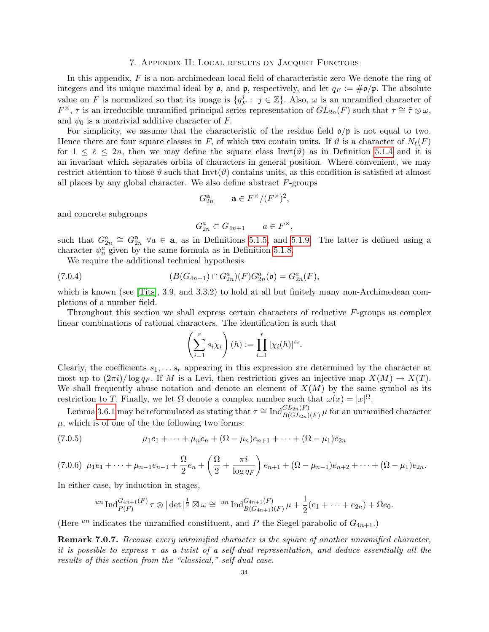#### 7. Appendix II: Local results on Jacquet Functors

<span id="page-33-0"></span>In this appendix, F is a non-archimedean local field of characteristic zero We denote the ring of integers and its unique maximal ideal by  $\mathfrak{o}$ , and  $\mathfrak{p}$ , respectively, and let  $q_F := \# \mathfrak{o}/\mathfrak{p}$ . The absolute value on F is normalized so that its image is  $\{q_I^j\}$  $j_F$ :  $j \in \mathbb{Z}$ . Also,  $\omega$  is an unramified character of  $F^{\times}, \tau$  is an irreducible unramified principal series representation of  $GL_{2n}(F)$  such that  $\tau \cong \tilde{\tau} \otimes \omega$ , and  $\psi_0$  is a nontrivial additive character of F.

For simplicity, we assume that the characteristic of the residue field  $\mathfrak{o}/\mathfrak{p}$  is not equal to two. Hence there are four square classes in F, of which two contain units. If  $\vartheta$  is a character of  $N_{\ell}(F)$ for  $1 \leq \ell \leq 2n$ , then we may define the square class Invt( $\vartheta$ ) as in Definition [5.1.4](#page-22-2) and it is an invariant which separates orbits of characters in general position. Where convenient, we may restrict attention to those  $\vartheta$  such that Invt( $\vartheta$ ) contains units, as this condition is satisfied at almost all places by any global character. We also define abstract  $F$ -groups

$$
G_{2n}^{\mathbf{a}} \qquad \mathbf{a} \in F^{\times}/(F^{\times})^2,
$$

and concrete subgroups

$$
G_{2n}^a \subset G_{4n+1} \qquad a \in F^\times,
$$

such that  $G_{2n}^a \cong G_{2n}^a$   $\forall a \in \mathbf{a}$ , as in Definitions [5.1.5,](#page-22-3) and [5.1.9.](#page-23-5) The latter is defined using a character  $\psi_n^a$  given by the same formula as in Definition [5.1.8.](#page-23-1)

We require the additional technical hypothesis

(7.0.4) 
$$
(B(G_{4n+1}) \cap G_{2n}^{a})(F)G_{2n}^{a}(\mathfrak{o}) = G_{2n}^{a}(F),
$$

which is known (see [\[Tits\]](#page-51-3), 3.9, and 3.3.2) to hold at all but finitely many non-Archimedean completions of a number field.

Throughout this section we shall express certain characters of reductive  $F$ -groups as complex linear combinations of rational characters. The identification is such that

$$
\left(\sum_{i=1}^r s_i \chi_i\right)(h) := \prod_{i=1}^r |\chi_i(h)|^{s_i}.
$$

Clearly, the coefficients  $s_1, \ldots s_r$  appearing in this expression are determined by the character at most up to  $(2\pi i)/\log q_F$ . If M is a Levi, then restriction gives an injective map  $X(M) \to X(T)$ . We shall frequently abuse notation and denote an element of  $X(M)$  by the same symbol as its restriction to T. Finally, we let  $\Omega$  denote a complex number such that  $\omega(x) = |x|^{\Omega}$ .

Lemma [3.6.1](#page-10-2) may be reformulated as stating that  $\tau \cong \text{Ind}_{B(GL_{2n})(F)}^{GL_{2n}(F)} \mu$  for an unramified character  $\mu$ , which is of one of the the following two forms:

(7.0.5) 
$$
\mu_1 e_1 + \cdots + \mu_n e_n + (\Omega - \mu_n) e_{n+1} + \cdots + (\Omega - \mu_1) e_{2n}
$$

<span id="page-33-2"></span>
$$
(7.0.6) \mu_1e_1 + \dots + \mu_{n-1}e_{n-1} + \frac{\Omega}{2}e_n + \left(\frac{\Omega}{2} + \frac{\pi i}{\log q_F}\right)e_{n+1} + (\Omega - \mu_{n-1})e_{n+2} + \dots + (\Omega - \mu_1)e_{2n}.
$$

In either case, by induction in stages,

<span id="page-33-1"></span>
$$
{}^{un}\operatorname{Ind}_{P(F)}^{G_{4n+1}(F)}\tau\otimes|\det|^{\frac{1}{2}}\boxtimes\omega\cong {}^{un}\operatorname{Ind}_{B(G_{4n+1})(F)}^{G_{4n+1}(F)}\mu+\frac{1}{2}(e_1+\cdots+e_{2n})+\Omega e_0.
$$

(Here  $^{un}$  indicates the unramified constituent, and P the Siegel parabolic of  $G_{4n+1}$ .)

<span id="page-33-3"></span>Remark 7.0.7. Because every unramified character is the square of another unramified character, it is possible to express  $\tau$  as a twist of a self-dual representation, and deduce essentially all the results of this section from the "classical," self-dual case.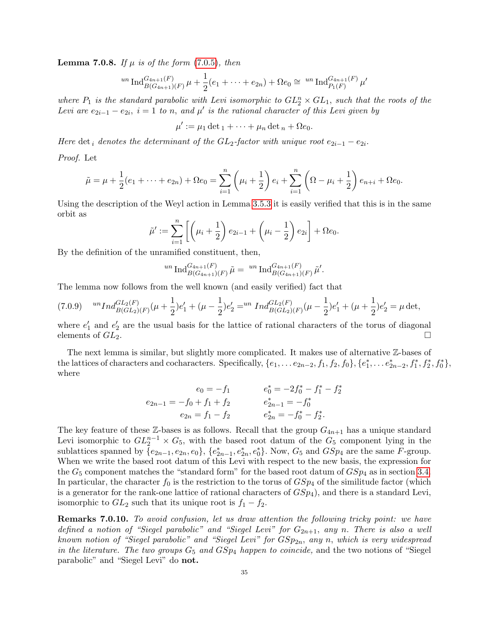**Lemma 7.0.8.** If  $\mu$  is of the form [\(7.0.5\)](#page-33-1), then

$$
^{un} \operatorname{Ind}_{B(G_{4n+1})(F)}^{G_{4n+1}(F)} \mu + \frac{1}{2}(e_1 + \cdots + e_{2n}) + \Omega e_0 \cong {^{un} \operatorname{Ind}_{P_1(F)}^{G_{4n+1}(F)} \mu'}
$$

where  $P_1$  is the standard parabolic with Levi isomorphic to  $GL_2^n \times GL_1$ , such that the roots of the Levi are  $e_{2i-1} - e_{2i}$ ,  $i = 1$  to n, and  $\mu'$  is the rational character of this Levi given by

$$
\mu' := \mu_1 \det_1 + \cdots + \mu_n \det_n + \Omega e_0.
$$

Here det<sub>i</sub> denotes the determinant of the  $GL_2$ -factor with unique root  $e_{2i-1} - e_{2i}$ .

Proof. Let

$$
\tilde{\mu} = \mu + \frac{1}{2}(e_1 + \dots + e_{2n}) + \Omega e_0 = \sum_{i=1}^n \left(\mu_i + \frac{1}{2}\right) e_i + \sum_{i=1}^n \left(\Omega - \mu_i + \frac{1}{2}\right) e_{n+i} + \Omega e_0.
$$

Using the description of the Weyl action in Lemma [3.5.3](#page-8-1) it is easily verified that this is in the same orbit as

$$
\tilde{\mu}' := \sum_{i=1}^n \left[ \left( \mu_i + \frac{1}{2} \right) e_{2i-1} + \left( \mu_i - \frac{1}{2} \right) e_{2i} \right] + \Omega e_0.
$$

By the definition of the unramified constituent, then,

$$
{}^{un} \operatorname{Ind}_{B(G_{4n+1})(F)}^{G_{4n+1}(F)} \tilde{\mu} = {}^{un} \operatorname{Ind}_{B(G_{4n+1})(F)}^{G_{4n+1}(F)} \tilde{\mu}'.
$$

The lemma now follows from the well known (and easily verified) fact that

<span id="page-34-0"></span>
$$
(7.0.9) \quad {}^{un}Ind_{B(GL_2(F)}^{GL_2(F)}(\mu+\frac{1}{2})e'_1+(\mu-\frac{1}{2})e'_2 = {}^{un}Ind_{B(GL_2(F)}^{GL_2(F)}(\mu-\frac{1}{2})e'_1+(\mu+\frac{1}{2})e'_2 = \mu \det,
$$

where  $e'_1$  and  $e'_2$  are the usual basis for the lattice of rational characters of the torus of diagonal elements of  $GL_2$ .

The next lemma is similar, but slightly more complicated. It makes use of alternative Z-bases of the lattices of characters and cocharacters. Specifically,  $\{e_1, \ldots e_{2n-2}, f_1, f_2, f_0\}$ ,  $\{e_1^*, \ldots e_{2n-2}^*, f_1^*, f_2^*, f_0^*\}$ , where

$$
e_0 = -f_1
$$
  
\n
$$
e_2 = -f_1 + f_2
$$
  
\n
$$
e_{2n-1} = -f_0 + f_1 + f_2
$$
  
\n
$$
e_{2n} = f_1 - f_2
$$
  
\n
$$
e_{2n}^* = -f_0^*
$$
  
\n
$$
e_{2n}^* = -f_0^*
$$
  
\n
$$
e_{2n}^* = -f_0^*
$$
  
\n
$$
e_{2n}^* = -f_0^*
$$

The key feature of these Z-bases is as follows. Recall that the group  $G_{4n+1}$  has a unique standard Levi isomorphic to  $GL_2^{n-1} \times G_5$ , with the based root datum of the  $G_5$  component lying in the sublattices spanned by  $\{e_{2n-1}, e_{2n}, e_0\}$ ,  $\{e_{2n-1}^*, e_{2n}^*, e_0^*\}$ . Now,  $G_5$  and  $GSp_4$  are the same F-group. When we write the based root datum of this Levi with respect to the new basis, the expression for the  $G_5$  component matches the "standard form" for the based root datum of  $GSp_4$  as in section [3.4.](#page-5-1) In particular, the character  $f_0$  is the restriction to the torus of  $GSp_4$  of the similitude factor (which is a generator for the rank-one lattice of rational characters of  $GSp_4$ ), and there is a standard Levi, isomorphic to  $GL_2$  such that its unique root is  $f_1 - f_2$ .

<span id="page-34-1"></span>Remarks 7.0.10. To avoid confusion, let us draw attention the following tricky point: we have defined a notion of "Siegel parabolic" and "Siegel Levi" for  $G_{2n+1}$ , any n. There is also a well known notion of "Siegel parabolic" and "Siegel Levi" for  $GSp_{2n}$ , any n, which is very widespread in the literature. The two groups  $G_5$  and  $GSp_4$  happen to coincide, and the two notions of "Siegel" parabolic" and "Siegel Levi" do not.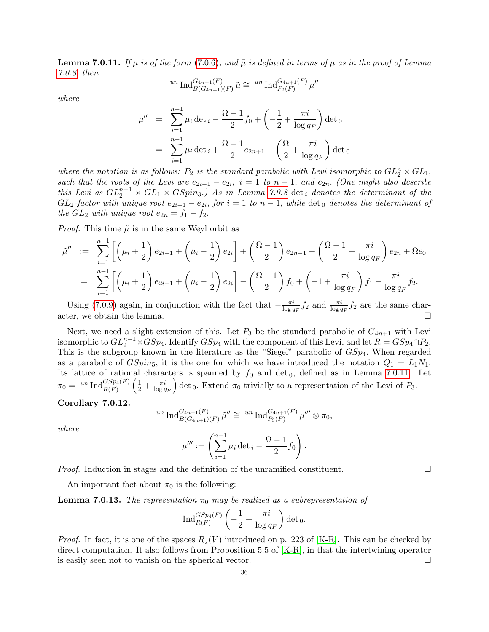**Lemma 7.0.11.** If  $\mu$  is of the form [\(7.0.6\)](#page-33-2), and  $\tilde{\mu}$  is defined in terms of  $\mu$  as in the proof of Lemma [7.0.8,](#page-33-3) then

$$
^{un} \text{Ind}_{B(G_{4n+1})(F)}^{G_{4n+1}(F)} \tilde{\mu} \cong {}^{un} \text{Ind}_{P_2(F)}^{G_{4n+1}(F)} \mu''
$$

where

$$
\mu'' = \sum_{i=1}^{n-1} \mu_i \det_i - \frac{\Omega - 1}{2} f_0 + \left( -\frac{1}{2} + \frac{\pi i}{\log q_F} \right) \det_0
$$
  
= 
$$
\sum_{i=1}^{n-1} \mu_i \det_i + \frac{\Omega - 1}{2} e_{2n+1} - \left( \frac{\Omega}{2} + \frac{\pi i}{\log q_F} \right) \det_0
$$

where the notation is as follows:  $P_2$  is the standard parabolic with Levi isomorphic to  $GL_2^n \times GL_1$ , such that the roots of the Levi are  $e_{2i-1} - e_{2i}$ ,  $i = 1$  to  $n - 1$ , and  $e_{2n}$ . (One might also describe this Levi as  $GL_2^{n-1} \times GL_1 \times GSpin_3$ .) As in Lemma [7.0.8](#page-33-3) det<sub>i</sub> denotes the determinant of the  $GL_2$ -factor with unique root  $e_{2i-1} - e_{2i}$ , for  $i = 1$  to  $n - 1$ , while  $\det_0$  denotes the determinant of the  $GL_2$  with unique root  $e_{2n} = f_1 - f_2$ .

*Proof.* This time  $\tilde{\mu}$  is in the same Weyl orbit as

$$
\tilde{\mu}'' := \sum_{i=1}^{n-1} \left[ \left( \mu_i + \frac{1}{2} \right) e_{2i-1} + \left( \mu_i - \frac{1}{2} \right) e_{2i} \right] + \left( \frac{\Omega - 1}{2} \right) e_{2n-1} + \left( \frac{\Omega - 1}{2} + \frac{\pi i}{\log q_F} \right) e_{2n} + \Omega e_0
$$
\n
$$
= \sum_{i=1}^{n-1} \left[ \left( \mu_i + \frac{1}{2} \right) e_{2i-1} + \left( \mu_i - \frac{1}{2} \right) e_{2i} \right] - \left( \frac{\Omega - 1}{2} \right) f_0 + \left( -1 + \frac{\pi i}{\log q_F} \right) f_1 - \frac{\pi i}{\log q_F} f_2.
$$

Using [\(7.0.9\)](#page-34-0) again, in conjunction with the fact that  $-\frac{\pi i}{\log a}$  $\frac{\pi i}{\log q_F} f_2$  and  $\frac{\pi i}{\log q_F} f_2$  are the same character, we obtain the lemma.

Next, we need a slight extension of this. Let  $P_3$  be the standard parabolic of  $G_{4n+1}$  with Levi isomorphic to  $GL_2^{n-1} \times GSp_4$ . Identify  $GSp_4$  with the component of this Levi, and let  $R = GSp_4 \cap P_2$ . This is the subgroup known in the literature as the "Siegel" parabolic of  $GSp<sub>4</sub>$ . When regarded as a parabolic of  $GSpin_5$ , it is the one for which we have introduced the notation  $Q_1 = L_1N_1$ . Its lattice of rational characters is spanned by  $f_0$  and det  $_0$ , defined as in Lemma [7.0.11.](#page-34-1) Let  $\pi_0 = \sqrt[un]{{\rm Ind}^{GSp_4(F)}_{R(F)}} \left( \frac{1}{2} + \frac{\pi i }{\log q} \right)$  $\log q_F$ ) det<sub>0</sub>. Extend  $\pi_0$  trivially to a representation of the Levi of  $P_3$ .

### <span id="page-35-0"></span>Corollary 7.0.12.

$$
^{un} \operatorname{Ind}_{B(G_{4n+1})(F)}^{G_{4n+1}(F)} \tilde{\mu}'' \cong {^{un} \operatorname{Ind}_{P_3(F)}^{G_{4n+1}(F)} \mu''' \otimes \pi_0},
$$

where

$$
\mu''' := \left(\sum_{i=1}^{n-1} \mu_i \det_i - \frac{\Omega - 1}{2} f_0\right).
$$

*Proof.* Induction in stages and the definition of the unramified constituent.  $\Box$ 

An important fact about  $\pi_0$  is the following:

**Lemma 7.0.13.** The representation  $\pi_0$  may be realized as a subrepresentation of

$$
\operatorname{Ind}_{R(F)}^{GSp_4(F)} \left(-\frac{1}{2} + \frac{\pi i}{\log q_F}\right) \det {}_0.
$$

*Proof.* In fact, it is one of the spaces  $R_2(V)$  introduced on p. 223 of [\[K-R\]](#page-50-20). This can be checked by direct computation. It also follows from Proposition 5.5 of [\[K-R\]](#page-50-20), in that the intertwining operator is easily seen not to vanish on the spherical vector.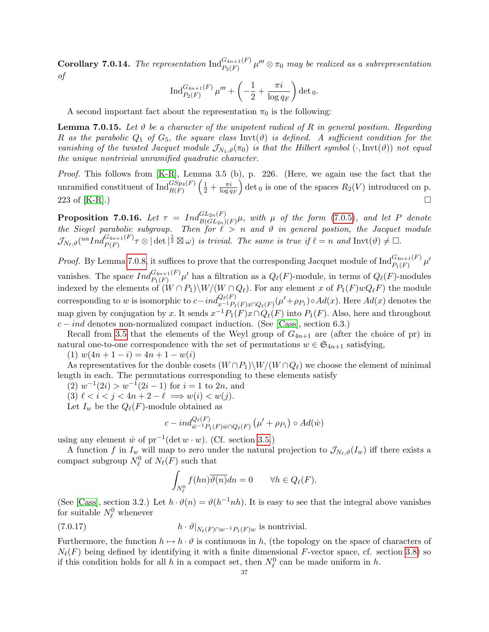**Corollary 7.0.14.** The representation  $\text{Ind}_{P_3(F)}^{G_{4n+1}(F)} \mu^{\prime\prime\prime} \otimes \pi_0$  may be realized as a subrepresentation of

$$
\operatorname{Ind}_{P_2(F)}^{G_{4n+1}(F)}\mu''' + \left( -\frac{1}{2} + \frac{\pi i}{\log q_F} \right) \det {}_0.
$$

A second important fact about the representation  $\pi_0$  is the following:

<span id="page-36-2"></span>**Lemma 7.0.15.** Let  $\vartheta$  be a character of the unipotent radical of R in general position. Regarding R as the parabolic  $Q_1$  of  $G_5$ , the square class Invt( $\vartheta$ ) is defined. A sufficient condition for the vanishing of the twisted Jacquet module  $\mathcal{J}_{N_1,\vartheta}(\pi_0)$  is that the Hilbert symbol  $(\cdot,\text{Invt}(\vartheta))$  not equal the unique nontrivial unramified quadratic character.

Proof. This follows from [\[K-R\]](#page-50-20), Lemma 3.5 (b), p. 226. (Here, we again use the fact that the unramified constituent of  $\text{Ind}_{R(F)}^{GSp_4(F)}\left(\frac{1}{2}+\frac{\pi i}{\log q}\right)$  $\log q_F$ ) det<sub>0</sub> is one of the spaces  $R_2(V)$  introduced on p. 223 of  $[K-R]$ .)

<span id="page-36-0"></span>**Proposition 7.0.16.** Let  $\tau = Ind_{B(GL_{2n})(F)}^{GL_{2n}(F)}\mu$ , with  $\mu$  of the form [\(7.0.5\)](#page-33-1), and let P denote the Siegel parabolic subgroup. Then for  $\ell > n$  and  $\vartheta$  in general postion, the Jacquet module  $\mathcal{J}_{N_{\ell},\vartheta}(^{un}Ind_{P(F)}^{G_{4n+1}(F)}\tau\otimes|\det|^{\frac{1}{2}}\boxtimes\omega)$  is trivial. The same is true if  $\ell=n$  and  $\mathrm{Invt}(\vartheta)\neq\Box$ .

*Proof.* By Lemma [7.0.8,](#page-33-3) it suffices to prove that the corresponding Jacquet module of  $\text{Ind}_{P_1(F)}^{G_{4n+1}(F)} \mu'$ vanishes. The space  $Ind_{P_1(F)}^{G_{4n+1}(F)}\mu'$  has a filtration as a  $Q_\ell(F)$ -module, in terms of  $Q_\ell(F)$ -modules indexed by the elements of  $(W \cap P_1) \setminus W/(W \cap Q_\ell)$ . For any element x of  $P_1(F)wQ_\ell F$ ) the module corresponding to w is isomorphic to  $c-ind_{x^{-1}P_1(F)x\cap Q_\ell(F)}^{Q_\ell(F)}(\mu'+\rho_{P_1}) \circ Ad(x)$ . Here  $Ad(x)$  denotes the map given by conjugation by x. It sends  $x^{-1}P_1(F)x \cap Q_\ell(F)$  into  $P_1(F)$ . Also, here and throughout  $c - ind$  denotes non-normalized compact induction. (See [\[Cass\]](#page-49-23), section 6.3.)

Recall from [3.5](#page-7-0) that the elements of the Weyl group of  $G_{4n+1}$  are (after the choice of pr) in natural one-to-one correspondence with the set of permutations  $w \in \mathfrak{S}_{4n+1}$  satisfying,

(1)  $w(4n + 1 - i) = 4n + 1 - w(i)$ 

As representatives for the double cosets  $(W \cap P_1) \setminus W/(W \cap Q_\ell)$  we choose the element of minimal length in each. The permutations corresponding to these elements satisfy

 $(2)$   $w^{-1}(2i) > w^{-1}(2i-1)$  for  $i = 1$  to  $2n$ , and

(3)  $\ell < i < j < 4n + 2 - \ell \implies w(i) < w(j).$ 

Let  $I_w$  be the  $Q_{\ell}(F)$ -module obtained as

$$
c - ind_{\dot{w}^{-1}P_1(F)\dot{w}\cap Q_{\ell}(F)}^{Q_{\ell}(F)}(\mu' + \rho_{P_1}) \circ Ad(\dot{w})
$$

using any element  $\dot{w}$  of  $pr^{-1}(\det w \cdot w)$ . (Cf. section [3.5.](#page-7-0))

A function f in  $I_w$  will map to zero under the natural projection to  $\mathcal{J}_{N_\ell,\vartheta}(I_w)$  iff there exists a compact subgroup  $N_{\ell}^0$  of  $N_{\ell}(F)$  such that

<span id="page-36-1"></span>
$$
\int_{N_{\ell}^0} f(hn) \overline{\vartheta(n)} dn = 0 \qquad \forall h \in Q_{\ell}(F).
$$

(See [\[Cass\]](#page-49-23), section 3.2.) Let  $h \cdot \vartheta(n) = \vartheta(h^{-1}nh)$ . It is easy to see that the integral above vanishes for suitable  $N_{\ell}^0$  whenever

(7.0.17) 
$$
h \cdot \vartheta|_{N_{\ell}(F) \cap w^{-1} P_1(F) w} \text{ is nontrivial.}
$$

Furthermore, the function  $h \mapsto h \cdot \vartheta$  is continuous in h, (the topology on the space of characters of  $N_{\ell}(F)$  being defined by identifying it with a finite dimensional F-vector space, cf. section [3.8\)](#page-11-1) so if this condition holds for all h in a compact set, then  $N_{\ell}^0$  can be made uniform in h.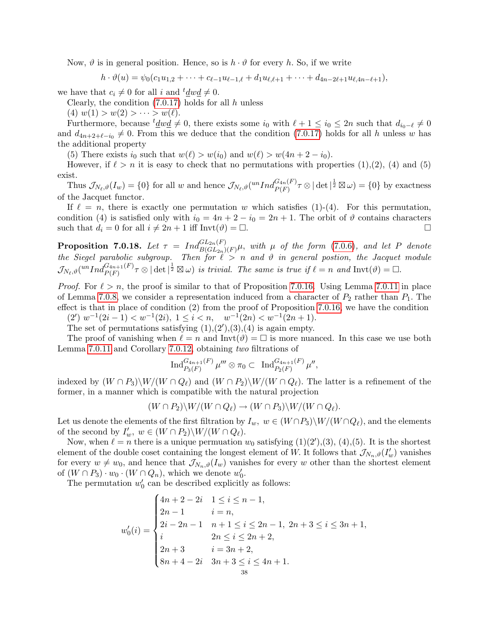Now,  $\vartheta$  is in general position. Hence, so is  $h \cdot \vartheta$  for every h. So, if we write

$$
h \cdot \vartheta(u) = \psi_0(c_1u_{1,2} + \cdots + c_{\ell-1}u_{\ell-1,\ell} + d_1u_{\ell,\ell+1} + \cdots + d_{4n-2\ell+1}u_{\ell,4n-\ell+1}),
$$

we have that  $c_i \neq 0$  for all i and  $t \underline{d} w \underline{d} \neq 0$ .

Clearly, the condition  $(7.0.17)$  holds for all h unless

(4)  $w(1) > w(2) > \cdots > w(\ell)$ .

Furthermore, because  $t \underline{d} w \underline{d} \neq 0$ , there exists some  $i_0$  with  $\ell + 1 \leq i_0 \leq 2n$  such that  $d_{i_0-\ell} \neq 0$ and  $d_{4n+2+\ell-i_0} \neq 0$ . From this we deduce that the condition [\(7.0.17\)](#page-36-1) holds for all h unless w has the additional property

(5) There exists  $i_0$  such that  $w(\ell) > w(i_0)$  and  $w(\ell) > w(4n + 2 - i_0)$ .

However, if  $\ell > n$  it is easy to check that no permutations with properties (1),(2), (4) and (5) exist.

Thus  $\mathcal{J}_{N_{\ell},\vartheta}(I_w) = \{0\}$  for all w and hence  $\mathcal{J}_{N_{\ell},\vartheta}(^{un}Ind_{P(F)}^{G_{4n}(F)}\tau \otimes |\det|^{\frac{1}{2}} \boxtimes \omega) = \{0\}$  by exactness of the Jacquet functor.

If  $\ell = n$ , there is exactly one permutation w which satisfies (1)-(4). For this permutation, condition (4) is satisfied only with  $i_0 = 4n + 2 - i_0 = 2n + 1$ . The orbit of  $\vartheta$  contains characters such that  $d_i = 0$  for all  $i \neq 2n + 1$  iff Invt $(\vartheta) = \Box$ .

<span id="page-37-0"></span>**Proposition 7.0.18.** Let  $\tau = Ind_{B(GL_{2n})(F)}^{GL_{2n}(F)}\mu$ , with  $\mu$  of the form [\(7.0.6\)](#page-33-2), and let P denote the Siegel parabolic subgroup. Then for  $\ell > n$  and  $\vartheta$  in general postion, the Jacquet module  $\mathcal{J}_{N_\ell,\vartheta}(^{un}Ind_{P(F)}^{G_{4n+1}(F)}\tau\otimes|\det|^{\frac{1}{2}}\boxtimes\omega)$  is trivial. The same is true if  $\ell=n$  and  $\mathrm{Invt}(\vartheta)=\Box$ .

*Proof.* For  $\ell > n$ , the proof is similar to that of Proposition [7.0.16.](#page-36-0) Using Lemma [7.0.11](#page-34-1) in place of Lemma [7.0.8,](#page-33-3) we consider a representation induced from a character of  $P_2$  rather than  $P_1$ . The effect is that in place of condition (2) from the proof of Proposition [7.0.16,](#page-36-0) we have the condition

 $(2') w^{-1}(2i-1) < w^{-1}(2i), \ 1 \leq i < n, \quad w^{-1}(2n) < w^{-1}(2n+1).$ The set of permutations satisfying  $(1), (2), (3), (4)$  is again empty.

The proof of vanishing when  $\ell = n$  and  $\text{Inv}(\vartheta) = \square$  is more nuanced. In this case we use both Lemma [7.0.11](#page-34-1) and Corollary [7.0.12,](#page-35-0) obtaining two filtrations of

$$
\text{Ind}_{P_3(F)}^{G_{4n+1}(F)}\mu'''\otimes \pi_0\subset \text{ Ind}_{P_2(F)}^{G_{4n+1}(F)}\mu'',
$$

indexed by  $(W \cap P_3)\W/(W \cap Q_\ell)$  and  $(W \cap P_2)\W/(W \cap Q_\ell)$ . The latter is a refinement of the former, in a manner which is compatible with the natural projection

$$
(W \cap P_2) \backslash W / (W \cap Q_\ell) \to (W \cap P_3) \backslash W / (W \cap Q_\ell).
$$

Let us denote the elements of the first filtration by  $I_w$ ,  $w \in (W \cap P_3) \setminus W / (W \cap Q_\ell)$ , and the elements of the second by  $I'_w$ ,  $w \in (W \cap P_2) \backslash W / (W \cap Q_\ell)$ .

Now, when  $\ell = n$  there is a unique permuation  $w_0$  satisfying  $(1)(2')$ ,  $(3)$ ,  $(4)$ ,  $(5)$ . It is the shortest element of the double coset containing the longest element of W. It follows that  $\mathcal{J}_{N_n,\vartheta}(I'_w)$  vanishes for every  $w \neq w_0$ , and hence that  $\overline{\mathcal{J}_{N_n,\vartheta}(I_w)}$  vanishes for every w other than the shortest element of  $(W \cap P_3) \cdot w_0 \cdot (W \cap Q_n)$ , which we denote  $w'_0$ .

The permutation  $w'_0$  can be described explicitly as follows:

$$
w'_0(i) = \begin{cases} 4n+2-2i & 1 \le i \le n-1, \\ 2n-1 & i = n, \\ 2i-2n-1 & n+1 \le i \le 2n-1, \\ i & 2n \le i \le 2n+2, \\ 2n+3 & i = 3n+2, \\ 8n+4-2i & 3n+3 \le i \le 4n+1. \end{cases}
$$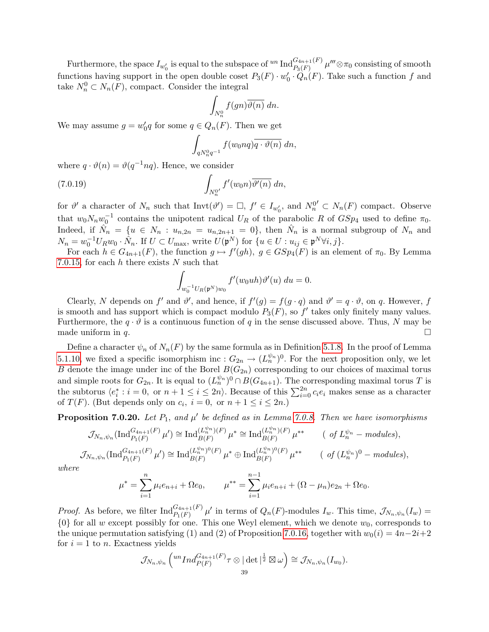Furthermore, the space  $I_{w'_0}$  is equal to the subspace of  ${}^{un}\operatorname{Ind}_{P_3(F)}^{G_{4n+1}(F)}\mu''' \otimes \pi_0$  consisting of smooth functions having support in the open double coset  $P_3(F) \cdot w'_0 \cdot \hat{Q}_n(F)$ . Take such a function f and take  $N_n^0 \subset N_n(F)$ , compact. Consider the integral

$$
\int_{N_n^0} f(gn) \overline{\vartheta(n)} \, dn.
$$

We may assume  $g = w'_0 q$  for some  $q \in Q_n(F)$ . Then we get

$$
\int_{qN_n^0q^{-1}}f(w_0nq)\overline{q\cdot\vartheta(n)}\,dn,
$$

where  $q \cdot \vartheta(n) = \vartheta(q^{-1}nq)$ . Hence, we consider

(7.0.19) 
$$
\int_{N_n^{0'}} f'(w_0 n) \overline{\vartheta'(n)} \, dn,
$$

for  $\vartheta'$  a character of  $N_n$  such that  $\text{Inv}(\vartheta') = \Box$ ,  $f' \in I_{w'_0}$ , and  $N_n^{0'} \subset N_n(F)$  compact. Observe that  $w_0 N_n w_0^{-1}$  contains the unipotent radical  $U_R$  of the parabolic R of  $GSp_4$  used to define  $\pi_0$ . Indeed, if  $\hat{N}_n = \{u \in N_n : u_{n,2n} = u_{n,2n+1} = 0\}$ , then  $\hat{N}_n$  is a normal subgroup of  $N_n$  and  $N_n = w_0^{-1} U_R w_0 \cdot \hat{N}_n$ . If  $U \subset U_{\text{max}}$ , write  $U(\mathfrak{p}^N)$  for  $\{u \in U : u_{ij} \in \mathfrak{p}^N \forall i, j\}$ .

For each  $h \in G_{4n+1}(F)$ , the function  $g \mapsto f'(gh)$ ,  $g \in GSp<sub>4</sub>(F)$  is an element of  $\pi_0$ . By Lemma [7.0.15,](#page-36-2) for each  $h$  there exists  $N$  such that

$$
\int_{w_0^{-1}U_R(\mathfrak{p}^N)w_0} f'(w_0uh)\vartheta'(u) du = 0.
$$

Clearly, N depends on f' and  $\vartheta'$ , and hence, if  $f'(g) = f(g \cdot q)$  and  $\vartheta' = q \cdot \vartheta$ , on q. However, f is smooth and has support which is compact modulo  $P_3(F)$ , so  $f'$  takes only finitely many values. Furthermore, the  $q \cdot \vartheta$  is a continuous function of q in the sense discussed above. Thus, N may be made uniform in q.

Define a character  $\psi_n$  of  $N_n(F)$  by the same formula as in Definition [5.1.8.](#page-23-1) In the proof of Lemma [5.1.10,](#page-23-4) we fixed a specific isomorphism inc :  $G_{2n} \to (L_n^{\psi_n})^0$ . For the next proposition only, we let B denote the image under inc of the Borel  $B(G_{2n})$  corresponding to our choices of maximal torus and simple roots for  $G_{2n}$ . It is equal to  $(L_n^{\psi_n})^0 \cap B(G_{4n+1})$ . The corresponding maximal torus T is the subtorus  $\langle e_i^* : i = 0, \text{ or } n + 1 \le i \le 2n \rangle$ . Because of this  $\sum_{i=0}^{2n} c_i e_i$  makes sense as a character of  $T(F)$ . (But depends only on  $c_i$ ,  $i = 0$ , or  $n + 1 \le i \le 2n$ .)

<span id="page-38-0"></span>**Proposition 7.0.20.** Let  $P_1$ , and  $\mu'$  be defined as in Lemma [7.0.8.](#page-33-3) Then we have isomorphisms

$$
\mathcal{J}_{N_n,\psi_n}(\text{Ind}_{P_1(F)}^{G_{4n+1}(F)}\mu') \cong \text{Ind}_{B(F)}^{(L_n^{\psi_n})(F)}\mu^* \cong \text{Ind}_{B(F)}^{(L_n^{\psi_n})(F)}\mu^{**} \qquad (\text{ of } L_n^{\psi_n} - \text{modules}),
$$
  

$$
\mathcal{J}_{N_n,\psi_n}(\text{Ind}_{P_1(F)}^{G_{4n+1}(F)}\mu') \cong \text{Ind}_{B(F)}^{(L_n^{\psi_n})(F)}\mu^* \oplus \text{Ind}_{B(F)}^{(L_n^{\psi_n})(F)}\mu^{**} \qquad (\text{ of } (L_n^{\psi_n})^0 - \text{modules}),
$$

where

$$
\mu^* = \sum_{i=1}^n \mu_i e_{n+i} + \Omega e_0, \qquad \mu^{**} = \sum_{i=1}^{n-1} \mu_i e_{n+i} + (\Omega - \mu_n) e_{2n} + \Omega e_0.
$$

*Proof.* As before, we filter  $\text{Ind}_{P_1(F)}^{G_{4n+1}(F)} \mu'$  in terms of  $Q_n(F)$ -modules  $I_w$ . This time,  $\mathcal{J}_{N_n,\psi_n}(I_w)$  =  $\{0\}$  for all w except possibly for one. This one Weyl element, which we denote  $w_0$ , corresponds to the unique permutation satisfying (1) and (2) of Proposition [7.0.16,](#page-36-0) together with  $w_0(i) = 4n-2i+2$ for  $i = 1$  to n. Exactness yields

$$
\mathcal{J}_{N_n,\psi_n}\left({^{un}Ind_{P(F)}^{G_{4n+1}(F)}\tau\otimes|\det|^{\frac{1}{2}}\boxtimes\omega}\right)\cong \mathcal{J}_{N_n,\psi_n}(I_{w_0}).
$$
  
39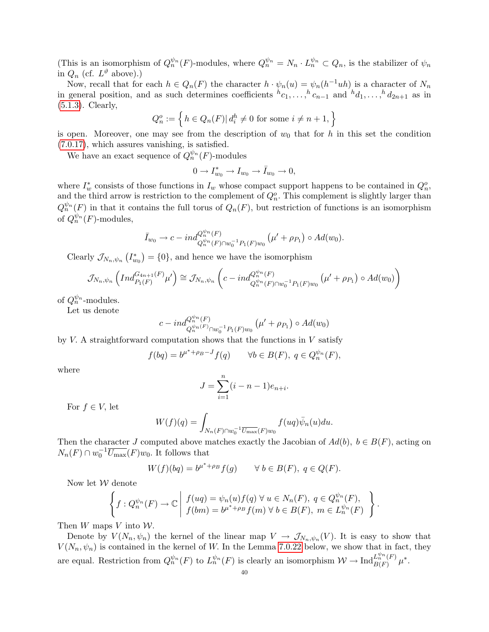(This is an isomorphism of  $Q_n^{\psi_n}(F)$ -modules, where  $Q_n^{\psi_n} = N_n \cdot L_n^{\psi_n} \subset Q_n$ , is the stabilizer of  $\psi_n$ in  $Q_n$  (cf.  $L^{\vartheta}$  above).)

Now, recall that for each  $h \in Q_n(F)$  the character  $h \cdot \psi_n(u) = \psi_n(h^{-1}uh)$  is a character of  $N_n$ in general position, and as such determines coefficients  ${}^h c_1, \ldots, {}^h c_{n-1}$  and  ${}^h d_1, \ldots, {}^h d_{2n+1}$  as in [\(5.1.3\)](#page-22-4). Clearly,

$$
Q_n^o := \left\{ h \in Q_n(F) | d_i^h \neq 0 \text{ for some } i \neq n+1, \right\}
$$

is open. Moreover, one may see from the description of  $w_0$  that for h in this set the condition [\(7.0.17\)](#page-36-1), which assures vanishing, is satisfied.

We have an exact sequence of  $Q_n^{\psi_n}(F)$ -modules

$$
0 \to I_{w_0}^* \to I_{w_0} \to \bar{I}_{w_0} \to 0,
$$

where  $I^*_{w}$  consists of those functions in  $I_w$  whose compact support happens to be contained in  $Q_n^o$ , and the third arrow is restriction to the complement of  $Q_n^o$ . This complement is slightly larger than  $Q_n^{\psi_n}(F)$  in that it contains the full torus of  $Q_n(F)$ , but restriction of functions is an isomorphism of  $Q_n^{\psi_n}(F)$ -modules,

$$
\bar{I}_{w_0} \to c - \mathrm{i} n d_{Q_n^{\psi_n}(F) \cap w_0^{-1} P_1(F) w_0}^{Q_n^{\psi_n}(F)} (\mu' + \rho_{P_1}) \circ Ad(w_0).
$$

Clearly  $\mathcal{J}_{N_n,\psi_n} \left( I_{w_0}^* \right) = \{0\}$ , and hence we have the isomorphism

$$
\mathcal{J}_{N_n,\psi_n}\left(Ind_{P_1(F)}^{G_{4n+1}(F)}\mu'\right) \cong \mathcal{J}_{N_n,\psi_n}\left(c-ind_{Q_n^{\psi_n}(F)\cap w_0^{-1}P_1(F)w_0}^{Q_n^{\psi_n}(F)}\left(\mu' + \rho_{P_1}\right) \circ Ad(w_0)\right)
$$

of  $Q_n^{\psi_n}$ -modules.

Let us denote

$$
c - ind_{Q_n^{\psi_n}(F)_{\bigcap w_0^{-1}P_1(F)w_0}}^{Q_n^{\psi_n}(F)} (\mu' + \rho_{P_1}) \circ Ad(w_0)
$$

by  $V$ . A straightforward computation shows that the functions in  $V$  satisfy

$$
f(bq) = b^{\mu^* + \rho_B - J} f(q) \qquad \forall b \in B(F), \ q \in Q_n^{\psi_n}(F),
$$

where

$$
J = \sum_{i=1}^{n} (i - n - 1)e_{n+i}.
$$

For  $f \in V$ , let

$$
W(f)(q) = \int_{N_n(F)\cap w_0^{-1} \overline{U_{\max}}(F)w_0} f(uq)\overline{\psi}_n(u)du.
$$

Then the character J computed above matches exactly the Jacobian of  $Ad(b)$ ,  $b \in B(F)$ , acting on  $N_n(F) \cap w_0^{-1} \overline{U_{\text{max}}}(F) w_0$ . It follows that

$$
W(f)(bq) = b^{\mu^* + \rho_B} f(g) \qquad \forall \ b \in B(F), \ q \in Q(F).
$$

Now let W denote

$$
\left\{ f: Q_n^{\psi_n}(F) \to \mathbb{C} \middle| f(ug) = \psi_n(u) f(q) \,\forall \, u \in N_n(F), \, q \in Q_n^{\psi_n}(F), \atop f(bm) = b^{\mu^* + \rho_B} f(m) \,\forall \, b \in B(F), \, m \in L_n^{\psi_n}(F) \right\}
$$

.

Then  $W$  maps  $V$  into  $W$ .

Denote by  $V(N_n, \psi_n)$  the kernel of the linear map  $V \to \mathcal{J}_{N_n, \psi_n}(V)$ . It is easy to show that  $V(N_n, \psi_n)$  is contained in the kernel of W. In the Lemma [7.0.22](#page-41-0) below, we show that in fact, they are equal. Restriction from  $Q_n^{\psi_n}(F)$  to  $L_n^{\psi_n}(F)$  is clearly an isomorphism  $\mathcal{W} \to \text{Ind}_{B(F)}^{L_n^{\psi_n}(F)}$  $L_n^{\ast n}(F)$   $\mu^*$ .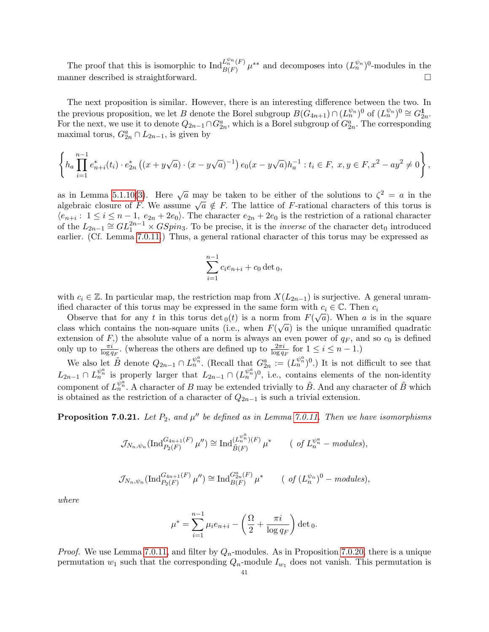The proof that this is isomorphic to  $\text{Ind}_{R(F)}^{L_n^{\psi_n}(F)}$  $L_n^{\psi_n}(F)$   $\mu^{**}$  and decomposes into  $(L_n^{\psi_n})^0$ -modules in the manner described is straightforward.

The next proposition is similar. However, there is an interesting difference between the two. In the previous proposition, we let B denote the Borel subgroup  $B(\tilde{G}_{4n+1}) \cap (L_n^{\psi_n})^0$  of  $(L_n^{\psi_n})^0 \cong G_{2n}^1$ . For the next, we use it to denote  $Q_{2n-1} \cap G_{2n}^a$ , which is a Borel subgroup of  $G_{2n}^a$ . The corresponding maximal torus,  $G_{2n}^a \cap L_{2n-1}$ , is given by

$$
\left\{ h_a \prod_{i=1}^{n-1} e_{n+i}^*(t_i) \cdot e_{2n}^*\left( (x+y\sqrt{a}) \cdot (x-y\sqrt{a})^{-1} \right) e_0(x-y\sqrt{a}) h_a^{-1} : t_i \in F, x, y \in F, x^2 - ay^2 \neq 0 \right\},\
$$

as in Lemma [5.1.10\(](#page-23-4)[3\)](#page-23-3). Here  $\sqrt{a}$  may be taken to be either of the solutions to  $\zeta^2 = a$  in the as in Lemma 5.1.10(5). Here  $\sqrt{a}$  may be taken to be entier of the solutions to  $\zeta = a$  in the algebraic closure of F. We assume  $\sqrt{a} \notin F$ . The lattice of F-rational characters of this torus is  $\langle e_{n+i} : 1 \le i \le n-1, e_{2n}+2e_0 \rangle$ . The character  $e_{2n}+2e_0$  is the restriction of a rational character of the  $L_{2n-1} \cong GL_1^{2n-1} \times GSpin_3$ . To be precise, it is the *inverse* of the character det<sub>0</sub> introduced earlier. (Cf. Lemma [7.0.11.](#page-34-1)) Thus, a general rational character of this torus may be expressed as

$$
\sum_{i=1}^{n-1} c_i e_{n+i} + c_0 \det_0,
$$

with  $c_i \in \mathbb{Z}$ . In particular map, the restriction map from  $X(L_{2n-1})$  is surjective. A general unramified character of this torus may be expressed in the same form with  $c_i \in \mathbb{C}$ . Then  $c_i$ 

Observe that for any t in this torus  $\det_0(t)$  is a norm from  $F(\sqrt{a})$ . When a is in the square class which contains the non-square units (i.e., when  $F(\sqrt{a})$  is the unique unramified quadratic extension of F,) the absolute value of a norm is always an even power of  $q_F$ , and so  $c_0$  is defined only up to  $\frac{\pi i}{\log q_F}$ . (whereas the others are defined up to  $\frac{2\pi i}{\log q_F}$  for  $1 \le i \le n - 1$ .)

We also let  $B$  denote  $Q_{2n-1} \cap L_n^{\psi_n^a}$ . (Recall that  $G_{2n}^a := (L_n^{\psi_n^a})^0$ .) It is not difficult to see that  $L_{2n-1} \cap L_n^{\psi_n^a}$  is properly larger that  $L_{2n-1} \cap (L_n^{\psi_n^a})^0$ , i.e., contains elements of the non-identity component of  $L_n^{\hat{\psi}_n^{\hat{\alpha}}}$ . A character of B may be extended trivially to  $\tilde{B}$ . And any character of  $\tilde{B}$  which is obtained as the restriction of a character of  $Q_{2n-1}$  is such a trivial extension.

**Proposition 7.0.21.** Let  $P_2$ , and  $\mu''$  be defined as in Lemma [7.0.11.](#page-34-1) Then we have isomorphisms

$$
\mathcal{J}_{N_n,\psi_n}(\text{Ind}_{P_2(F)}^{G_{4n+1}(F)}\mu'') \cong \text{Ind}_{\tilde{B}(F)}^{(L_n^{\psi_n^a})(F)}\mu^* \qquad (\text{ of } L_n^{\psi_n^a} - \text{modules}),
$$

$$
\mathcal{J}_{N_n,\psi_n}(\text{Ind}_{P_2(F)}^{G_{4n+1}(F)}\mu'') \cong \text{Ind}_{B(F)}^{G_{2n}^a(F)}\mu^* \qquad (\text{ of } (L_n^{\psi_n})^0-\text{modules}),
$$

where

$$
\mu^* = \sum_{i=1}^{n-1} \mu_i e_{n+i} - \left(\frac{\Omega}{2} + \frac{\pi i}{\log q_F}\right) \det_0.
$$

*Proof.* We use Lemma [7.0.11,](#page-34-1) and filter by  $Q_n$ -modules. As in Proposition [7.0.20,](#page-38-0) there is a unique permutation  $w_1$  such that the corresponding  $Q_n$ -module  $I_{w_1}$  does not vanish. This permutation is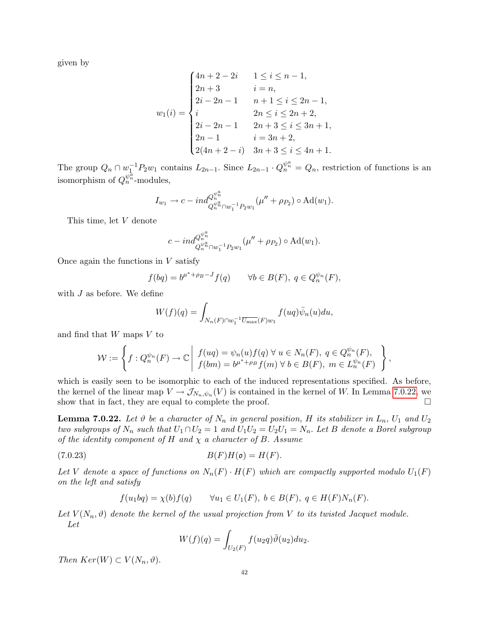given by

$$
w_1(i) = \begin{cases} 4n+2-2i & 1 \le i \le n-1, \\ 2n+3 & i = n, \\ 2i-2n-1 & n+1 \le i \le 2n-1, \\ i & 2n \le i \le 2n+2, \\ 2i-2n-1 & 2n+3 \le i \le 3n+1, \\ 2n-1 & i = 3n+2, \\ 2(4n+2-i) & 3n+3 \le i \le 4n+1. \end{cases}
$$

The group  $Q_n \cap w_1^{-1}P_2w_1$  contains  $L_{2n-1}$ . Since  $L_{2n-1} \cdot Q_n^{\psi_n^a} = Q_n$ , restriction of functions is an isomorphism of  $Q_n^{\psi_n^{\overline{a}}}$ -modules,

$$
I_{w_1} \to c - ind_{Q_n^{\psi_n^a} \cap w_1^{-1} P_2 w_1}^{Q_n^{\psi_n^a}} (\mu'' + \rho_{P_2}) \circ \mathrm{Ad}(w_1).
$$

This time, let V denote

$$
c - ind_{Q_n^{\psi_n^a} \cap w_1^{-1} P_2 w_1}^{Q_n^{\psi_n^a}}(\mu'' + \rho_{P_2}) \circ \mathrm{Ad}(w_1).
$$

Once again the functions in  $V$  satisfy

$$
f(bq) = b^{\mu^* + \rho_B - J} f(q) \qquad \forall b \in B(F), \ q \in Q_n^{\psi_n}(F),
$$

with  $J$  as before. We define

$$
W(f)(q) = \int_{N_n(F)\cap w_1^{-1} \overline{U_{\max}}(F)w_1} f(uq)\overline{\psi}_n(u)du,
$$

and find that W maps V to

$$
\mathcal{W} := \left\{ f : Q_n^{\psi_n}(F) \to \mathbb{C} \middle| f(ug) = \psi_n(u) f(q) \ \forall \ u \in N_n(F), \ q \in Q_n^{\psi_n}(F), \ f(bm) = b^{\mu^* + \rho_B} f(m) \ \forall \ b \in B(F), \ m \in L_n^{\psi_n}(F) \right\},\
$$

which is easily seen to be isomorphic to each of the induced representations specified. As before, the kernel of the linear map  $V \to \mathcal{J}_{N_n,\psi_n}(V)$  is contained in the kernel of W. In Lemma [7.0.22,](#page-41-0) we show that in fact, they are equal to complete the proof.  $\Box$ 

<span id="page-41-0"></span>**Lemma 7.0.22.** Let  $\vartheta$  be a character of  $N_n$  in general position, H its stabilizer in  $L_n$ ,  $U_1$  and  $U_2$ two subgroups of  $N_n$  such that  $U_1 \cap U_2 = 1$  and  $U_1U_2 = U_2U_1 = N_n$ . Let B denote a Borel subgroup of the identity component of H and  $\chi$  a character of B. Assume

$$
(7.0.23) \t\t B(F)H(\mathfrak{o}) = H(F).
$$

Let V denote a space of functions on  $N_n(F) \cdot H(F)$  which are compactly supported modulo  $U_1(F)$ on the left and satisfy

$$
f(u_1bq) = \chi(b)f(q) \qquad \forall u_1 \in U_1(F), \ b \in B(F), \ q \in H(F)N_n(F).
$$

Let  $V(N_n, \vartheta)$  denote the kernel of the usual projection from V to its twisted Jacquet module. Let

<span id="page-41-1"></span>
$$
W(f)(q) = \int_{U_2(F)} f(u_2 q) \overline{\vartheta}(u_2) du_2.
$$

Then  $Ker(W) \subset V(N_n, \vartheta)$ .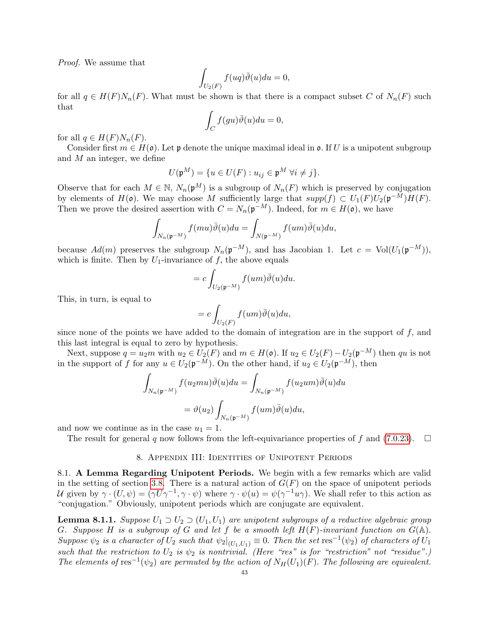Proof. We assume that

$$
\int_{U_2(F)} f(uq)\overline{\vartheta}(u)du = 0,
$$

for all  $q \in H(F)N_n(F)$ . What must be shown is that there is a compact subset C of  $N_n(F)$  such that

$$
\int_C f(gu)\overline{\vartheta}(u)du = 0,
$$

for all  $q \in H(F)N_n(F)$ .

Consider first  $m \in H(\mathfrak{o})$ . Let p denote the unique maximal ideal in  $\mathfrak{o}$ . If U is a unipotent subgroup and M an integer, we define

$$
U(\mathfrak{p}^M) = \{ u \in U(F) : u_{ij} \in \mathfrak{p}^M \; \forall i \neq j \}.
$$

Observe that for each  $M \in \mathbb{N}$ ,  $N_n(\mathfrak{p}^M)$  is a subgroup of  $N_n(F)$  which is preserved by conjugation by elements of  $H(\mathfrak{o})$ . We may choose M sufficiently large that  $supp(f) \subset U_1(F)U_2(\mathfrak{p}^{-M})H(F)$ . Then we prove the desired assertion with  $C = N_n(\mathfrak{p}^{-M})$ . Indeed, for  $m \in H(\mathfrak{o})$ , we have

$$
\int_{N_n(\mathfrak{p}^{-M})} f(mu)\overline{\vartheta}(u) du = \int_{N(\mathfrak{p}^{-M})} f(um)\overline{\vartheta}(u) du,
$$

because  $Ad(m)$  preserves the subgroup  $N_n(\mathfrak{p}^{-M})$ , and has Jacobian 1. Let  $c = Vol(U_1(\mathfrak{p}^{-M}))$ , which is finite. Then by  $U_1$ -invariance of f, the above equals

$$
=c\int_{U_2(\mathfrak{p}^{-M})}f(um)\overline{\vartheta}(u)du.
$$

This, in turn, is equal to

$$
= c \int_{U_2(F)} f(um)\overline{\vartheta}(u) du,
$$

since none of the points we have added to the domain of integration are in the support of  $f$ , and this last integral is equal to zero by hypothesis.

Next, suppose  $q = u_2m$  with  $u_2 \in U_2(F)$  and  $m \in H(\mathfrak{o})$ . If  $u_2 \in U_2(F) - U_2(\mathfrak{p}^{-M})$  then qu is not in the support of f for any  $u \in U_2(\mathfrak{p}^{-M})$ . On the other hand, if  $u_2 \in U_2(\mathfrak{p}^{-M})$ , then

$$
\int_{N_n(\mathfrak{p}^{-M})} f(u_2mu)\overline{\vartheta}(u)du = \int_{N_n(\mathfrak{p}^{-M})} f(u_2um)\overline{\vartheta}(u)du
$$

$$
= \vartheta(u_2) \int_{N_n(\mathfrak{p}^{-M})} f(um)\overline{\vartheta}(u)du,
$$

and now we continue as in the case  $u_1 = 1$ .

The result for general q now follows from the left-equivariance properties of f and [\(7.0.23\)](#page-41-1).  $\square$ 

### 8. Appendix III: Identities of Unipotent Periods

<span id="page-42-1"></span><span id="page-42-0"></span>8.1. A Lemma Regarding Unipotent Periods. We begin with a few remarks which are valid in the setting of section [3.8.](#page-11-1) There is a natural action of  $G(F)$  on the space of unipotent periods U given by  $\gamma \cdot (U, \psi) = (\gamma U \gamma^{-1}, \gamma \cdot \psi)$  where  $\gamma \cdot \psi(u) = \psi(\gamma^{-1}u\gamma)$ . We shall refer to this action as "conjugation." Obviously, unipotent periods which are conjugate are equivalent.

**Lemma 8.1.1.** Suppose  $U_1 \supset U_2 \supset (U_1, U_1)$  are unipotent subgroups of a reductive algebraic group G. Suppose H is a subgroup of G and let f be a smooth left  $H(F)$ -invariant function on  $G(A)$ . Suppose  $\psi_2$  is a character of  $U_2$  such that  $\psi_2|_{(U_1,U_1)} \equiv 0$ . Then the set res<sup>-1</sup>( $\psi_2$ ) of characters of  $U_1$ such that the restriction to  $U_2$  is  $\psi_2$  is nontrivial. (Here "res" is for "restriction" not "residue".) The elements of res<sup>-1</sup>( $\psi_2$ ) are permuted by the action of  $N_H(U_1)(F)$ . The following are equivalent.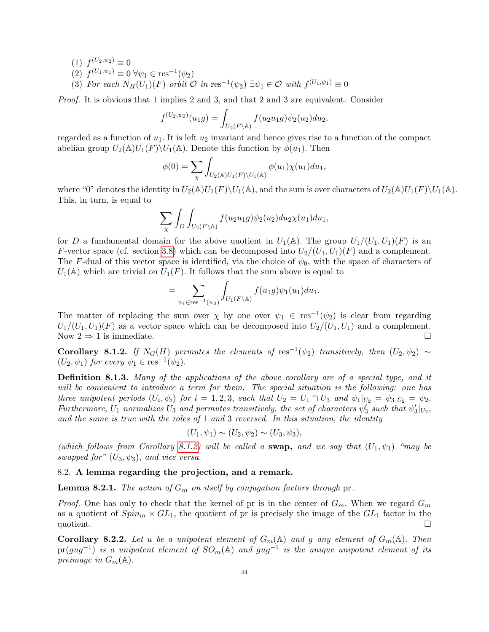- $(1) f^{(U_2,\psi_2)} \equiv 0$
- (2)  $f^{(U_1,\psi_1)} \equiv 0 \,\forall \psi_1 \in \text{res}^{-1}(\psi_2)$
- (3) For each  $N_H(U_1)(F)$ -orbit  $\mathcal O$  in res<sup>-1</sup>( $\psi_2$ )  $\exists \psi_1 \in \mathcal O$  with  $f^{(U_1,\psi_1)} \equiv 0$

Proof. It is obvious that 1 implies 2 and 3, and that 2 and 3 are equivalent. Consider

$$
f^{(U_2,\psi_2)}(u_1g) = \int_{U_2(F \backslash \mathbb{A})} f(u_2u_1g) \psi_2(u_2) du_2,
$$

regarded as a function of  $u_1$ . It is left  $u_2$  invariant and hence gives rise to a function of the compact abelian group  $U_2(\mathbb{A})U_1(F)\backslash U_1(\mathbb{A})$ . Denote this function by  $\phi(u_1)$ . Then

$$
\phi(0) = \sum_{\chi} \int_{U_2(\mathbb{A})U_1(F)\backslash U_1(\mathbb{A})} \phi(u_1) \chi(u_1) du_1,
$$

where "0" denotes the identity in  $U_2(\mathbb{A})U_1(F)\setminus U_1(\mathbb{A})$ , and the sum is over characters of  $U_2(\mathbb{A})U_1(F)\setminus U_1(\mathbb{A})$ . This, in turn, is equal to

$$
\sum_{\chi} \int_{D} \int_{U_2(F \backslash \mathbb{A})} f(u_2 u_1 g) \psi_2(u_2) du_2 \chi(u_1) du_1,
$$

for D a fundamental domain for the above quotient in  $U_1(\mathbb{A})$ . The group  $U_1/(U_1, U_1)(F)$  is an F-vector space (cf. section [3.8\)](#page-11-1) which can be decomposed into  $U_2/(U_1, U_1)(F)$  and a complement. The F-dual of this vector space is identified, via the choice of  $\psi_0$ , with the space of characters of  $U_1(\mathbb{A})$  which are trivial on  $U_1(F)$ . It follows that the sum above is equal to

$$
=\sum_{\psi_1\in\mathrm{res}^{-1}(\psi_2)}\int_{U_1(F\backslash\mathbb{A})}f(u_1g)\psi_1(u_1)du_1.
$$

The matter of replacing the sum over  $\chi$  by one over  $\psi_1 \in \text{res}^{-1}(\psi_2)$  is clear from regarding  $U_1/(U_1, U_1)(F)$  as a vector space which can be decomposed into  $U_2/(U_1, U_1)$  and a complement. Now  $2 \Rightarrow 1$  is immediate.

<span id="page-43-1"></span>Corollary 8.1.2. If  $N_G(H)$  permutes the elements of res<sup>-1</sup>( $\psi_2$ ) transitively, then  $(U_2, \psi_2) \sim$  $(U_2, \psi_1)$  for every  $\psi_1 \in \text{res}^{-1}(\psi_2)$ .

<span id="page-43-2"></span>Definition 8.1.3. Many of the applications of the above corollary are of a special type, and it will be convenient to introduce a term for them. The special situation is the following: one has three unipotent periods  $(U_i, \psi_i)$  for  $i = 1, 2, 3$ , such that  $U_2 = U_1 \cap U_3$  and  $\psi_1|_{U_2} = \psi_3|_{U_2} = \psi_2$ . Furthermore,  $U_1$  normalizes  $U_3$  and permutes transitively, the set of characters  $\psi'_3$  such that  $\psi'_3|_{U_2}$ , and the same is true with the roles of 1 and 3 reversed. In this situation, the identity

$$
(U_1, \psi_1) \sim (U_2, \psi_2) \sim (U_3, \psi_3),
$$

(which follows from Corollary [8.1.2\)](#page-43-1) will be called a swap, and we say that  $(U_1, \psi_1)$  "may be swapped for"  $(U_3, \psi_3)$ , and vice versa.

### <span id="page-43-0"></span>8.2. A lemma regarding the projection, and a remark.

**Lemma 8.2.1.** The action of  $G_m$  on itself by conjugation factors through pr.

*Proof.* One has only to check that the kernel of pr is in the center of  $G_m$ . When we regard  $G_m$ as a quotient of  $Spin_m \times GL_1$ , the quotient of pr is precisely the image of the  $GL_1$  factor in the quotient.

**Corollary 8.2.2.** Let u be a unipotent element of  $G_m(\mathbb{A})$  and g any element of  $G_m(\mathbb{A})$ . Then  $\text{pr}(gug^{-1})$  is a unipotent element of  $SO_m(\mathbb{A})$  and  $gug^{-1}$  is the unique unipotent element of its preimage in  $G_m(\mathbb{A})$ .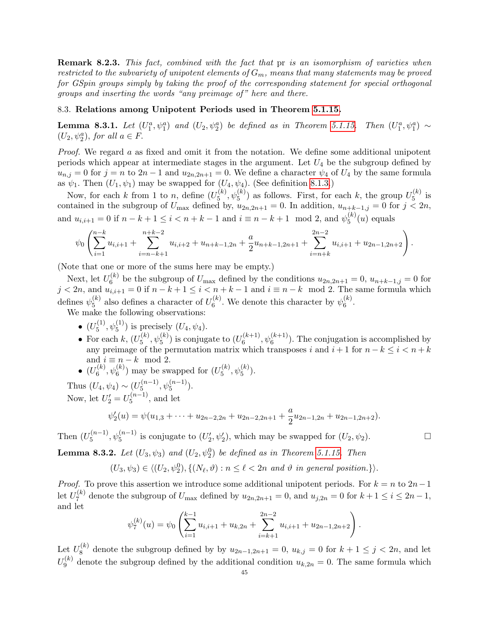Remark 8.2.3. This fact, combined with the fact that pr is an isomorphism of varieties when restricted to the subvariety of unipotent elements of  $G_m$ , means that many statements may be proved for GSpin groups simply by taking the proof of the corresponding statement for special orthogonal groups and inserting the words "any preimage of " here and there.

# <span id="page-44-0"></span>8.3. Relations among Unipotent Periods used in Theorem [5.1.15.](#page-25-0)

<span id="page-44-1"></span>**Lemma 8.3.1.** Let  $(U_1^a, \psi_1^a)$  and  $(U_2, \psi_2^a)$  be defined as in Theorem [5.1.15.](#page-25-0) Then  $(U_1^a, \psi_1^a) \sim$  $(U_2, \psi_2^a)$ , for all  $a \in F$ .

*Proof.* We regard  $\alpha$  as fixed and omit it from the notation. We define some additional unipotent periods which appear at intermediate stages in the argument. Let  $U_4$  be the subgroup defined by  $u_{n,j} = 0$  for  $j = n$  to  $2n - 1$  and  $u_{2n,2n+1} = 0$ . We define a character  $\psi_4$  of  $U_4$  by the same formula as  $\psi_1$ . Then  $(U_1, \psi_1)$  may be swapped for  $(U_4, \psi_4)$ . (See definition [8.1.3.](#page-43-2))

Now, for each k from 1 to n, define  $(U_5^{(k)})$  $\mathcal{L}_5^{(k)}$ ,  $\psi_5^{(k)}$ ) as follows. First, for each k, the group  $U_5^{(k)}$  $5^{(\kappa)}$  is contained in the subgroup of  $U_{\text{max}}$  defined by,  $u_{2n,2n+1} = 0$ . In addition,  $u_{n+k-1,j} = 0$  for  $j < 2n$ , and  $u_{i,i+1} = 0$  if  $n - k + 1 \le i < n + k - 1$  and  $i \equiv n - k + 1 \mod 2$ , and  $\psi_5^{(k)}$  $5^{(\kappa)}(u)$  equals

$$
\psi_0\left(\sum_{i=1}^{n-k} u_{i,i+1} + \sum_{i=n-k+1}^{n+k-2} u_{i,i+2} + u_{n+k-1,2n} + \frac{a}{2}u_{n+k-1,2n+1} + \sum_{i=n+k}^{2n-2} u_{i,i+1} + u_{2n-1,2n+2}\right).
$$

(Note that one or more of the sums here may be empty.)

Next, let  $U_6^{(k)}$  $b_6^{(k)}$  be the subgroup of  $U_{\text{max}}$  defined by the conditions  $u_{2n,2n+1} = 0$ ,  $u_{n+k-1,j} = 0$  for  $j < 2n$ , and  $u_{i,i+1} = 0$  if  $n - k + 1 \le i < n + k - 1$  and  $i \equiv n - k \mod 2$ . The same formula which defines  $\psi_5^{(k)}$  $_{5}^{\left( k\right) }$  also defines a character of  $U_{6}^{\left( k\right) }$  $\mathfrak{h}_6^{(k)}$ . We denote this character by  $\psi_6^{(k)}$  $\binom{\kappa}{6}$ .

We make the following observations:

- $(U_5^{(1)}, \psi_5^{(1)})$  is precisely  $(U_4, \psi_4)$ .  $_5$ ,  $\varphi_5$
- For each  $k, (U_5^{(k)})$  $\mathcal{L}_5^{(k)}, \psi_5^{(k)}$ ) is conjugate to  $(U_6^{(k+1)})$  $\mathfrak{h}_{6}^{(k+1)}$ ,  $\psi_{6}^{(k+1)}$ ). The conjugation is accomplished by any preimage of the permutation matrix which transposes i and  $i + 1$  for  $n - k \leq i < n + k$ and  $i \equiv n - k \mod 2$ .
- $\bullet$   $(U_6^{(k)}$  $\mathfrak{h}_{6}^{(k)}, \psi_{6}^{(k)}$ ) may be swapped for  $(U_{5}^{(k)}$  $_{5}^{(k)}, \psi_{5}^{(k)}).$

Thus  $(U_4, \psi_4) \sim (U_5^{(n-1)}$  $\psi_5^{(n-1)}, \psi_5^{(n-1)}$ ). Now, let  $U'_2 = U_5^{(n-1)}$  $5^{(n-1)}$ , and let

$$
\psi_2'(u) = \psi(u_{1,3} + \dots + u_{2n-2,2n} + u_{2n-2,2n+1} + \frac{a}{2}u_{2n-1,2n} + u_{2n-1,2n+2}).
$$

Then  $(U_5^{(n-1)}$  $\mathcal{L}_5^{(n-1)}$ ,  $\psi_5^{(n-1)}$  is conjugate to  $(U'_2, \psi'_2)$ , which may be swapped for  $(U_2, \psi_2)$ .

<span id="page-44-2"></span>**Lemma 8.3.2.** Let  $(U_3, \psi_3)$  and  $(U_2, \psi_2^0)$  be defined as in Theorem [5.1.15.](#page-25-0) Then

 $(U_3, \psi_3) \in \langle (U_2, \psi_2^0), \{(N_\ell, \vartheta) : n \leq \ell < 2n \text{ and } \vartheta \text{ in general position.}\}\rangle.$ 

*Proof.* To prove this assertion we introduce some additional unipotent periods. For  $k = n$  to  $2n-1$ let  $U_7^{(k)}$  $U_7^{(k)}$  denote the subgroup of  $U_{\text{max}}$  defined by  $u_{2n,2n+1} = 0$ , and  $u_{j,2n} = 0$  for  $k+1 \le i \le 2n-1$ , and let

$$
\psi_7^{(k)}(u) = \psi_0 \left( \sum_{i=1}^{k-1} u_{i,i+1} + u_{k,2n} + \sum_{i=k+1}^{2n-2} u_{i,i+1} + u_{2n-1,2n+2} \right).
$$

Let  $U_8^{(k)}$  $S_8^{(k)}$  denote the subgroup defined by by  $u_{2n-1,2n+1} = 0$ ,  $u_{k,j} = 0$  for  $k+1 \leq j < 2n$ , and let  $U_{9}^{\left(k\right)}$  $\mathcal{Q}_9^{(k)}$  denote the subgroup defined by the additional condition  $u_{k,2n} = 0$ . The same formula which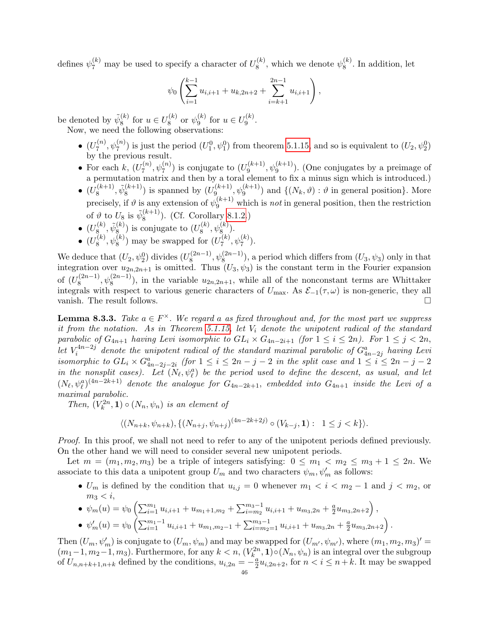defines  $\psi_7^{(k)}$  may be used to specify a character of  $U_8^{(k)}$  $\mathbf{R}_8^{(k)}$ , which we denote  $\psi_8^{(k)}$  $\binom{K}{8}$ . In addition, let

$$
\psi_0\left(\sum_{i=1}^{k-1}u_{i,i+1}+u_{k,2n+2}+\sum_{i=k+1}^{2n-1}u_{i,i+1}\right),
$$

be denoted by  $\tilde{\psi}_8^{(k)}$  $s^{(k)}$  for  $u \in U_8^{(k)}$  $\frac{\psi(k)}{8}$  or  $\psi_9^{(k)}$  $_{9}^{(k)}$  for  $u \in U_{9}^{(k)}$  $\frac{1}{9}$ . Now, we need the following observations:

- $\bullet$   $(U_7^{(n)}$  $(\phi_7^{(n)}, \psi_7^{(n)})$  is just the period  $(U_1^0, \psi_1^0)$  from theorem [5.1.15,](#page-25-0) and so is equivalent to  $(U_2, \psi_2^0)$ by the previous result.
- For each  $k, (U_7^{(n)})$  $\mathcal{L}_7^{(n)}, \psi_7^{(n)}$ ) is conjugate to  $(U_9^{(k+1)})$  $\psi_9^{(k+1)}$ ,  $\psi_9^{(k+1)}$ ). (One conjugates by a preimage of a permutation matrix and then by a toral element to fix a minus sign which is introduced.)
- $\bullet$   $(U_8^{(k+1)}$  $\tilde{\psi}_8^{(k+1)}, \tilde{\psi}_8^{(k+1)}$  $\binom{(k+1)}{8}$  is spanned by  $(U_9^{(k+1)}$  $\psi_9^{(k+1)}$ ,  $\psi_9^{(k+1)}$  and  $\{(N_k, \vartheta) : \vartheta$  in general position}. More precisely, if  $\vartheta$  is any extension of  $\psi_9^{(k+1)}$  which is *not* in general position, then the restriction of  $\vartheta$  to  $U_8$  is  $\tilde{\psi}_8^{(k+1)}$  $(8^{(k+1)})$ . (Cf. Corollary [8.1.2.](#page-43-1))
- $\bullet$   $(U_8^{(k)}$  $\widetilde{\psi}_8^{(k)}, \widetilde{\psi}_8^{(k)}$  $\binom{k}{8}$  is conjugate to  $(U_8^{(k)})$  $\mathcal{L}_8^{(k)}, \psi_8^{(k)}).$
- $\bullet$   $(U_8^{(k)}$  $\mathbf{R}_8^{(k)}, \psi_8^{(k)}$ ) may be swapped for  $(U_7^{(k)})$  $\frac{(k)}{7}, \psi_7^{(k)}$ ).

We deduce that  $(U_2, \psi_2^0)$  divides  $(U_8^{(2n-1)}$  $\mathcal{L}_8^{(2n-1)}$ ,  $\psi_8^{(2n-1)}$ ), a period which differs from  $(U_3, \psi_3)$  only in that integration over  $u_{2n,2n+1}$  is omitted. Thus  $(U_3, \psi_3)$  is the constant term in the Fourier expansion of  $(U_8^{(2n-1)}$  $(\mathbb{R}^{(2n-1)}_8, \psi_8^{(2n-1)})$ , in the variable  $u_{2n,2n+1}$ , while all of the nonconstant terms are Whittaker integrals with respect to various generic characters of  $U_{\text{max}}$ . As  $\mathcal{E}_{-1}(\tau,\omega)$  is non-generic, they all vanish. The result follows.

<span id="page-45-0"></span>**Lemma 8.3.3.** Take  $a \in F^{\times}$ . We regard a as fixed throughout and, for the most part we suppress it from the notation. As in Theorem [5.1.15,](#page-25-0) let  $V_i$  denote the unipotent radical of the standard parabolic of  $G_{4n+1}$  having Levi isomorphic to  $GL_i \times G_{4n-2i+1}$  (for  $1 \leq i \leq 2n$ ). For  $1 \leq j < 2n$ , let  $V_i^{4n-2j}$  $\tilde{u}_i^{4n-2j}$  denote the unipotent radical of the standard maximal parabolic of  $G^a_{4n-2j}$  having Levi isomorphic to  $GL_i \times G_{4n-2j-2i}^a$  (for  $1 \leq i \leq 2n-j-2$  in the split case and  $1 \leq i \leq 2n-j-2$ in the nonsplit cases). Let  $(N_\ell, \psi_\ell^a)$  be the period used to define the descent, as usual, and let  $(N_\ell, \psi_\ell^a)^{(4n-2k+1)}$  denote the analogue for  $G_{4n-2k+1}$ , embedded into  $G_{4n+1}$  inside the Levi of a maximal parabolic.

Then,  $(V_k^{2n}, 1) \circ (N_n, \psi_n)$  is an element of

$$
\langle (N_{n+k}, \psi_{n+k}), \{ (N_{n+j}, \psi_{n+j})^{(4n-2k+2j)} \circ (V_{k-j}, \mathbf{1}) : 1 \le j < k \} \rangle.
$$

Proof. In this proof, we shall not need to refer to any of the unipotent periods defined previously. On the other hand we will need to consider several new unipotent periods.

Let  $m = (m_1, m_2, m_3)$  be a triple of integers satisfying:  $0 \leq m_1 < m_2 \leq m_3 + 1 \leq 2n$ . We associate to this data a unipotent group  $U_m$  and two characters  $\psi_m, \psi'_m$  as follows:

•  $U_m$  is defined by the condition that  $u_{i,j} = 0$  whenever  $m_1 < i < m_2 - 1$  and  $j < m_2$ , or  $m_3 < i$ ,

.

• 
$$
\psi_m(u) = \psi_0 \left( \sum_{i=1}^{m_1} u_{i,i+1} + u_{m_1+1,m_2} + \sum_{i=m_2}^{m_3-1} u_{i,i+1} + u_{m_3,2n} + \frac{a}{2} u_{m_3,2n+2} \right),
$$
  
\n•  $\psi'_m(u) = \psi_0 \left( \sum_{i=1}^{m_1-1} u_{i,i+1} + u_{m_1,m_2-1} + \sum_{i=m_2-1}^{m_3-1} u_{i,i+1} + u_{m_3,2n} + \frac{a}{2} u_{m_3,2n+2} \right)$ 

Then  $(U_m, \psi'_m)$  is conjugate to  $(U_m, \psi_m)$  and may be swapped for  $(U_{m'}, \psi_{m'}),$  where  $(m_1, m_2, m_3)' =$  $(m_1-1, m_2-1, m_3)$ . Furthermore, for any  $k < n$ ,  $(V_k^{2n}, 1) \circ (N_n, \psi_n)$  is an integral over the subgroup of  $U_{n,n+k+1,n+k}$  defined by the conditions,  $u_{i,2n} = -\frac{a}{2}$  $\frac{a}{2}u_{i,2n+2}$ , for  $n < i \leq n+k$ . It may be swapped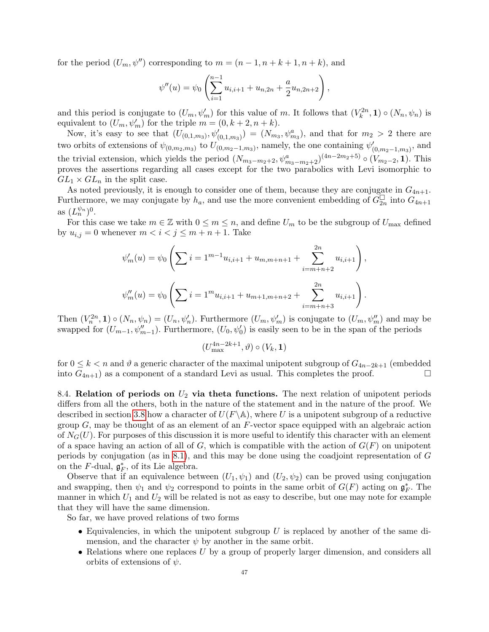for the period  $(U_m, \psi'')$  corresponding to  $m = (n-1, n+k+1, n+k)$ , and

$$
\psi''(u) = \psi_0 \left( \sum_{i=1}^{n-1} u_{i,i+1} + u_{n,2n} + \frac{a}{2} u_{n,2n+2} \right),
$$

and this period is conjugate to  $(U_m, \psi'_m)$  for this value of m. It follows that  $(V_k^{2n}, 1) \circ (N_n, \psi_n)$  is equivalent to  $(U_m, \psi'_m)$  for the triple  $m = (0, k + 2, n + k)$ .

Now, it's easy to see that  $(U_{(0,1,m_3)}, \psi'_{(0,1,m_3)}) = (N_{m_3}, \psi^a_{m_3})$ , and that for  $m_2 > 2$  there are two orbits of extensions of  $\psi_{(0,m_2,m_3)}$  to  $U_{(0,m_2-1,m_3)}$ , namely, the one containing  $\psi'_{(0,m_2-1,m_3)}$ , and the trivial extension, which yields the period  $(N_{m_3-m_2+2}, \psi^a_{m_3-m_2+2})^{(4n-2m_2+5)} \circ (V_{m_2-2}, 1)$ . This proves the assertions regarding all cases except for the two parabolics with Levi isomorphic to  $GL_1 \times GL_n$  in the split case.

As noted previously, it is enough to consider one of them, because they are conjugate in  $G_{4n+1}$ . Furthermore, we may conjugate by  $h_a$ , and use the more convenient embedding of  $G_{2n}^{\square}$  into  $G_{4n+1}$ as  $(L_n^{\psi_n})^0$ .

For this case we take  $m \in \mathbb{Z}$  with  $0 \leq m \leq n$ , and define  $U_m$  to be the subgroup of  $U_{\text{max}}$  defined by  $u_{i,j} = 0$  whenever  $m < i < j \leq m+n+1$ . Take

$$
\psi'_m(u) = \psi_0 \left( \sum i = 1^{m-1} u_{i,i+1} + u_{m,m+n+1} + \sum_{i=m+n+2}^{2n} u_{i,i+1} \right),
$$
  

$$
\psi''_m(u) = \psi_0 \left( \sum i = 1^m u_{i,i+1} + u_{m+1,m+n+2} + \sum_{i=m+n+3}^{2n} u_{i,i+1} \right).
$$

Then  $(V_n^{2n}, 1) \circ (N_n, \psi_n) = (U_n, \psi_n')$ . Furthermore  $(U_m, \psi_m')$  is conjugate to  $(U_m, \psi_m'')$  and may be swapped for  $(U_{m-1}, \psi''_{m-1})$ . Furthermore,  $(U_0, \psi'_0)$  is easily seen to be in the span of the periods

$$
(U_{\max}^{4n-2k+1},\vartheta)\circ(V_k,\mathbf{1})
$$

for  $0 \leq k < n$  and  $\vartheta$  a generic character of the maximal unipotent subgroup of  $G_{4n-2k+1}$  (embedded into  $G_{4n+1}$ ) as a component of a standard Levi as usual. This completes the proof.

<span id="page-46-0"></span>8.4. Relation of periods on  $U_2$  via theta functions. The next relation of unipotent periods differs from all the others, both in the nature of the statement and in the nature of the proof. We described in section [3.8](#page-11-1) how a character of  $U(F \backslash \mathbb{A})$ , where U is a unipotent subgroup of a reductive group  $G$ , may be thought of as an element of an  $F$ -vector space equipped with an algebraic action of  $N_G(U)$ . For purposes of this discussion it is more useful to identify this character with an element of a space having an action of all of G, which is compatible with the action of  $G(F)$  on unipotent periods by conjugation (as in [8.1\)](#page-42-1), and this may be done using the coadjoint representation of G on the F-dual,  $\mathfrak{g}_F^*$ , of its Lie algebra.

Observe that if an equivalence between  $(U_1, \psi_1)$  and  $(U_2, \psi_2)$  can be proved using conjugation and swapping, then  $\psi_1$  and  $\psi_2$  correspond to points in the same orbit of  $G(F)$  acting on  $\mathfrak{g}_F^*$ . The manner in which  $U_1$  and  $U_2$  will be related is not as easy to describe, but one may note for example that they will have the same dimension.

So far, we have proved relations of two forms

- Equivalencies, in which the unipotent subgroup  $U$  is replaced by another of the same dimension, and the character  $\psi$  by another in the same orbit.
- Relations where one replaces  $U$  by a group of properly larger dimension, and considers all orbits of extensions of  $\psi$ .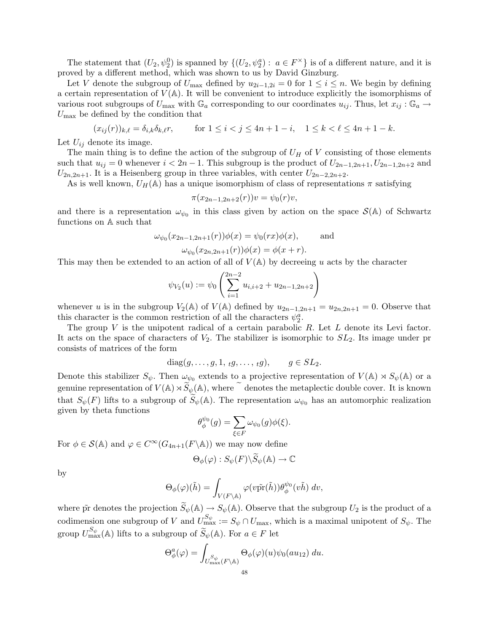The statement that  $(U_2, \psi_2^0)$  is spanned by  $\{(U_2, \psi_2^a): a \in F^\times\}$  is of a different nature, and it is proved by a different method, which was shown to us by David Ginzburg.

Let V denote the subgroup of  $U_{\text{max}}$  defined by  $u_{2i-1,2i} = 0$  for  $1 \leq i \leq n$ . We begin by defining a certain representation of  $V(\mathbb{A})$ . It will be convenient to introduce explicitly the isomorphisms of various root subgroups of  $U_{\text{max}}$  with  $\mathbb{G}_a$  corresponding to our coordinates  $u_{ij}$ . Thus, let  $x_{ij}$ :  $\mathbb{G}_a \to$  $U_{\text{max}}$  be defined by the condition that

$$
(x_{ij}(r))_{k,\ell} = \delta_{i,k}\delta_{k,\ell}r
$$
, for  $1 \le i < j \le 4n + 1 - i$ ,  $1 \le k < \ell \le 4n + 1 - k$ .

Let  $U_{ij}$  denote its image.

The main thing is to define the action of the subgroup of  $U_H$  of V consisting of those elements such that  $u_{ij} = 0$  whenever  $i < 2n - 1$ . This subgroup is the product of  $U_{2n-1,2n+1}, U_{2n-1,2n+2}$  and  $U_{2n,2n+1}$ . It is a Heisenberg group in three variables, with center  $U_{2n-2,2n+2}$ .

As is well known,  $U_H(\mathbb{A})$  has a unique isomorphism of class of representations  $\pi$  satisfying

$$
\pi(x_{2n-1,2n+2}(r))v = \psi_0(r)v,
$$

and there is a representation  $\omega_{\psi_0}$  in this class given by action on the space  $\mathcal{S}(\mathbb{A})$  of Schwartz functions on A such that

$$
\omega_{\psi_0}(x_{2n-1,2n+1}(r))\phi(x) = \psi_0(rx)\phi(x), \quad \text{and}
$$

$$
\omega_{\psi_0}(x_{2n,2n+1}(r))\phi(x) = \phi(x+r).
$$

This may then be extended to an action of all of  $V(A)$  by decreeing u acts by the character

$$
\psi_{V_2}(u) := \psi_0 \left( \sum_{i=1}^{2n-2} u_{i,i+2} + u_{2n-1,2n+2} \right)
$$

whenever u is in the subgroup  $V_2(\mathbb{A})$  of  $V(\mathbb{A})$  defined by  $u_{2n-1,2n+1} = u_{2n,2n+1} = 0$ . Observe that this character is the common restriction of all the characters  $\psi_2^a$ .

The group  $V$  is the unipotent radical of a certain parabolic  $R$ . Let  $L$  denote its Levi factor. It acts on the space of characters of  $V_2$ . The stabilizer is isomorphic to  $SL_2$ . Its image under pr consists of matrices of the form

$$
diag(g,\ldots,g,1,\,{}_{t}g,\ldots,\,{}_{t}g),\qquad g\in SL_2.
$$

Denote this stabilizer  $S_{\psi}$ . Then  $\omega_{\psi_0}$  extends to a projective representation of  $V(\mathbb{A}) \rtimes S_{\psi}(\mathbb{A})$  or a genuine representation of  $V(\mathbb{A})\rtimes \widetilde{S}_{\psi}(\mathbb{A})$ , where  $\widetilde{S}$  denotes the metaplectic double cover. It is known that  $S_{\psi}(F)$  lifts to a subgroup of  $\widetilde{S}_{\psi}(\mathbb{A})$ . The representation  $\omega_{\psi_0}$  has an automorphic realization given by theta functions

$$
\theta_{\phi}^{\psi_0}(g) = \sum_{\xi \in F} \omega_{\psi_0}(g) \phi(\xi).
$$

For  $\phi \in \mathcal{S}(\mathbb{A})$  and  $\varphi \in C^{\infty}(G_{4n+1}(F \backslash \mathbb{A}))$  we may now define

$$
\Theta_{\phi}(\varphi):S_{\psi}(F)\backslash\widetilde{S}_{\psi}(\mathbb{A})\to\mathbb{C}
$$

by

$$
\Theta_{\phi}(\varphi)(\tilde{h}) = \int_{V(F \backslash \mathbb{A})} \varphi(v\tilde{\mathrm{pr}}(\tilde{h})) \theta_{\phi}^{\psi_0}(v\tilde{h}) dv,
$$

<span id="page-47-0"></span>where  $\tilde{pr}$  denotes the projection  $\tilde{S}_{\psi}(\mathbb{A}) \to S_{\psi}(\mathbb{A})$ . Observe that the subgroup  $U_2$  is the product of a codimension one subgroup of V and  $U_{\text{max}}^{S_{\psi}} := S_{\psi} \cap U_{\text{max}}$ , which is a maximal unipotent of  $S_{\psi}$ . The group  $U_{\text{max}}^{S_{\psi}}(\mathbb{A})$  lifts to a subgroup of  $\widetilde{S}_{\psi}(\mathbb{A})$ . For  $a \in F$  let

$$
\Theta_{\phi}^{a}(\varphi) = \int_{U_{\max}^{S_{\psi}}(F \backslash \mathbb{A})} \Theta_{\phi}(\varphi)(u)\psi_{0}(au_{12}) du.
$$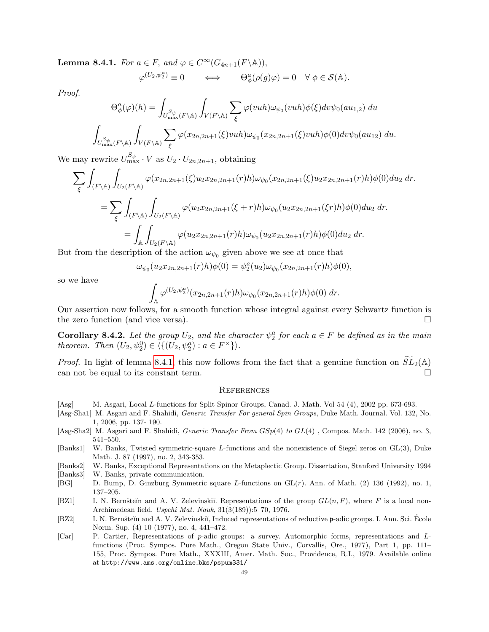**Lemma 8.4.1.** For  $a \in F$ , and  $\varphi \in C^{\infty}(G_{4n+1}(F \backslash \mathbb{A}))$ ,

$$
\varphi^{(U_2,\psi_2^a)} \equiv 0 \qquad \Longleftrightarrow \qquad \Theta^a_\phi(\rho(g)\varphi) = 0 \quad \forall \phi \in \mathcal{S}(\mathbb{A}).
$$

Proof.

$$
\Theta_{\phi}^{a}(\varphi)(h) = \int_{U_{\max}^{S_{\psi}}(F \backslash \mathbb{A})} \int_{V(F \backslash \mathbb{A})} \sum_{\xi} \varphi(vuh) \omega_{\psi_{0}}(vuh) \phi(\xi) dv \psi_{0}(au_{1,2}) du
$$
  

$$
\int_{U_{\max}^{S_{\psi}}(F \backslash \mathbb{A})} \int_{V(F \backslash \mathbb{A})} \sum_{\xi} \varphi(x_{2n,2n+1}(\xi) vuh) \omega_{\psi_{0}}(x_{2n,2n+1}(\xi) vuh) \phi(0) dv \psi_{0}(au_{12}) du.
$$

We may rewrite  $U_{\text{max}}^{S_{\psi}} \cdot V$  as  $U_2 \cdot U_{2n,2n+1}$ , obtaining

$$
\sum_{\xi} \int_{(F \backslash \mathbb{A})} \int_{U_2(F \backslash \mathbb{A})} \varphi(x_{2n,2n+1}(\xi) u_2 x_{2n,2n+1}(r) h) \omega_{\psi_0}(x_{2n,2n+1}(\xi) u_2 x_{2n,2n+1}(r) h) \phi(0) du_2 dr.
$$
  
= 
$$
\sum_{\xi} \int_{(F \backslash \mathbb{A})} \int_{U_2(F \backslash \mathbb{A})} \varphi(u_2 x_{2n,2n+1}(\xi + r) h) \omega_{\psi_0}(u_2 x_{2n,2n+1}(\xi r) h) \phi(0) du_2 dr.
$$
  
= 
$$
\int_{\mathbb{A}} \int_{U_2(F \backslash \mathbb{A})} \varphi(u_2 x_{2n,2n+1}(r) h) \omega_{\psi_0}(u_2 x_{2n,2n+1}(r) h) \phi(0) du_2 dr.
$$

But from the description of the action  $\omega_{\psi_0}$  given above we see at once that

$$
\omega_{\psi_0}(u_2x_{2n,2n+1}(r)h)\phi(0)=\psi_2^a(u_2)\omega_{\psi_0}(x_{2n,2n+1}(r)h)\phi(0),
$$

so we have

$$
\int_{\mathbb{A}} \varphi^{(U_2,\psi_2^a)}(x_{2n,2n+1}(r)h)\omega_{\psi_0}(x_{2n,2n+1}(r)h)\phi(0) dr.
$$

Our assertion now follows, for a smooth function whose integral against every Schwartz function is the zero function (and vice versa).

<span id="page-48-9"></span>**Corollary 8.4.2.** Let the group  $U_2$ , and the character  $\psi_2^a$  for each  $a \in F$  be defined as in the main theorem. Then  $(U_2, \psi_2^0) \in \langle \{ (U_2, \psi_2^a) : a \in F^\times \} \rangle$ .

*Proof.* In light of lemma [8.4.1,](#page-47-0) this now follows from the fact that a genuine function on  $SL_2(\mathbb{A})$  can not be equal to its constant term can not be equal to its constant term.

### **REFERENCES**

- <span id="page-48-0"></span>[Asg] M. Asgari, Local L-functions for Split Spinor Groups, Canad. J. Math. Vol 54 (4), 2002 pp. 673-693.
- <span id="page-48-1"></span>[Asg-Sha1] M. Asgari and F. Shahidi, Generic Transfer For general Spin Groups, Duke Math. Journal. Vol. 132, No. 1, 2006, pp. 137- 190.
- <span id="page-48-2"></span>[Asg-Sha2] M. Asgari and F. Shahidi, *Generic Transfer From GSp(4) to GL(4)*, Compos. Math. 142 (2006), no. 3, 541–550.
- <span id="page-48-4"></span>[Banks1] W. Banks, Twisted symmetric-square L-functions and the nonexistence of Siegel zeros on GL(3), Duke Math. J. 87 (1997), no. 2, 343-353.
- <span id="page-48-5"></span>[Banks2] W. Banks, Exceptional Representations on the Metaplectic Group. Dissertation, Stanford University 1994
- <span id="page-48-6"></span>[Banks3] W. Banks, private communication.
- <span id="page-48-3"></span>[BG] D. Bump, D. Ginzburg Symmetric square L-functions on GL(r). Ann. of Math. (2) 136 (1992), no. 1, 137–205.
- <span id="page-48-7"></span>[BZ1] I. N. Bernšteĭn and A. V. Zelevinskiĭ. Representations of the group  $GL(n, F)$ , where F is a local non-Archimedean field. Uspehi Mat. Nauk, 31(3(189)):5–70, 1976.
- <span id="page-48-10"></span>[BZ2] I. N. Bernšteĭn and A. V. Zelevinskiĭ, Induced representations of reductive p-adic groups. I. Ann. Sci. École Norm. Sup. (4) 10 (1977), no. 4, 441–472.
- <span id="page-48-8"></span>[Car] P. Cartier, Representations of p-adic groups: a survey. Automorphic forms, representations and Lfunctions (Proc. Sympos. Pure Math., Oregon State Univ., Corvallis, Ore., 1977), Part 1, pp. 111– 155, Proc. Sympos. Pure Math., XXXIII, Amer. Math. Soc., Providence, R.I., 1979. Available online at http://www.ams.org/online bks/pspum331/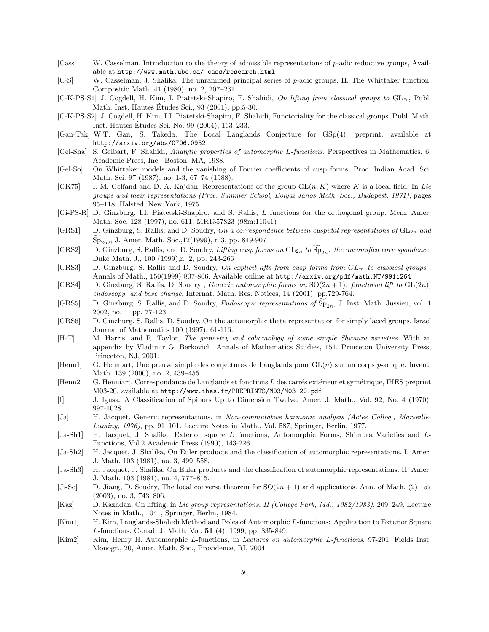- <span id="page-49-23"></span>[Cass] W. Casselman, Introduction to the theory of admissible representations of p-adic reductive groups, Available at http://www.math.ubc.ca/ cass/research.html
- <span id="page-49-22"></span>[C-S] W. Casselman, J. Shalika, The unramified principal series of p-adic groups. II. The Whittaker function. Compositio Math. 41 (1980), no. 2, 207–231.
- <span id="page-49-4"></span> $[C-K-PS-S1]$  J. Cogdell, H. Kim, I. Piatetski-Shapiro, F. Shahidi, On lifting from classical groups to  $GL_N$ , Publ. Math. Inst. Hautes Études Sci.,  $93$  (2001), pp. 5-30.
- <span id="page-49-2"></span>[C-K-PS-S2] J. Cogdell, H. Kim, I.I. Piatetski-Shapiro, F. Shahidi, Functoriality for the classical groups. Publ. Math. Inst. Hautes Etudes Sci. No. 99 (2004), 163–233. ´
- [Gan-Tak] W.T. Gan, S. Takeda, The Local Langlands Conjecture for GSp(4), preprint, available at http://arxiv.org/abs/0706.0952
- <span id="page-49-9"></span>[Gel-Sha] S. Gelbart, F. Shahidi, Analytic properties of automorphic L-functions. Perspectives in Mathematics, 6. Academic Press, Inc., Boston, MA, 1988.
- <span id="page-49-16"></span>[Gel-So] On Whittaker models and the vanishing of Fourier coefficients of cusp forms, Proc. Indian Acad. Sci. Math. Sci. 97 (1987), no. 1-3, 67–74 (1988).
- <span id="page-49-18"></span>[GK75] I. M. Gelfand and D. A. Kajdan. Representations of the group  $GL(n, K)$  where K is a local field. In Lie groups and their representations (Proc. Summer School, Bolyai János Math. Soc., Budapest, 1971), pages 95–118. Halsted, New York, 1975.
- <span id="page-49-19"></span>[Gi-PS-R] D. Ginzburg, I.I. Piatetski-Shapiro, and S. Rallis, L functions for the orthogonal group. Mem. Amer. Math. Soc. 128 (1997), no. 611, MR1357823 (98m:11041)
- <span id="page-49-0"></span>[GRS1] D. Ginzburg, S. Rallis, and D. Soudry, On a correspondence between cuspidal representations of  $GL_{2n}$  and  $Sp_{2n}$ ,, J. Amer. Math. Soc.,12(1999), n.3, pp. 849-907
- [GRS2] D. Ginzburg, S. Rallis, and D. Soudry, Lifting cusp forms on  $GL_{2n}$  to  $\widetilde{\mathrm{Sp}}_{2n}$ : the unramified correspondence, Duke Math. J., 100 (1999),n. 2, pp. 243-266
- <span id="page-49-21"></span>[GRS3] D. Ginzburg, S. Rallis and D. Soudry, On explicit lifts from cusp forms from  $GL_m$  to classical groups , Annals of Math., 150(1999) 807-866. Available online at http://arxiv.org/pdf/math.NT/9911264
- <span id="page-49-3"></span>[GRS4] D. Ginzburg, S. Rallis, D. Soudry, Generic automorphic forms on  $SO(2n + 1)$ : functorial lift to  $GL(2n)$ , endoscopy, and base change, Internat. Math. Res. Notices, 14 (2001), pp.729-764.
- <span id="page-49-1"></span>[GRS5] D. Ginzburg, S. Rallis, and D. Soudry, *Endoscopic representations of*  $Sp_{2n}$ , J. Inst. Math. Jussieu, vol. 1 2002, no. 1, pp. 77-123.
- [GRS6] D. Ginzburg, S. Rallis, D. Soudry, On the automorphic theta representation for simply laced groups. Israel Journal of Mathematics 100 (1997), 61-116.
- <span id="page-49-6"></span>[H-T] M. Harris, and R. Taylor, The geometry and cohomology of some simple Shimura varieties. With an appendix by Vladimir G. Berkovich. Annals of Mathematics Studies, 151. Princeton University Press, Princeton, NJ, 2001.
- <span id="page-49-7"></span>[Henn1] G. Henniart, Une preuve simple des conjectures de Langlands pour  $GL(n)$  sur un corps p-adique. Invent. Math. 139 (2000), no. 2, 439–455.
- <span id="page-49-8"></span>[Henn2] G. Henniart, Correspondance de Langlands et fonctions L des carrés extérieur et symétrique, IHES preprint M03-20, available at http://www.ihes.fr/PREPRINTS/M03/M03-20.pdf
- <span id="page-49-17"></span>[I] J. Igusa, A Classification of Spinors Up to Dimension Twelve, Amer. J. Math., Vol. 92, No. 4 (1970), 997-1028.
- <span id="page-49-12"></span>[Ja] H. Jacquet, Generic representations, in Non-commutative harmonic analysis (Actes Colloq., Marseille-Luminy, 1976), pp. 91–101. Lecture Notes in Math., Vol. 587, Springer, Berlin, 1977.
- <span id="page-49-11"></span>[Ja-Sh1] H. Jacquet, J. Shalika, Exterior square L functions, Automorphic Forms, Shimura Varieties and L-Functions, Vol.2 Academic Press (1990), 143-226.
- <span id="page-49-5"></span>[Ja-Sh2] H. Jacquet, J. Shalika, On Euler products and the classification of automorphic representations. I. Amer. J. Math. 103 (1981), no. 3, 499–558.
- <span id="page-49-13"></span>[Ja-Sh3] H. Jacquet, J. Shalika, On Euler products and the classification of automorphic representations. II. Amer. J. Math. 103 (1981), no. 4, 777–815.
- <span id="page-49-20"></span>[Ji-So] D. Jiang, D. Soudry, The local converse theorem for  $SO(2n + 1)$  and applications. Ann. of Math. (2) 157 (2003), no. 3, 743–806.
- <span id="page-49-14"></span>[Kaz] D. Kazhdan, On lifting, in Lie group representations, II (College Park, Md., 1982/1983), 209–249, Lecture Notes in Math., 1041, Springer, Berlin, 1984.
- <span id="page-49-10"></span>[Kim1] H. Kim, Langlands-Shahidi Method and Poles of Automorphic L-functions: Application to Exterior Square L-functions, Canad. J. Math. Vol. 51 (4), 1999, pp. 835-849.
- <span id="page-49-15"></span>[Kim2] Kim, Henry H. Automorphic L-functions, in Lectures on automorphic L-functions, 97-201, Fields Inst. Monogr., 20, Amer. Math. Soc., Providence, RI, 2004.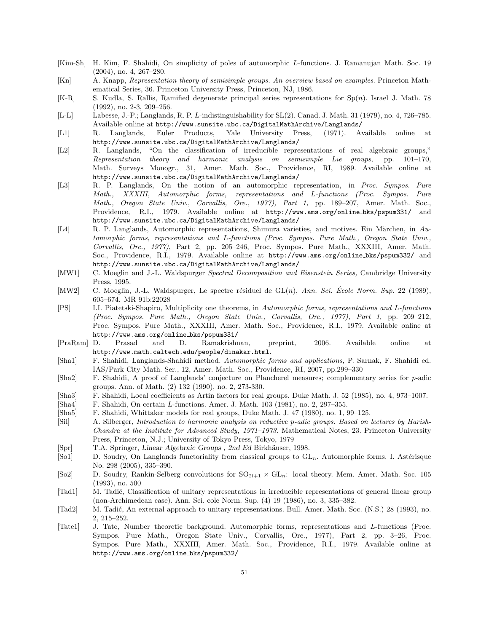- <span id="page-50-14"></span>[Kim-Sh] H. Kim, F. Shahidi, On simplicity of poles of automorphic L-functions. J. Ramanujan Math. Soc. 19 (2004), no. 4, 267–280.
- <span id="page-50-17"></span>[Kn] A. Knapp, Representation theory of semisimple groups. An overview based on examples. Princeton Mathematical Series, 36. Princeton University Press, Princeton, NJ, 1986.
- <span id="page-50-20"></span> $[K-R]$  S. Kudla, S. Rallis, Ramified degenerate principal series representations for  $Sp(n)$ . Israel J. Math. 78 (1992), no. 2-3, 209–256.
- <span id="page-50-8"></span>[L-L] Labesse, J.-P.; Langlands, R. P. L-indistinguishability for SL(2). Canad. J. Math. 31 (1979), no. 4, 726–785. Available online at http://www.sunsite.ubc.ca/DigitalMathArchive/Langlands/
- <span id="page-50-13"></span>[L1] R. Langlands, Euler Products, Yale University Press, (1971). Available online at http://www.sunsite.ubc.ca/DigitalMathArchive/Langlands/
- <span id="page-50-1"></span>[L2] R. Langlands, "On the classification of irreducible representations of real algebraic groups," Representation theory and harmonic analysis on semisimple Lie groups, pp. 101–170, Math. Surveys Monogr., 31, Amer. Math. Soc., Providence, RI, 1989. Available online at http://www.sunsite.ubc.ca/DigitalMathArchive/Langlands/
- <span id="page-50-5"></span>[L3] R. P. Langlands, On the notion of an automorphic representation, in Proc. Sympos. Pure Math., XXXIII, Automorphic forms, representations and L-functions (Proc. Sympos. Pure Math., Oregon State Univ., Corvallis, Ore., 1977), Part 1, pp. 189–207, Amer. Math. Soc., Providence, R.I., 1979. Available online at http://www.ams.org/online bks/pspum331/ and http://www.sunsite.ubc.ca/DigitalMathArchive/Langlands/
- <span id="page-50-7"></span>[L4] R. P. Langlands, Automorphic representations, Shimura varieties, and motives. Ein Märchen, in Automorphic forms, representations and L-functions (Proc. Sympos. Pure Math., Oregon State Univ., Corvallis, Ore., 1977), Part 2, pp. 205–246, Proc. Sympos. Pure Math., XXXIII, Amer. Math. Soc., Providence, R.I., 1979. Available online at http://www.ams.org/online bks/pspum332/ and http://www.sunsite.ubc.ca/DigitalMathArchive/Langlands/
- <span id="page-50-6"></span>[MW1] C. Moeglin and J.-L. Waldspurger Spectral Decomposition and Eisenstein Series, Cambridge University Press, 1995.
- [MW2] C. Moeglin, J.-L. Waldspurger, Le spectre résiduel de  $GL(n)$ , Ann. Sci. École Norm. Sup. 22 (1989), 605–674. MR 91b:22028
- <span id="page-50-10"></span>[PS] I.I. Piatetski-Shapiro, Multiplicity one theorems, in Automorphic forms, representations and L-functions (Proc. Sympos. Pure Math., Oregon State Univ., Corvallis, Ore., 1977), Part 1, pp. 209–212, Proc. Sympos. Pure Math., XXXIII, Amer. Math. Soc., Providence, R.I., 1979. Available online at http://www.ams.org/online bks/pspum331/
- <span id="page-50-4"></span>[PraRam] D. Prasad and D. Ramakrishnan, preprint, 2006. Available online at http://www.math.caltech.edu/people/dinakar.html.
- <span id="page-50-9"></span>[Sha1] F. Shahidi, Langlands-Shahidi method. Automorphic forms and applications, P. Sarnak, F. Shahidi ed. IAS/Park City Math. Ser., 12, Amer. Math. Soc., Providence, RI, 2007, pp.299–330
- <span id="page-50-3"></span>[Sha2] F. Shahidi, A proof of Langlands' conjecture on Plancherel measures; complementary series for p-adic groups. Ann. of Math. (2) 132 (1990), no. 2, 273-330.
- <span id="page-50-18"></span>[Sha3] F. Shahidi, Local coefficients as Artin factors for real groups. Duke Math. J. 52 (1985), no. 4, 973–1007.
- <span id="page-50-19"></span>[Sha4] F. Shahidi, On certain L-functions. Amer. J. Math. 103 (1981), no. 2, 297–355.
- [Sha5] F. Shahidi, Whittaker models for real groups, Duke Math. J. 47 (1980), no. 1, 99–125.
- <span id="page-50-16"></span>[Sil] A. Silberger, Introduction to harmonic analysis on reductive p-adic groups. Based on lectures by Harish-Chandra at the Institute for Advanced Study, 1971–1973. Mathematical Notes, 23. Princeton University Press, Princeton, N.J.; University of Tokyo Press, Tokyo, 1979
- <span id="page-50-11"></span>[Spr] T.A. Springer, Linear Algebraic Groups, 2nd Ed Birkhäuser, 1998.
- <span id="page-50-0"></span>[So1] D. Soudry, On Langlands functoriality from classical groups to GL<sub>n</sub>. Automorphic forms. I. Astérisque No. 298 (2005), 335–390.
- <span id="page-50-12"></span>[So2] D. Soudry, Rankin-Selberg convolutions for  $SO_{2l+1} \times GL_n$ : local theory. Mem. Amer. Math. Soc. 105 (1993), no. 500
- [Tad1] M. Tadić, Classification of unitary representations in irreducible representations of general linear group (non-Archimedean case). Ann. Sci. cole Norm. Sup. (4) 19 (1986), no. 3, 335–382.
- <span id="page-50-15"></span>[Tad2] M. Tadić, An external approach to unitary representations. Bull. Amer. Math. Soc. (N.S.) 28 (1993), no. 2, 215–252.
- <span id="page-50-2"></span>[Tate1] J. Tate, Number theoretic background. Automorphic forms, representations and L-functions (Proc. Sympos. Pure Math., Oregon State Univ., Corvallis, Ore., 1977), Part 2, pp. 3–26, Proc. Sympos. Pure Math., XXXIII, Amer. Math. Soc., Providence, R.I., 1979. Available online at http://www.ams.org/online bks/pspum332/